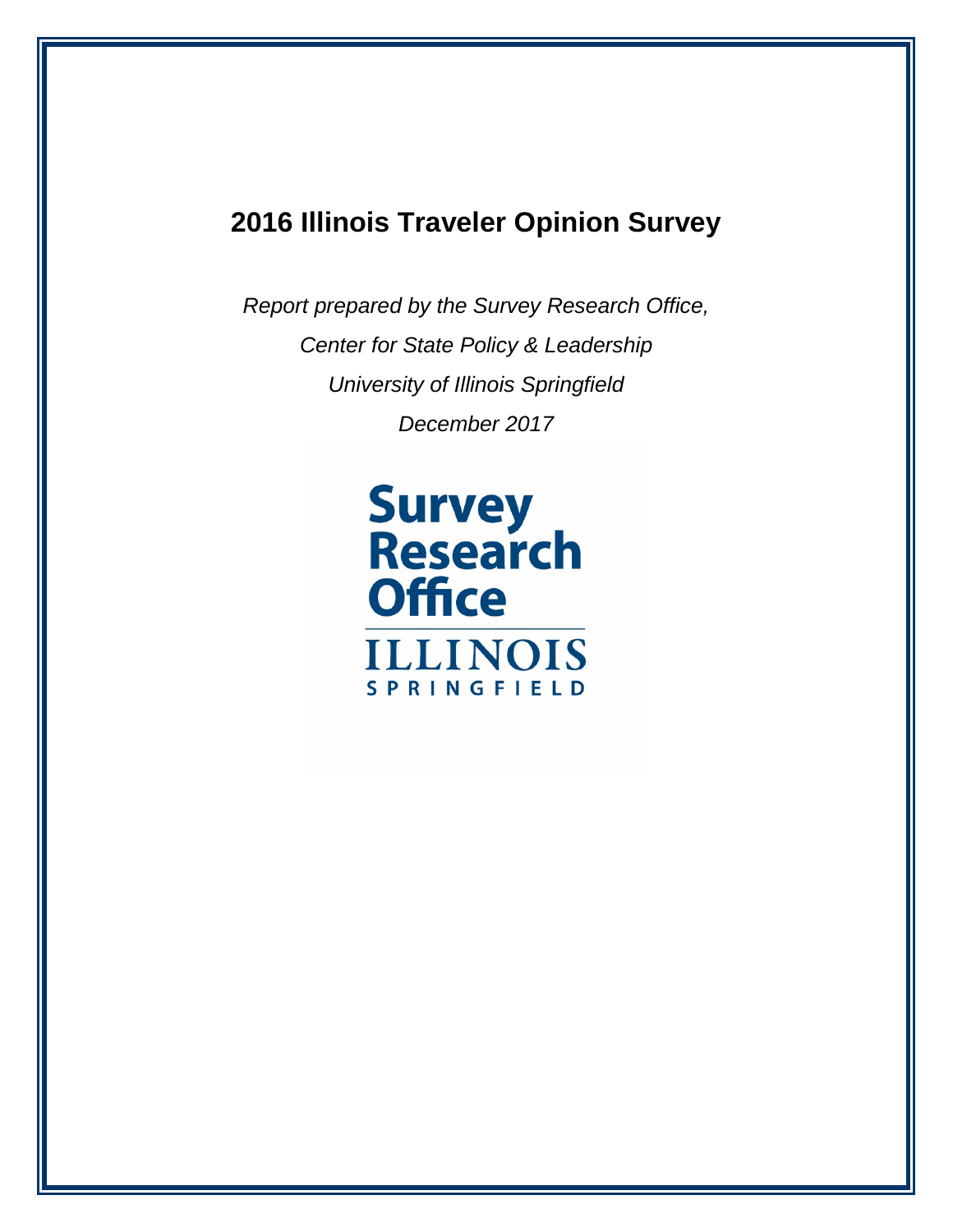## **2016 Illinois Traveler Opinion Survey**

*Report prepared by the Survey Research Office, Center for State Policy & Leadership University of Illinois Springfield December 2017*

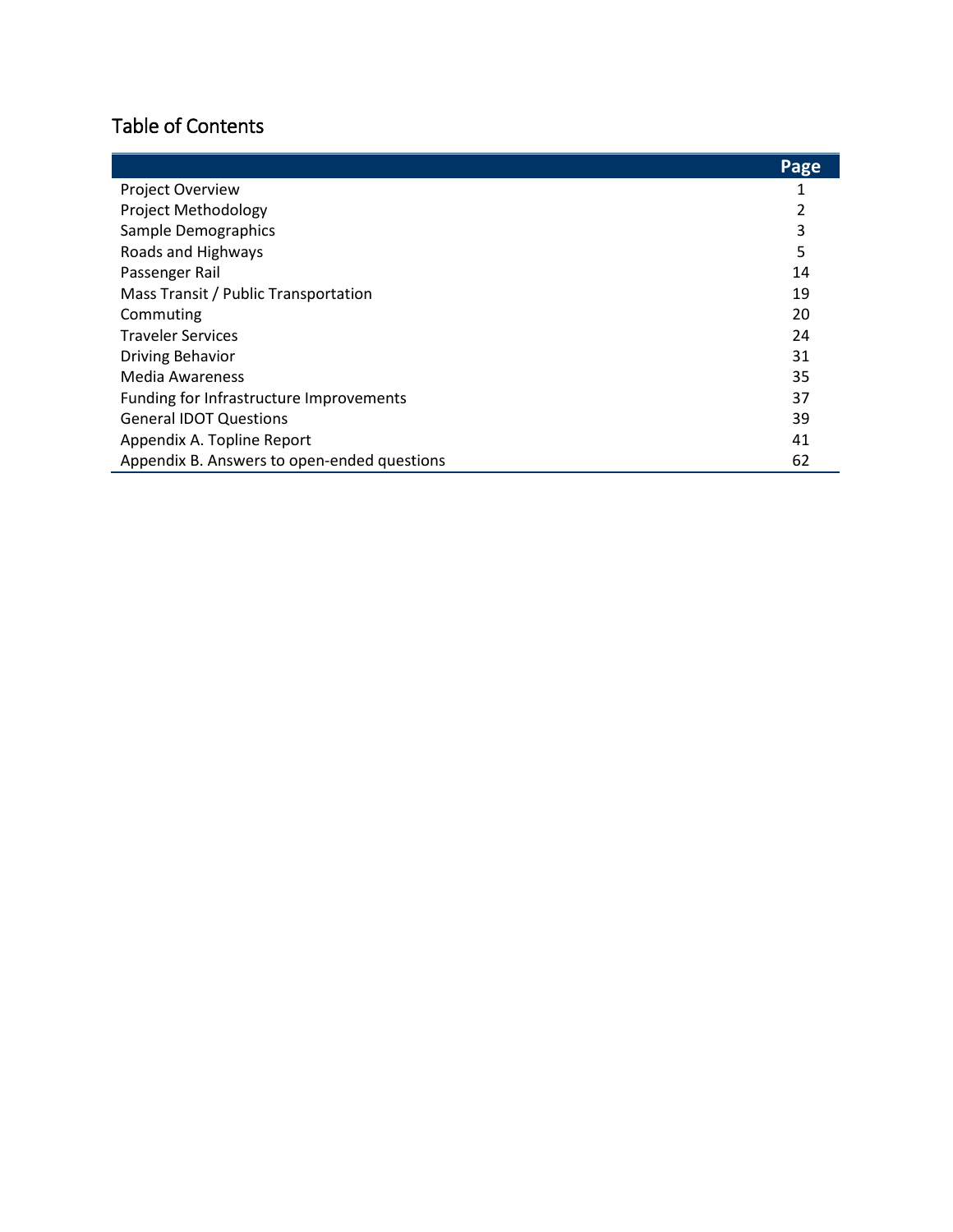## Table of Contents

|                                             | Page |
|---------------------------------------------|------|
| <b>Project Overview</b>                     |      |
| Project Methodology                         |      |
| Sample Demographics                         | 3    |
| Roads and Highways                          | 5    |
| Passenger Rail                              | 14   |
| Mass Transit / Public Transportation        | 19   |
| Commuting                                   | 20   |
| <b>Traveler Services</b>                    | 24   |
| <b>Driving Behavior</b>                     | 31   |
| Media Awareness                             | 35   |
| Funding for Infrastructure Improvements     | 37   |
| <b>General IDOT Questions</b>               | 39   |
| Appendix A. Topline Report                  | 41   |
| Appendix B. Answers to open-ended questions | 62   |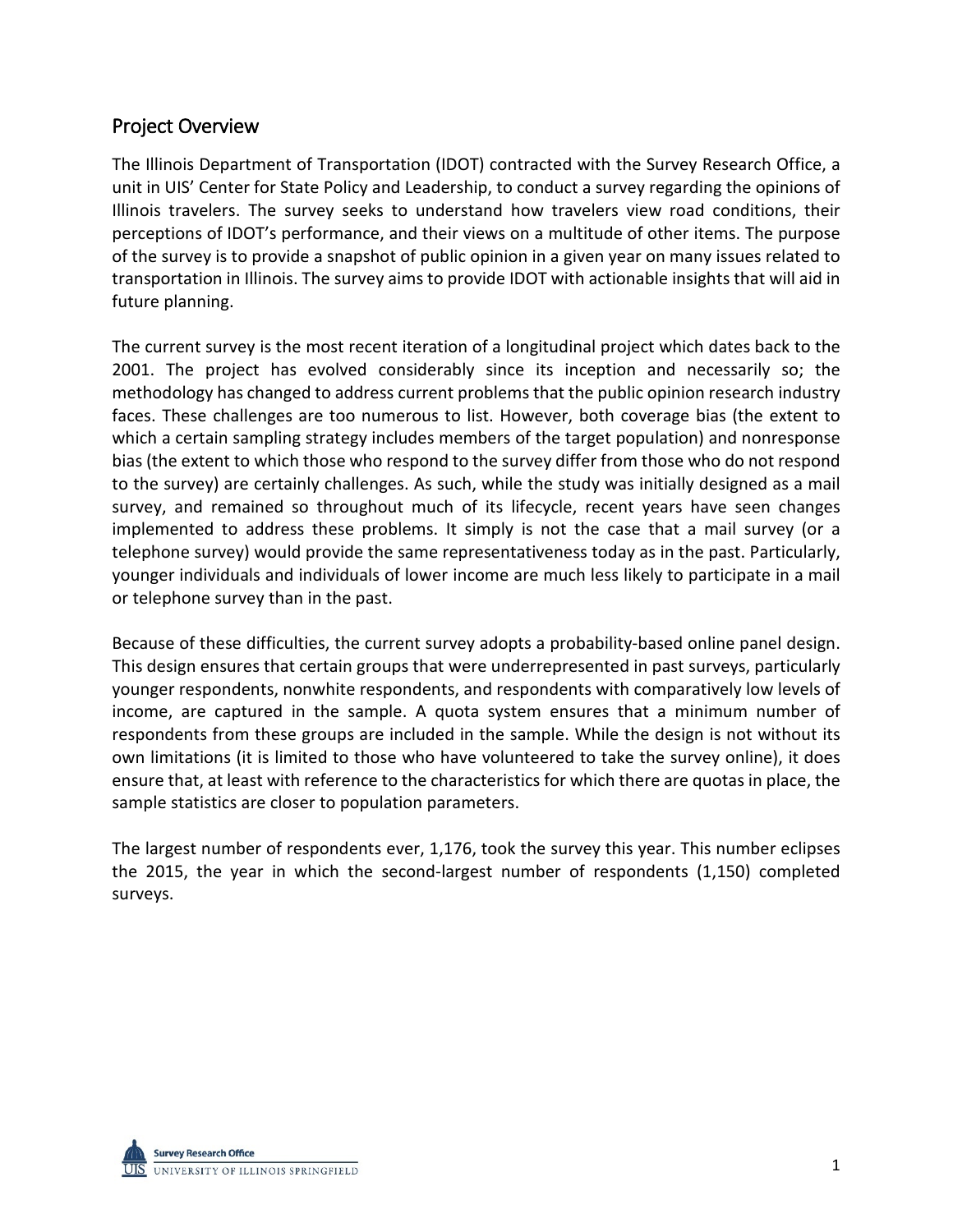## Project Overview

The Illinois Department of Transportation (IDOT) contracted with the Survey Research Office, a unit in UIS' Center for State Policy and Leadership, to conduct a survey regarding the opinions of Illinois travelers. The survey seeks to understand how travelers view road conditions, their perceptions of IDOT's performance, and their views on a multitude of other items. The purpose of the survey is to provide a snapshot of public opinion in a given year on many issues related to transportation in Illinois. The survey aims to provide IDOT with actionable insights that will aid in future planning.

The current survey is the most recent iteration of a longitudinal project which dates back to the 2001. The project has evolved considerably since its inception and necessarily so; the methodology has changed to address current problems that the public opinion research industry faces. These challenges are too numerous to list. However, both coverage bias (the extent to which a certain sampling strategy includes members of the target population) and nonresponse bias (the extent to which those who respond to the survey differ from those who do not respond to the survey) are certainly challenges. As such, while the study was initially designed as a mail survey, and remained so throughout much of its lifecycle, recent years have seen changes implemented to address these problems. It simply is not the case that a mail survey (or a telephone survey) would provide the same representativeness today as in the past. Particularly, younger individuals and individuals of lower income are much less likely to participate in a mail or telephone survey than in the past.

Because of these difficulties, the current survey adopts a probability-based online panel design. This design ensures that certain groups that were underrepresented in past surveys, particularly younger respondents, nonwhite respondents, and respondents with comparatively low levels of income, are captured in the sample. A quota system ensures that a minimum number of respondents from these groups are included in the sample. While the design is not without its own limitations (it is limited to those who have volunteered to take the survey online), it does ensure that, at least with reference to the characteristics for which there are quotas in place, the sample statistics are closer to population parameters.

The largest number of respondents ever, 1,176, took the survey this year. This number eclipses the 2015, the year in which the second-largest number of respondents (1,150) completed surveys.

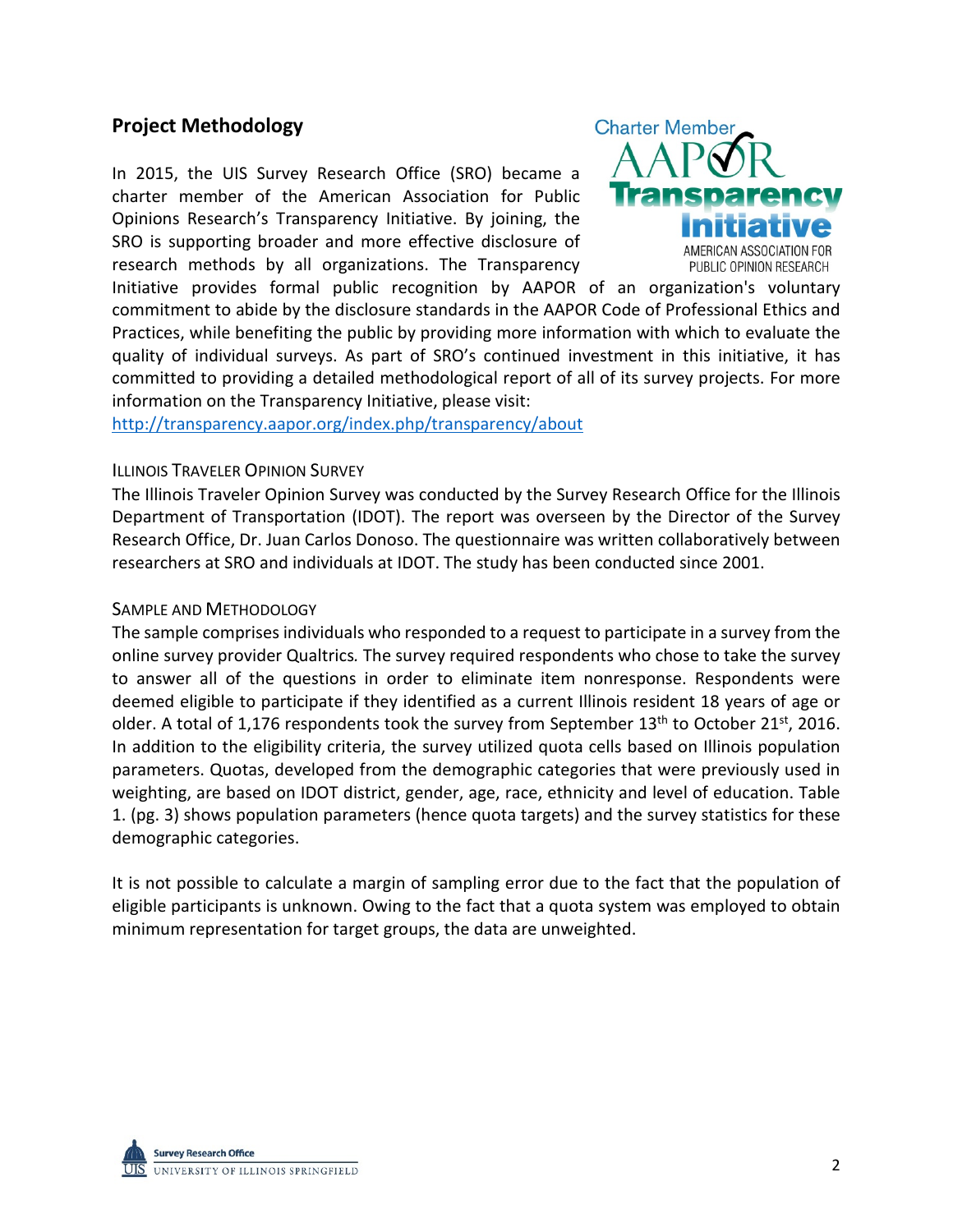## **Project Methodology**

In 2015, the UIS Survey Research Office (SRO) became a charter member of the American Association for Public Opinions Research's Transparency Initiative. By joining, the SRO is supporting broader and more effective disclosure of research methods by all organizations. The Transparency



Initiative provides formal public recognition by AAPOR of an organization's voluntary commitment to abide by the disclosure standards in the AAPOR Code of Professional Ethics and Practices, while benefiting the public by providing more information with which to evaluate the quality of individual surveys. As part of SRO's continued investment in this initiative, it has committed to providing a detailed methodological report of all of its survey projects. For more information on the Transparency Initiative, please visit:

<http://transparency.aapor.org/index.php/transparency/about>

#### ILLINOIS TRAVELER OPINION SURVEY

The Illinois Traveler Opinion Survey was conducted by the Survey Research Office for the Illinois Department of Transportation (IDOT). The report was overseen by the Director of the Survey Research Office, Dr. Juan Carlos Donoso. The questionnaire was written collaboratively between researchers at SRO and individuals at IDOT. The study has been conducted since 2001.

#### SAMPLE AND METHODOLOGY

The sample comprises individuals who responded to a request to participate in a survey from the online survey provider Qualtrics*.* The survey required respondents who chose to take the survey to answer all of the questions in order to eliminate item nonresponse. Respondents were deemed eligible to participate if they identified as a current Illinois resident 18 years of age or older. A total of 1,176 respondents took the survey from September  $13<sup>th</sup>$  to October 21st, 2016. In addition to the eligibility criteria, the survey utilized quota cells based on Illinois population parameters. Quotas, developed from the demographic categories that were previously used in weighting, are based on IDOT district, gender, age, race, ethnicity and level of education. Table 1. (pg. 3) shows population parameters (hence quota targets) and the survey statistics for these demographic categories.

It is not possible to calculate a margin of sampling error due to the fact that the population of eligible participants is unknown. Owing to the fact that a quota system was employed to obtain minimum representation for target groups, the data are unweighted.

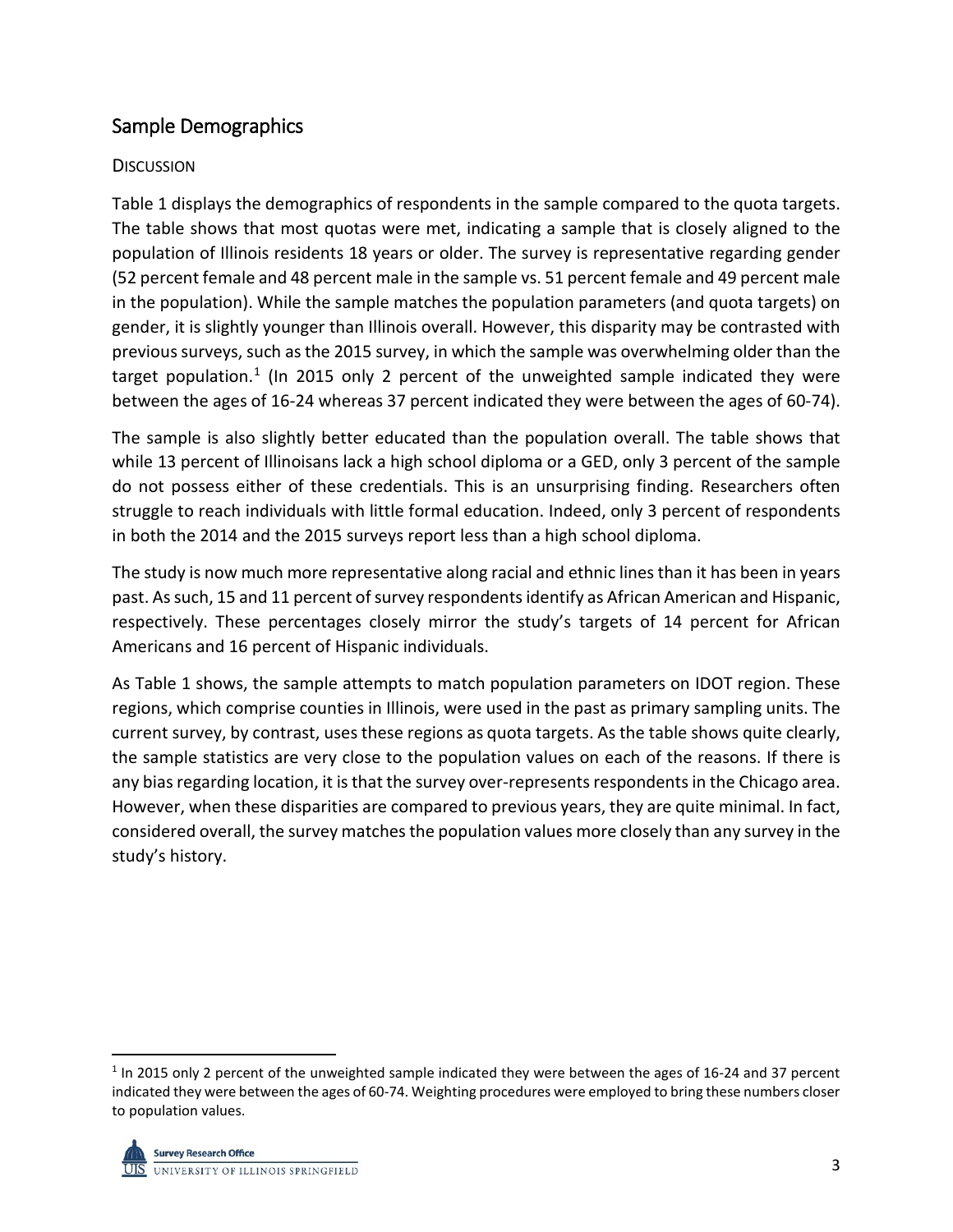## Sample Demographics

## **DISCUSSION**

Table 1 displays the demographics of respondents in the sample compared to the quota targets. The table shows that most quotas were met, indicating a sample that is closely aligned to the population of Illinois residents 18 years or older. The survey is representative regarding gender (52 percent female and 48 percent male in the sample vs. 51 percent female and 49 percent male in the population). While the sample matches the population parameters (and quota targets) on gender, it is slightly younger than Illinois overall. However, this disparity may be contrasted with previous surveys, such as the 2015 survey, in which the sample was overwhelming older than the target population.<sup>[1](#page-4-0)</sup> (In 2015 only 2 percent of the unweighted sample indicated they were between the ages of 16-24 whereas 37 percent indicated they were between the ages of 60-74).

The sample is also slightly better educated than the population overall. The table shows that while 13 percent of Illinoisans lack a high school diploma or a GED, only 3 percent of the sample do not possess either of these credentials. This is an unsurprising finding. Researchers often struggle to reach individuals with little formal education. Indeed, only 3 percent of respondents in both the 2014 and the 2015 surveys report less than a high school diploma.

The study is now much more representative along racial and ethnic lines than it has been in years past. As such, 15 and 11 percent of survey respondents identify as African American and Hispanic, respectively. These percentages closely mirror the study's targets of 14 percent for African Americans and 16 percent of Hispanic individuals.

As Table 1 shows, the sample attempts to match population parameters on IDOT region. These regions, which comprise counties in Illinois, were used in the past as primary sampling units. The current survey, by contrast, uses these regions as quota targets. As the table shows quite clearly, the sample statistics are very close to the population values on each of the reasons. If there is any bias regarding location, it is that the survey over-represents respondents in the Chicago area. However, when these disparities are compared to previous years, they are quite minimal. In fact, considered overall, the survey matches the population values more closely than any survey in the study's history.

<span id="page-4-0"></span> $1$  In 2015 only 2 percent of the unweighted sample indicated they were between the ages of 16-24 and 37 percent indicated they were between the ages of 60-74. Weighting procedures were employed to bring these numbers closer to population values.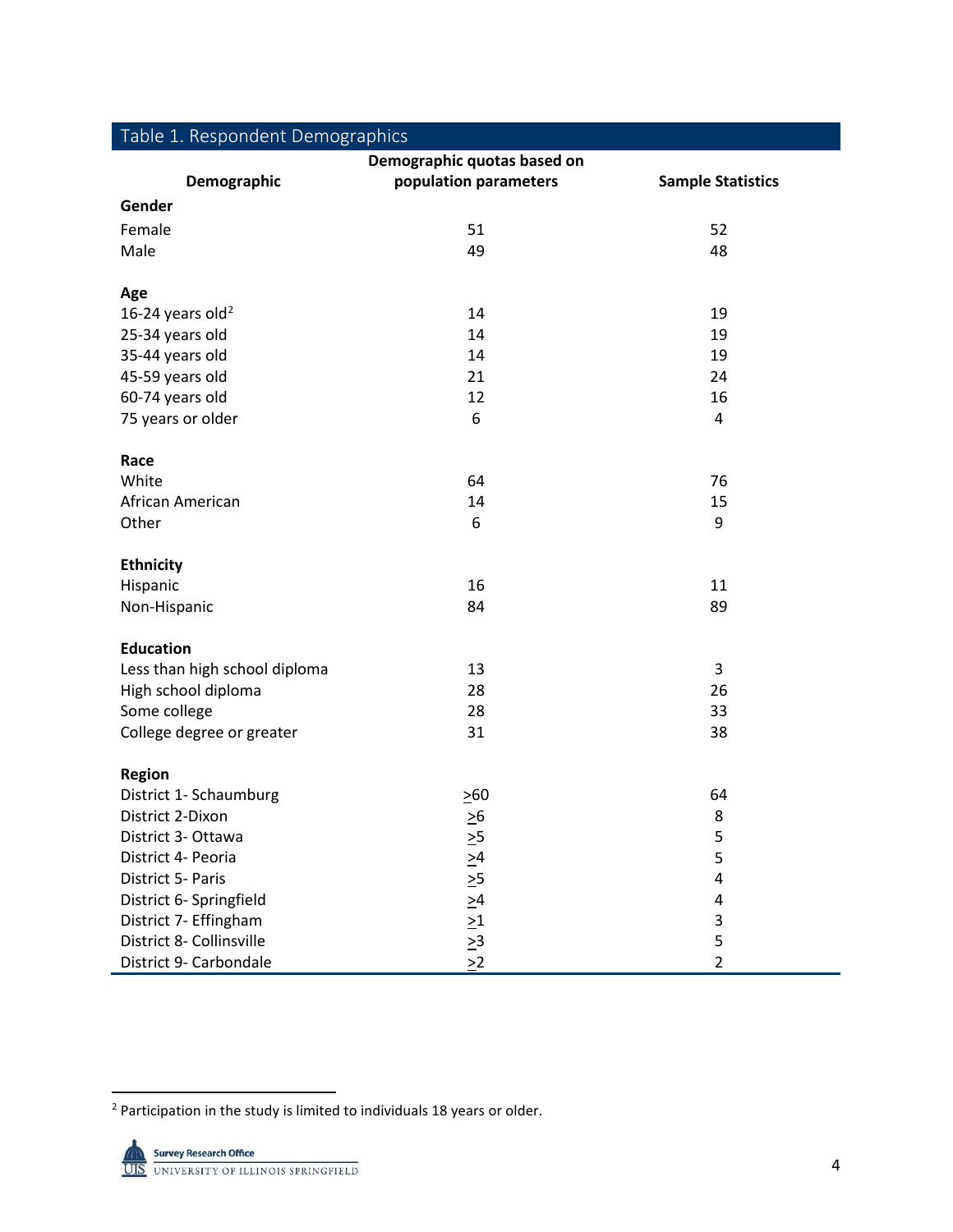| Table 1. Respondent Demographics |                         |                          |  |  |  |
|----------------------------------|-------------------------|--------------------------|--|--|--|
| Demographic quotas based on      |                         |                          |  |  |  |
| Demographic                      | population parameters   | <b>Sample Statistics</b> |  |  |  |
| Gender                           |                         |                          |  |  |  |
| Female                           | 51                      | 52                       |  |  |  |
| Male                             | 49                      | 48                       |  |  |  |
|                                  |                         |                          |  |  |  |
| Age                              |                         |                          |  |  |  |
| 16-24 years old <sup>2</sup>     | 14                      | 19                       |  |  |  |
| 25-34 years old                  | 14                      | 19                       |  |  |  |
| 35-44 years old                  | 14                      | 19                       |  |  |  |
| 45-59 years old                  | 21                      | 24                       |  |  |  |
| 60-74 years old                  | 12                      | 16                       |  |  |  |
| 75 years or older                | 6                       | 4                        |  |  |  |
|                                  |                         |                          |  |  |  |
| Race                             |                         |                          |  |  |  |
| White                            | 64                      | 76                       |  |  |  |
| African American                 | 14                      | 15                       |  |  |  |
| Other                            | 6                       | 9                        |  |  |  |
| <b>Ethnicity</b>                 |                         |                          |  |  |  |
| Hispanic                         | 16                      | 11                       |  |  |  |
| Non-Hispanic                     | 84                      | 89                       |  |  |  |
|                                  |                         |                          |  |  |  |
| <b>Education</b>                 |                         |                          |  |  |  |
| Less than high school diploma    | 13                      | 3                        |  |  |  |
| High school diploma              | 28                      | 26                       |  |  |  |
| Some college                     | 28                      | 33                       |  |  |  |
| College degree or greater        | 31                      | 38                       |  |  |  |
|                                  |                         |                          |  |  |  |
| <b>Region</b>                    |                         |                          |  |  |  |
| District 1- Schaumburg           | $\geq 60$               | 64                       |  |  |  |
| District 2-Dixon                 | $\geq 6$                | 8                        |  |  |  |
| District 3- Ottawa               | $\geq 5$                | 5                        |  |  |  |
| District 4- Peoria               | $\geq 4$                | 5                        |  |  |  |
| District 5- Paris                | $\geq 5$                | 4                        |  |  |  |
| District 6- Springfield          | $\geq 4$                | 4                        |  |  |  |
| District 7- Effingham            | $\geq1$                 | 3                        |  |  |  |
| District 8- Collinsville         | $\frac{\geq 3}{\geq 2}$ | 5                        |  |  |  |
| District 9- Carbondale           |                         | $\overline{2}$           |  |  |  |

<span id="page-5-0"></span><sup>&</sup>lt;sup>2</sup> Participation in the study is limited to individuals 18 years or older.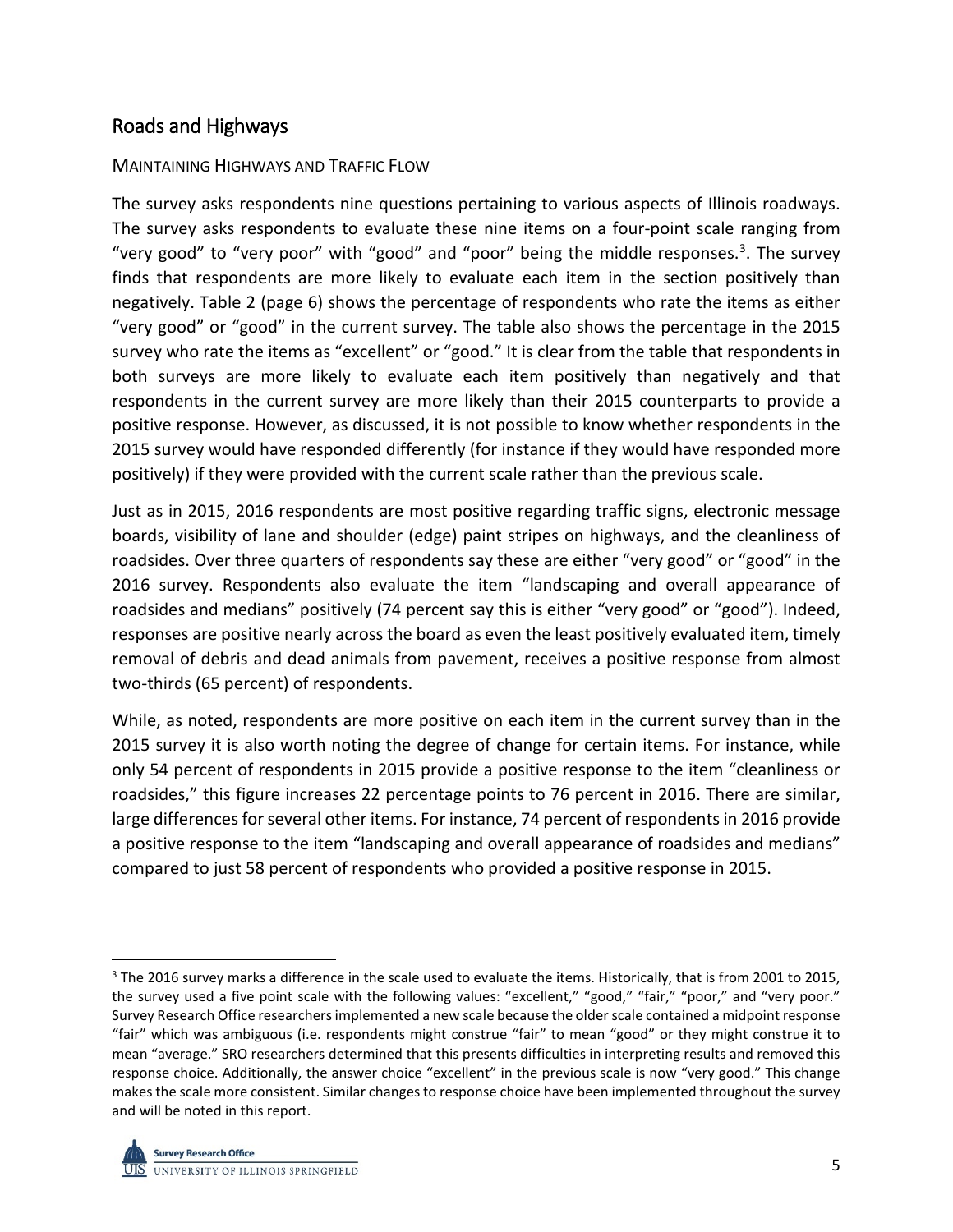## Roads and Highways

#### MAINTAINING HIGHWAYS AND TRAFFIC FLOW

The survey asks respondents nine questions pertaining to various aspects of Illinois roadways. The survey asks respondents to evaluate these nine items on a four-point scale ranging from "very good" to "very poor" with "good" and "poor" being the middle responses.<sup>[3](#page-6-0)</sup>. The survey finds that respondents are more likely to evaluate each item in the section positively than negatively. Table 2 (page 6) shows the percentage of respondents who rate the items as either "very good" or "good" in the current survey. The table also shows the percentage in the 2015 survey who rate the items as "excellent" or "good." It is clear from the table that respondents in both surveys are more likely to evaluate each item positively than negatively and that respondents in the current survey are more likely than their 2015 counterparts to provide a positive response. However, as discussed, it is not possible to know whether respondents in the 2015 survey would have responded differently (for instance if they would have responded more positively) if they were provided with the current scale rather than the previous scale.

Just as in 2015, 2016 respondents are most positive regarding traffic signs, electronic message boards, visibility of lane and shoulder (edge) paint stripes on highways, and the cleanliness of roadsides. Over three quarters of respondents say these are either "very good" or "good" in the 2016 survey. Respondents also evaluate the item "landscaping and overall appearance of roadsides and medians" positively (74 percent say this is either "very good" or "good"). Indeed, responses are positive nearly across the board as even the least positively evaluated item, timely removal of debris and dead animals from pavement, receives a positive response from almost two-thirds (65 percent) of respondents.

While, as noted, respondents are more positive on each item in the current survey than in the 2015 survey it is also worth noting the degree of change for certain items. For instance, while only 54 percent of respondents in 2015 provide a positive response to the item "cleanliness or roadsides," this figure increases 22 percentage points to 76 percent in 2016. There are similar, large differences for several other items. For instance, 74 percent of respondents in 2016 provide a positive response to the item "landscaping and overall appearance of roadsides and medians" compared to just 58 percent of respondents who provided a positive response in 2015.

<span id="page-6-0"></span> $3$  The 2016 survey marks a difference in the scale used to evaluate the items. Historically, that is from 2001 to 2015, the survey used a five point scale with the following values: "excellent," "good," "fair," "poor," and "very poor." Survey Research Office researchers implemented a new scale because the older scale contained a midpoint response "fair" which was ambiguous (i.e. respondents might construe "fair" to mean "good" or they might construe it to mean "average." SRO researchers determined that this presents difficulties in interpreting results and removed this response choice. Additionally, the answer choice "excellent" in the previous scale is now "very good." This change makes the scale more consistent. Similar changes to response choice have been implemented throughout the survey and will be noted in this report.

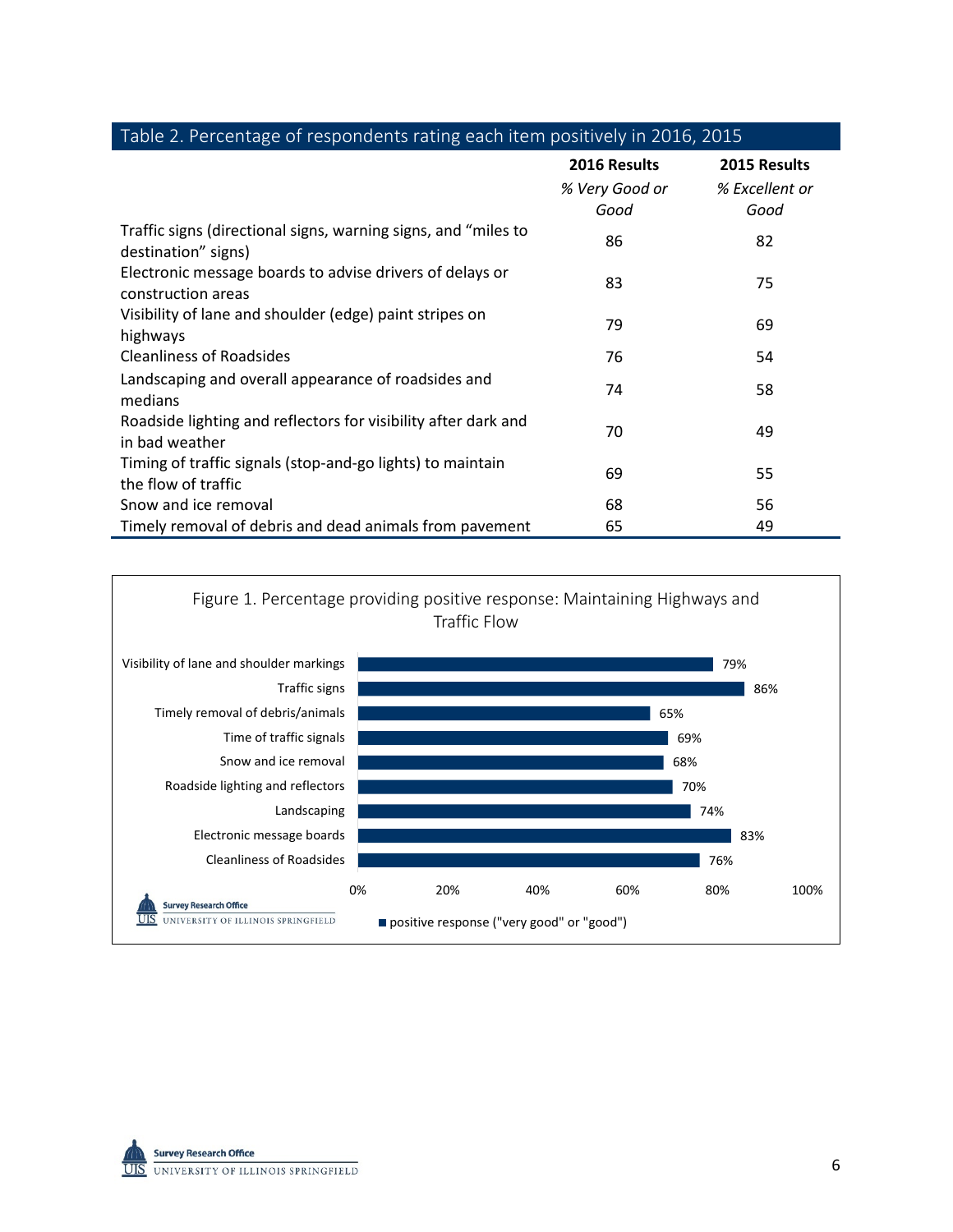|                                                                                       | 2016 Results<br>% Very Good or<br>Good | 2015 Results<br>% Excellent or<br>Good |
|---------------------------------------------------------------------------------------|----------------------------------------|----------------------------------------|
| Traffic signs (directional signs, warning signs, and "miles to<br>destination" signs) | 86                                     | 82                                     |
| Electronic message boards to advise drivers of delays or<br>construction areas        | 83                                     | 75                                     |
| Visibility of lane and shoulder (edge) paint stripes on<br>highways                   | 79                                     | 69                                     |
| <b>Cleanliness of Roadsides</b>                                                       | 76                                     | 54                                     |
| Landscaping and overall appearance of roadsides and<br>medians                        | 74                                     | 58                                     |
| Roadside lighting and reflectors for visibility after dark and<br>in bad weather      | 70                                     | 49                                     |
| Timing of traffic signals (stop-and-go lights) to maintain<br>the flow of traffic     | 69                                     | 55                                     |
| Snow and ice removal                                                                  | 68                                     | 56                                     |
| Timely removal of debris and dead animals from pavement                               | 65                                     | 49                                     |





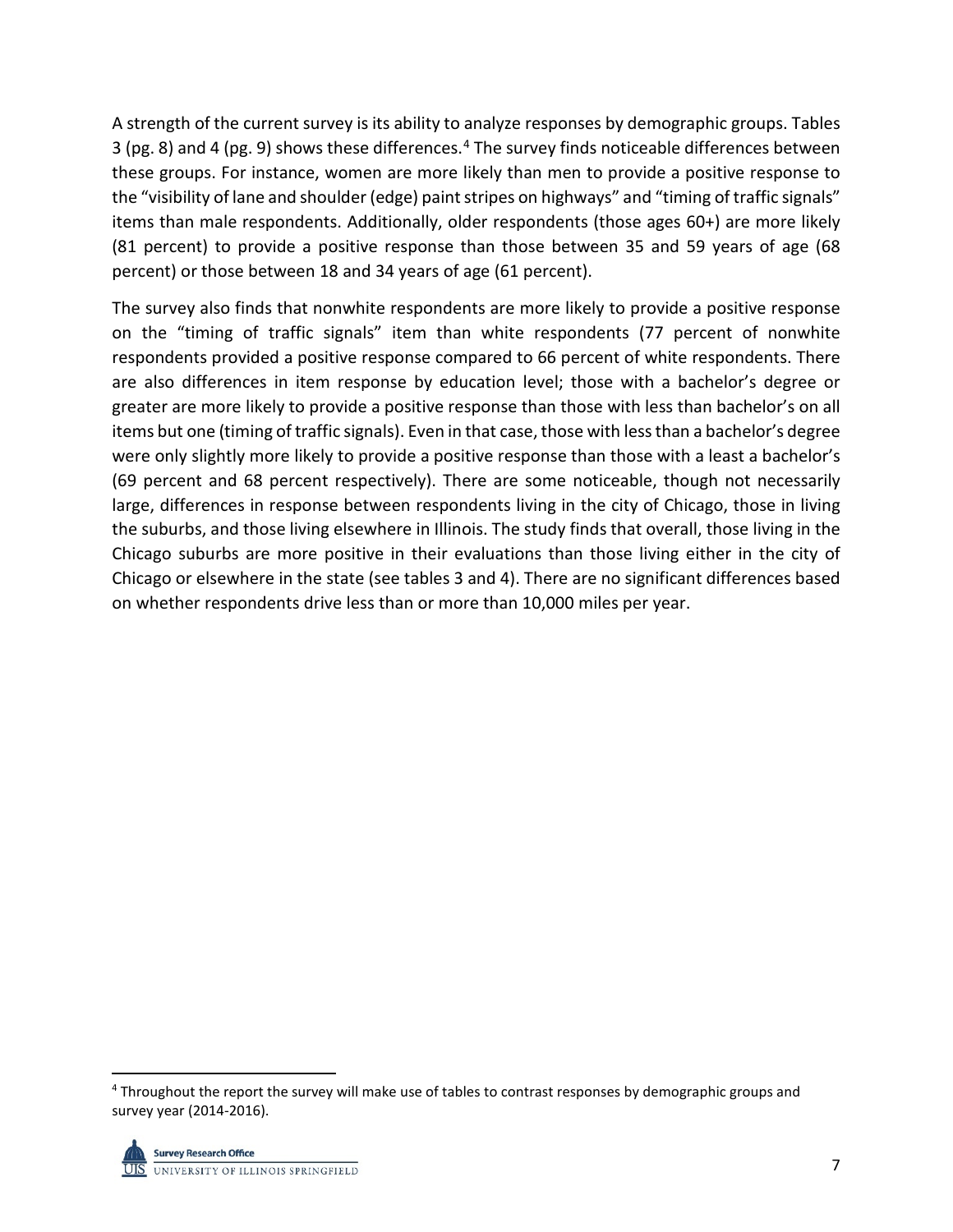A strength of the current survey is its ability to analyze responses by demographic groups. Tables 3 (pg. 8) and 4 (pg. 9) shows these differences.[4](#page-8-0) The survey finds noticeable differences between these groups. For instance, women are more likely than men to provide a positive response to the "visibility of lane and shoulder (edge) paint stripes on highways" and "timing of traffic signals" items than male respondents. Additionally, older respondents (those ages 60+) are more likely (81 percent) to provide a positive response than those between 35 and 59 years of age (68 percent) or those between 18 and 34 years of age (61 percent).

The survey also finds that nonwhite respondents are more likely to provide a positive response on the "timing of traffic signals" item than white respondents (77 percent of nonwhite respondents provided a positive response compared to 66 percent of white respondents. There are also differences in item response by education level; those with a bachelor's degree or greater are more likely to provide a positive response than those with less than bachelor's on all items but one (timing of traffic signals). Even in that case, those with less than a bachelor's degree were only slightly more likely to provide a positive response than those with a least a bachelor's (69 percent and 68 percent respectively). There are some noticeable, though not necessarily large, differences in response between respondents living in the city of Chicago, those in living the suburbs, and those living elsewhere in Illinois. The study finds that overall, those living in the Chicago suburbs are more positive in their evaluations than those living either in the city of Chicago or elsewhere in the state (see tables 3 and 4). There are no significant differences based on whether respondents drive less than or more than 10,000 miles per year.

<span id="page-8-0"></span> <sup>4</sup> Throughout the report the survey will make use of tables to contrast responses by demographic groups and survey year (2014-2016).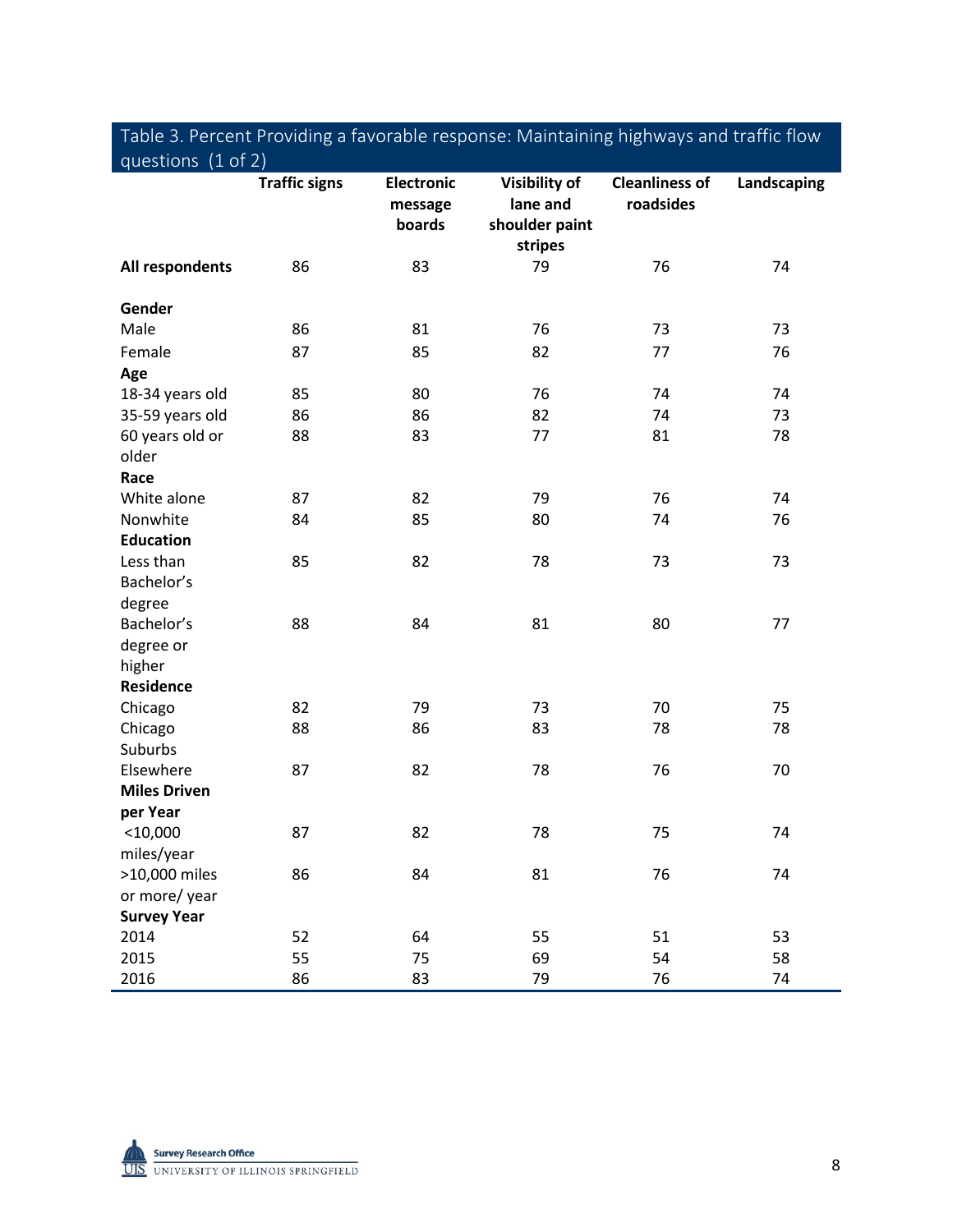| <b>Traffic signs</b><br><b>Electronic</b><br>Visibility of<br><b>Cleanliness of</b><br>Landscaping<br>lane and<br>roadsides<br>message |  |
|----------------------------------------------------------------------------------------------------------------------------------------|--|
| shoulder paint<br>boards<br>stripes                                                                                                    |  |
| 76<br>All respondents<br>86<br>83<br>79<br>74                                                                                          |  |
| Gender                                                                                                                                 |  |
| Male<br>86<br>81<br>76<br>73<br>73                                                                                                     |  |
| 87<br>85<br>82<br>Female<br>77<br>76                                                                                                   |  |
| Age                                                                                                                                    |  |
| 76<br>85<br>80<br>74<br>74<br>18-34 years old                                                                                          |  |
| 86<br>82<br>35-59 years old<br>86<br>74<br>73                                                                                          |  |
| 60 years old or<br>88<br>83<br>77<br>81<br>78                                                                                          |  |
| older                                                                                                                                  |  |
| Race                                                                                                                                   |  |
| White alone<br>87<br>82<br>79<br>76<br>74                                                                                              |  |
| 85<br>80<br>Nonwhite<br>84<br>74<br>76                                                                                                 |  |
| <b>Education</b>                                                                                                                       |  |
| 82<br>78<br>Less than<br>85<br>73<br>73                                                                                                |  |
| Bachelor's                                                                                                                             |  |
| degree                                                                                                                                 |  |
| Bachelor's<br>88<br>84<br>81<br>80<br>77                                                                                               |  |
| degree or                                                                                                                              |  |
| higher                                                                                                                                 |  |
| <b>Residence</b>                                                                                                                       |  |
| Chicago<br>82<br>79<br>73<br>70<br>75                                                                                                  |  |
| 88<br>86<br>83<br>78<br>78<br>Chicago                                                                                                  |  |
| Suburbs                                                                                                                                |  |
| Elsewhere<br>87<br>82<br>78<br>76<br>70                                                                                                |  |
| <b>Miles Driven</b>                                                                                                                    |  |
| per Year                                                                                                                               |  |
| 82<br>$<$ 10,000<br>87<br>78<br>75<br>74                                                                                               |  |
| miles/year<br>74                                                                                                                       |  |
| >10,000 miles<br>86<br>84<br>81<br>76                                                                                                  |  |
| or more/year<br><b>Survey Year</b>                                                                                                     |  |
| 2014<br>52<br>64<br>55<br>51<br>53                                                                                                     |  |
| 55<br>2015<br>75<br>69<br>54<br>58                                                                                                     |  |
| 86<br>83<br>79<br>2016<br>76<br>74                                                                                                     |  |

# Table 3. Percent Providing a favorable response: Maintaining highways and traffic flow

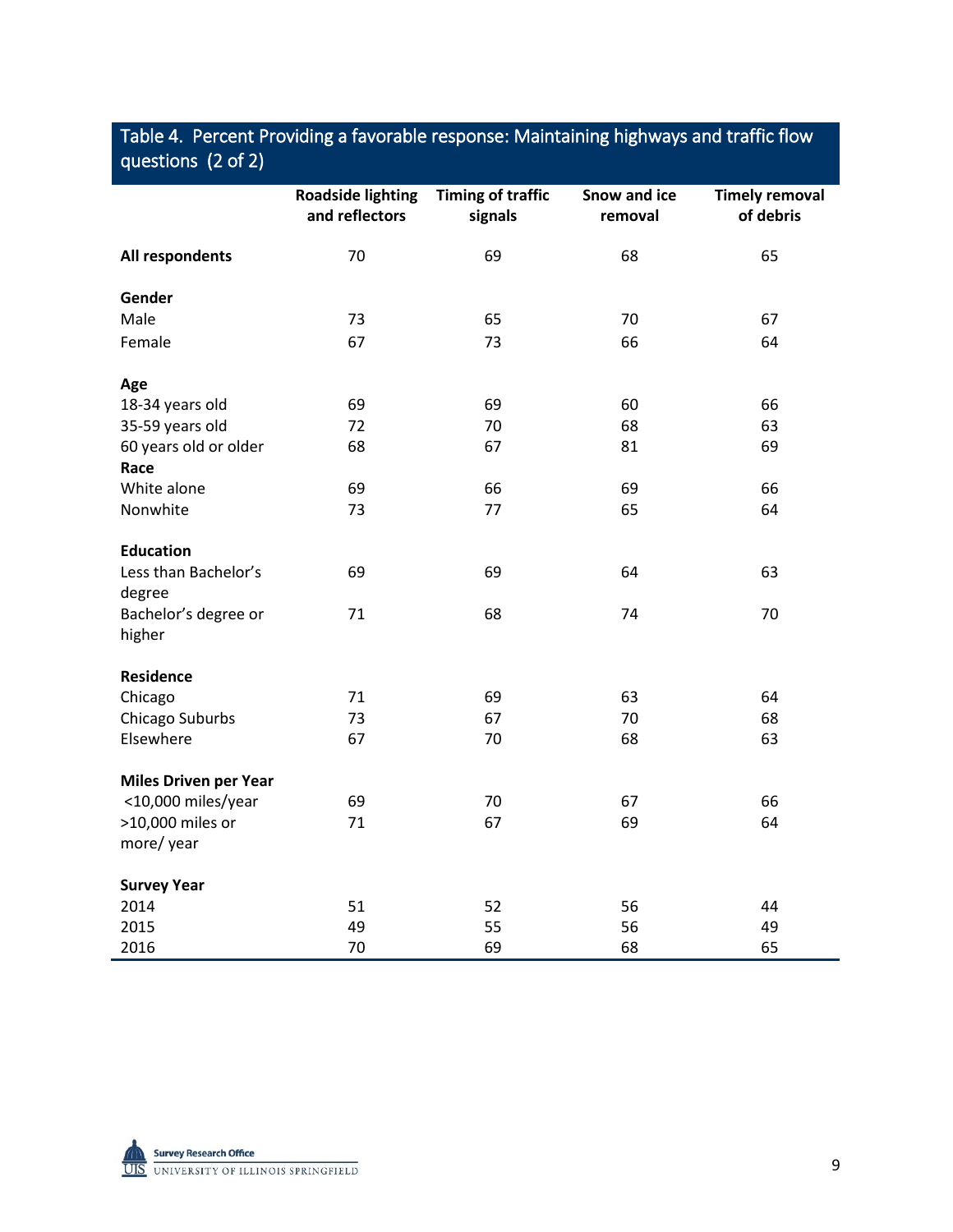## Table 4. Percent Providing a favorable response: Maintaining highways and traffic flow questions (2 of 2)

|                                | <b>Roadside lighting</b><br>and reflectors | <b>Timing of traffic</b><br>signals | Snow and ice<br>removal | <b>Timely removal</b><br>of debris |
|--------------------------------|--------------------------------------------|-------------------------------------|-------------------------|------------------------------------|
| All respondents                | 70                                         | 69                                  | 68                      | 65                                 |
| Gender                         |                                            |                                     |                         |                                    |
| Male                           | 73                                         | 65                                  | 70                      | 67                                 |
| Female                         | 67                                         | 73                                  | 66                      | 64                                 |
| Age                            |                                            |                                     |                         |                                    |
| 18-34 years old                | 69                                         | 69                                  | 60                      | 66                                 |
| 35-59 years old                | 72                                         | 70                                  | 68                      | 63                                 |
| 60 years old or older<br>Race  | 68                                         | 67                                  | 81                      | 69                                 |
| White alone                    | 69                                         | 66                                  | 69                      | 66                                 |
| Nonwhite                       | 73                                         | 77                                  | 65                      | 64                                 |
| <b>Education</b>               |                                            |                                     |                         |                                    |
| Less than Bachelor's<br>degree | 69                                         | 69                                  | 64                      | 63                                 |
| Bachelor's degree or<br>higher | 71                                         | 68                                  | 74                      | 70                                 |
| <b>Residence</b>               |                                            |                                     |                         |                                    |
| Chicago                        | 71                                         | 69                                  | 63                      | 64                                 |
| Chicago Suburbs                | 73                                         | 67                                  | 70                      | 68                                 |
| Elsewhere                      | 67                                         | 70                                  | 68                      | 63                                 |
| <b>Miles Driven per Year</b>   |                                            |                                     |                         |                                    |
| <10,000 miles/year             | 69                                         | 70                                  | 67                      | 66                                 |
| >10,000 miles or               | 71                                         | 67                                  | 69                      | 64                                 |
| more/year                      |                                            |                                     |                         |                                    |
| <b>Survey Year</b>             |                                            |                                     |                         |                                    |
| 2014                           | 51                                         | 52                                  | 56                      | 44                                 |
| 2015                           | 49                                         | 55                                  | 56                      | 49                                 |
| 2016                           | 70                                         | 69                                  | 68                      | 65                                 |

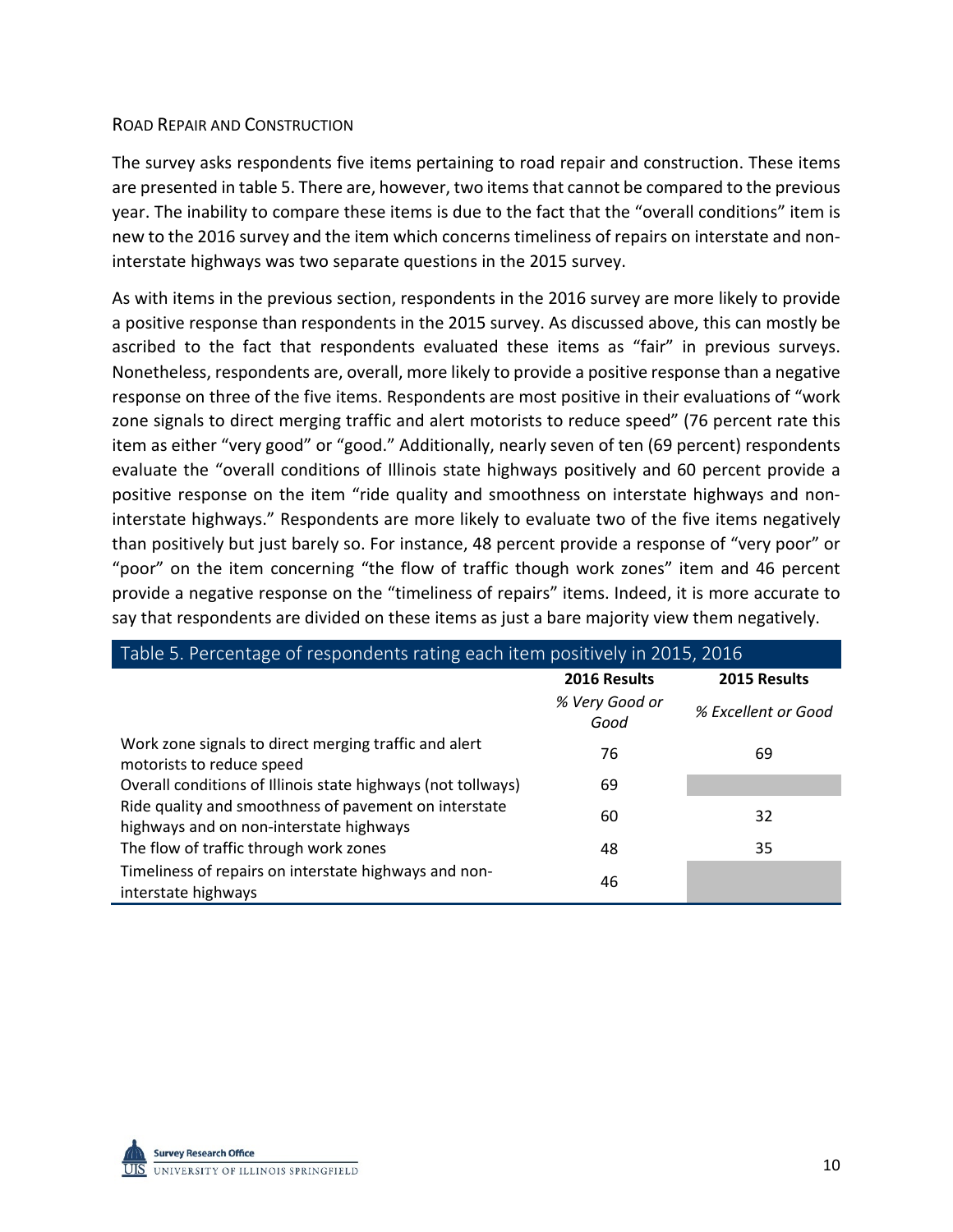#### ROAD REPAIR AND CONSTRUCTION

The survey asks respondents five items pertaining to road repair and construction. These items are presented in table 5. There are, however, two items that cannot be compared to the previous year. The inability to compare these items is due to the fact that the "overall conditions" item is new to the 2016 survey and the item which concerns timeliness of repairs on interstate and noninterstate highways was two separate questions in the 2015 survey.

As with items in the previous section, respondents in the 2016 survey are more likely to provide a positive response than respondents in the 2015 survey. As discussed above, this can mostly be ascribed to the fact that respondents evaluated these items as "fair" in previous surveys. Nonetheless, respondents are, overall, more likely to provide a positive response than a negative response on three of the five items. Respondents are most positive in their evaluations of "work zone signals to direct merging traffic and alert motorists to reduce speed" (76 percent rate this item as either "very good" or "good." Additionally, nearly seven of ten (69 percent) respondents evaluate the "overall conditions of Illinois state highways positively and 60 percent provide a positive response on the item "ride quality and smoothness on interstate highways and noninterstate highways." Respondents are more likely to evaluate two of the five items negatively than positively but just barely so. For instance, 48 percent provide a response of "very poor" or "poor" on the item concerning "the flow of traffic though work zones" item and 46 percent provide a negative response on the "timeliness of repairs" items. Indeed, it is more accurate to say that respondents are divided on these items as just a bare majority view them negatively.

| Table 5. Percentage of respondents rating each item positively in 2015, 2016                     |                        |                     |  |  |
|--------------------------------------------------------------------------------------------------|------------------------|---------------------|--|--|
|                                                                                                  | 2016 Results           | 2015 Results        |  |  |
|                                                                                                  | % Very Good or<br>Good | % Excellent or Good |  |  |
| Work zone signals to direct merging traffic and alert<br>motorists to reduce speed               | 76                     | 69                  |  |  |
| Overall conditions of Illinois state highways (not tollways)                                     | 69                     |                     |  |  |
| Ride quality and smoothness of pavement on interstate<br>highways and on non-interstate highways | 60                     | 32                  |  |  |
| The flow of traffic through work zones                                                           | 48                     | 35                  |  |  |
| Timeliness of repairs on interstate highways and non-<br>interstate highways                     | 46                     |                     |  |  |

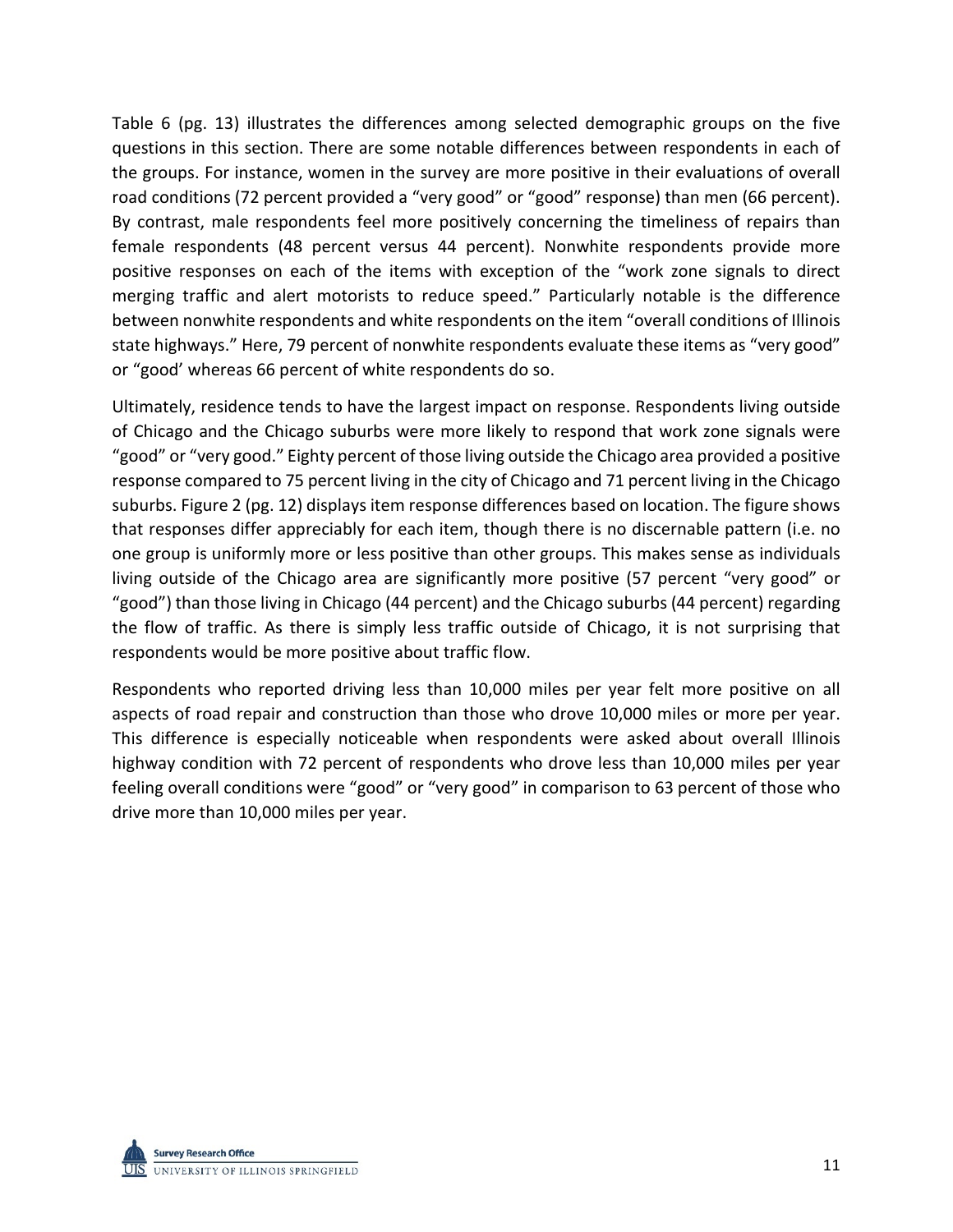Table 6 (pg. 13) illustrates the differences among selected demographic groups on the five questions in this section. There are some notable differences between respondents in each of the groups. For instance, women in the survey are more positive in their evaluations of overall road conditions (72 percent provided a "very good" or "good" response) than men (66 percent). By contrast, male respondents feel more positively concerning the timeliness of repairs than female respondents (48 percent versus 44 percent). Nonwhite respondents provide more positive responses on each of the items with exception of the "work zone signals to direct merging traffic and alert motorists to reduce speed." Particularly notable is the difference between nonwhite respondents and white respondents on the item "overall conditions of Illinois state highways." Here, 79 percent of nonwhite respondents evaluate these items as "very good" or "good' whereas 66 percent of white respondents do so.

Ultimately, residence tends to have the largest impact on response. Respondents living outside of Chicago and the Chicago suburbs were more likely to respond that work zone signals were "good" or "very good." Eighty percent of those living outside the Chicago area provided a positive response compared to 75 percent living in the city of Chicago and 71 percent living in the Chicago suburbs. Figure 2 (pg. 12) displays item response differences based on location. The figure shows that responses differ appreciably for each item, though there is no discernable pattern (i.e. no one group is uniformly more or less positive than other groups. This makes sense as individuals living outside of the Chicago area are significantly more positive (57 percent "very good" or "good") than those living in Chicago (44 percent) and the Chicago suburbs (44 percent) regarding the flow of traffic. As there is simply less traffic outside of Chicago, it is not surprising that respondents would be more positive about traffic flow.

Respondents who reported driving less than 10,000 miles per year felt more positive on all aspects of road repair and construction than those who drove 10,000 miles or more per year. This difference is especially noticeable when respondents were asked about overall Illinois highway condition with 72 percent of respondents who drove less than 10,000 miles per year feeling overall conditions were "good" or "very good" in comparison to 63 percent of those who drive more than 10,000 miles per year.

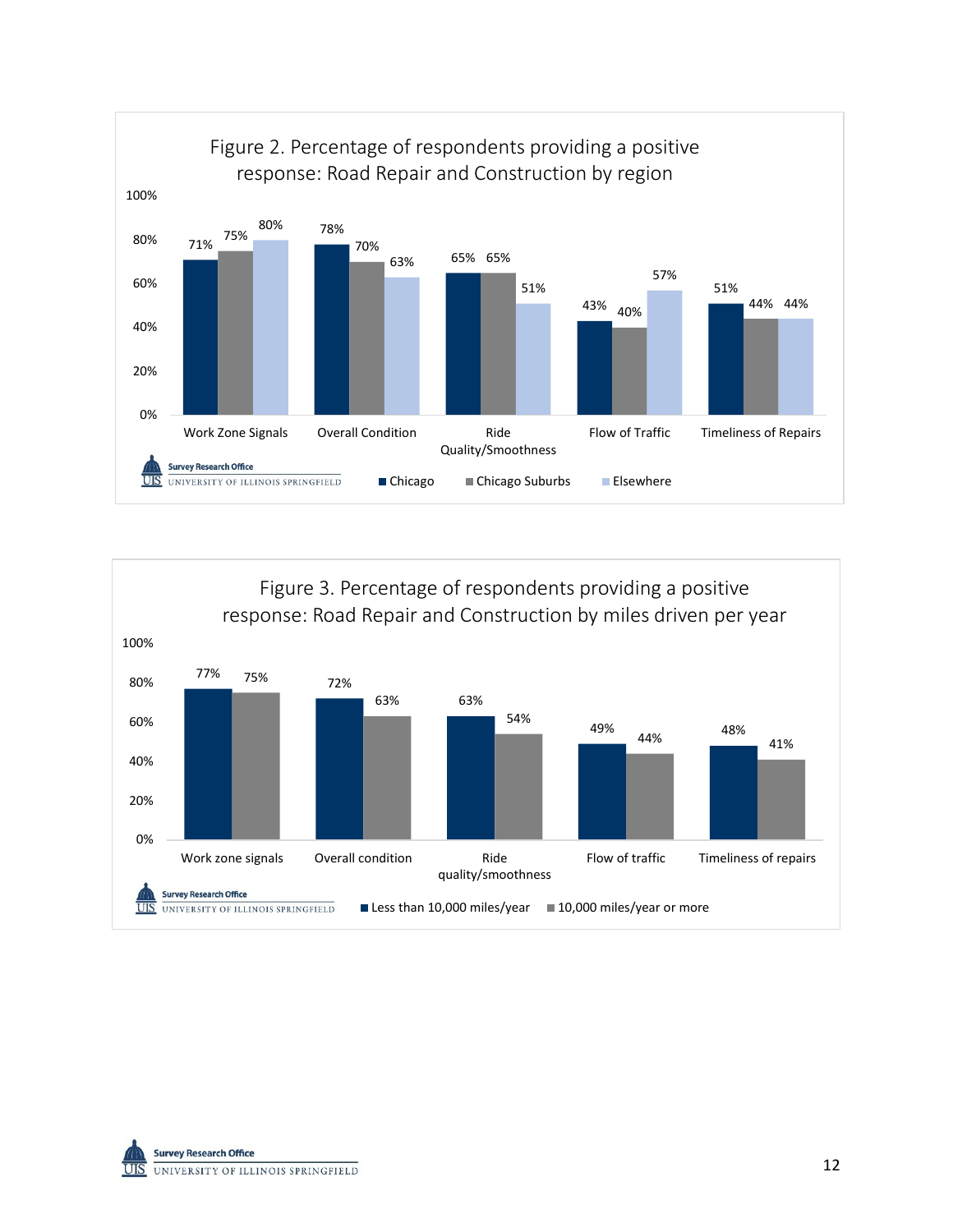



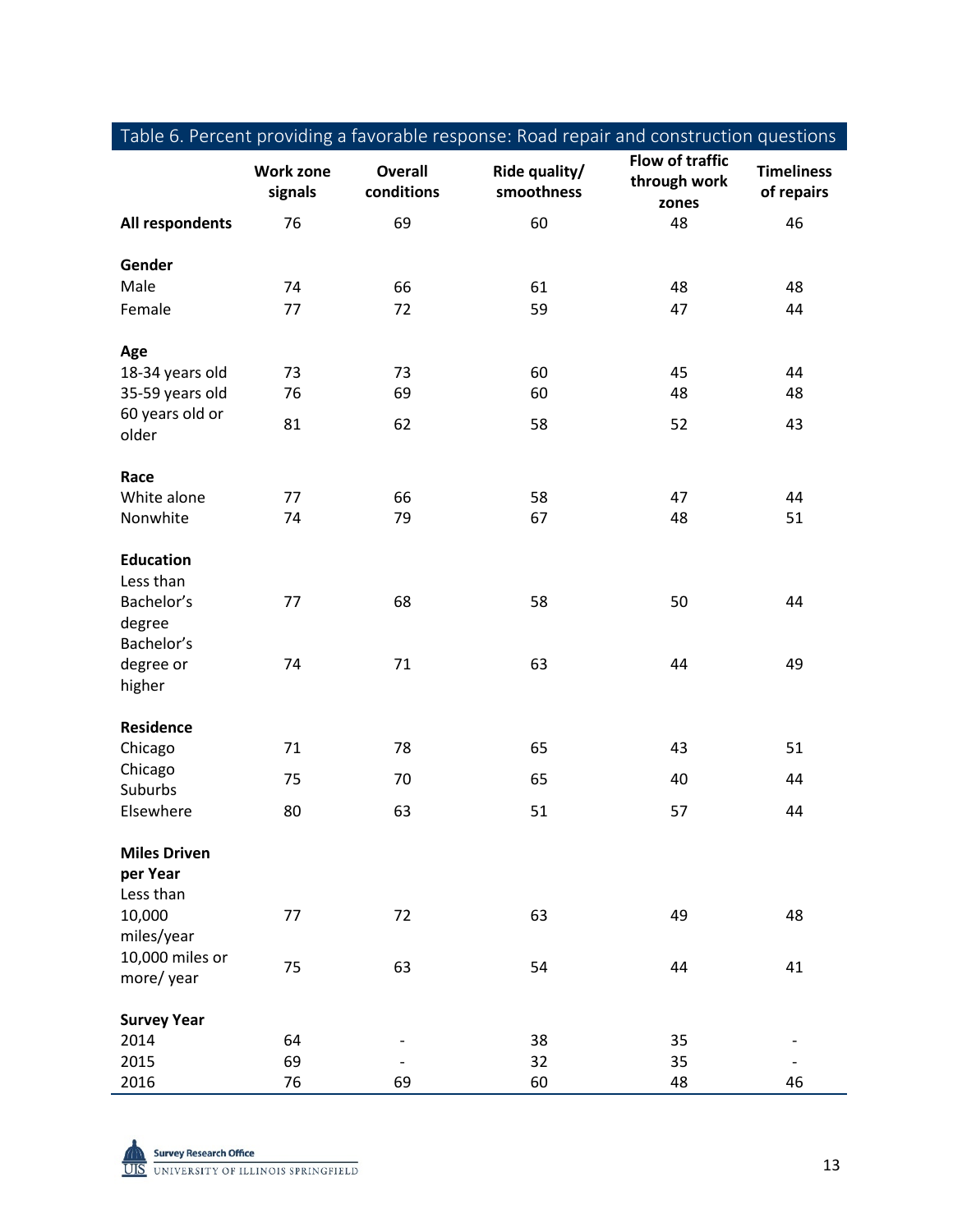|                     |                             |                              | rabic 6. I Credit providing a favorable response. Hodd repair and construction questions |                                          |                                 |
|---------------------|-----------------------------|------------------------------|------------------------------------------------------------------------------------------|------------------------------------------|---------------------------------|
|                     | <b>Work zone</b><br>signals | <b>Overall</b><br>conditions | Ride quality/<br>smoothness                                                              | Flow of traffic<br>through work<br>zones | <b>Timeliness</b><br>of repairs |
| All respondents     | 76                          | 69                           | 60                                                                                       | 48                                       | 46                              |
|                     |                             |                              |                                                                                          |                                          |                                 |
| Gender              |                             |                              |                                                                                          |                                          |                                 |
| Male                | 74                          | 66                           | 61                                                                                       | 48                                       | 48                              |
| Female              | 77                          | 72                           | 59                                                                                       | 47                                       | 44                              |
|                     |                             |                              |                                                                                          |                                          |                                 |
| Age                 |                             |                              |                                                                                          |                                          |                                 |
| 18-34 years old     | 73                          | 73                           | 60                                                                                       | 45                                       | 44                              |
| 35-59 years old     | 76                          | 69                           | 60                                                                                       | 48                                       | 48                              |
| 60 years old or     | 81                          | 62                           | 58                                                                                       | 52                                       | 43                              |
| older               |                             |                              |                                                                                          |                                          |                                 |
| Race                |                             |                              |                                                                                          |                                          |                                 |
| White alone         | 77                          | 66                           | 58                                                                                       | 47                                       | 44                              |
| Nonwhite            | 74                          | 79                           | 67                                                                                       | 48                                       | 51                              |
|                     |                             |                              |                                                                                          |                                          |                                 |
| <b>Education</b>    |                             |                              |                                                                                          |                                          |                                 |
| Less than           |                             |                              |                                                                                          |                                          |                                 |
| Bachelor's          | 77                          | 68                           | 58                                                                                       | 50                                       | 44                              |
| degree              |                             |                              |                                                                                          |                                          |                                 |
| Bachelor's          |                             |                              |                                                                                          |                                          |                                 |
| degree or           | 74                          | 71                           | 63                                                                                       | 44                                       | 49                              |
| higher              |                             |                              |                                                                                          |                                          |                                 |
|                     |                             |                              |                                                                                          |                                          |                                 |
| <b>Residence</b>    |                             |                              |                                                                                          |                                          |                                 |
| Chicago             | 71                          | 78                           | 65                                                                                       | 43                                       | 51                              |
| Chicago             | 75                          | 70                           | 65                                                                                       | 40                                       | 44                              |
| Suburbs             |                             |                              |                                                                                          |                                          |                                 |
| Elsewhere           | 80                          | 63                           | 51                                                                                       | 57                                       | 44                              |
| <b>Miles Driven</b> |                             |                              |                                                                                          |                                          |                                 |
| per Year            |                             |                              |                                                                                          |                                          |                                 |
| Less than           |                             |                              |                                                                                          |                                          |                                 |
| 10,000              | 77                          | 72                           | 63                                                                                       | 49                                       | 48                              |
| miles/year          |                             |                              |                                                                                          |                                          |                                 |
| 10,000 miles or     |                             |                              |                                                                                          |                                          |                                 |
| more/year           | 75                          | 63                           | 54                                                                                       | 44                                       | 41                              |
|                     |                             |                              |                                                                                          |                                          |                                 |
| <b>Survey Year</b>  |                             |                              |                                                                                          |                                          |                                 |
| 2014                | 64                          |                              | 38                                                                                       | 35                                       |                                 |
| 2015                | 69                          |                              | 32                                                                                       | 35                                       |                                 |
| 2016                | 76                          | 69                           | 60                                                                                       | 48                                       | 46                              |

Table 6. Percent providing a favorable response: Road repair and construction questions

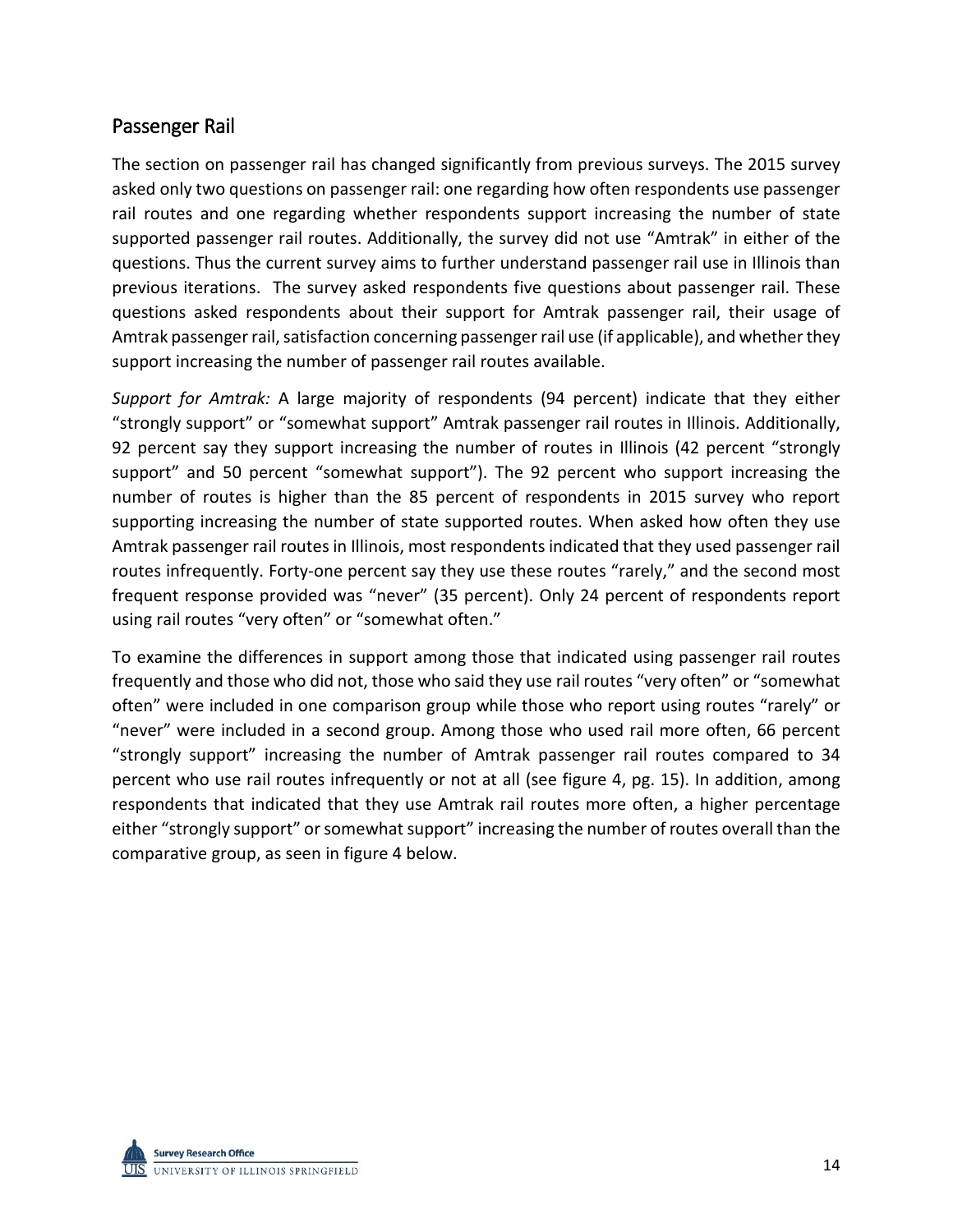## Passenger Rail

The section on passenger rail has changed significantly from previous surveys. The 2015 survey asked only two questions on passenger rail: one regarding how often respondents use passenger rail routes and one regarding whether respondents support increasing the number of state supported passenger rail routes. Additionally, the survey did not use "Amtrak" in either of the questions. Thus the current survey aims to further understand passenger rail use in Illinois than previous iterations. The survey asked respondents five questions about passenger rail. These questions asked respondents about their support for Amtrak passenger rail, their usage of Amtrak passenger rail, satisfaction concerning passenger rail use (if applicable), and whether they support increasing the number of passenger rail routes available.

*Support for Amtrak:* A large majority of respondents (94 percent) indicate that they either "strongly support" or "somewhat support" Amtrak passenger rail routes in Illinois. Additionally, 92 percent say they support increasing the number of routes in Illinois (42 percent "strongly support" and 50 percent "somewhat support"). The 92 percent who support increasing the number of routes is higher than the 85 percent of respondents in 2015 survey who report supporting increasing the number of state supported routes. When asked how often they use Amtrak passenger rail routes in Illinois, most respondents indicated that they used passenger rail routes infrequently. Forty-one percent say they use these routes "rarely," and the second most frequent response provided was "never" (35 percent). Only 24 percent of respondents report using rail routes "very often" or "somewhat often."

To examine the differences in support among those that indicated using passenger rail routes frequently and those who did not, those who said they use rail routes "very often" or "somewhat often" were included in one comparison group while those who report using routes "rarely" or "never" were included in a second group. Among those who used rail more often, 66 percent "strongly support" increasing the number of Amtrak passenger rail routes compared to 34 percent who use rail routes infrequently or not at all (see figure 4, pg. 15). In addition, among respondents that indicated that they use Amtrak rail routes more often, a higher percentage either "strongly support" or somewhat support" increasing the number of routes overall than the comparative group, as seen in figure 4 below.

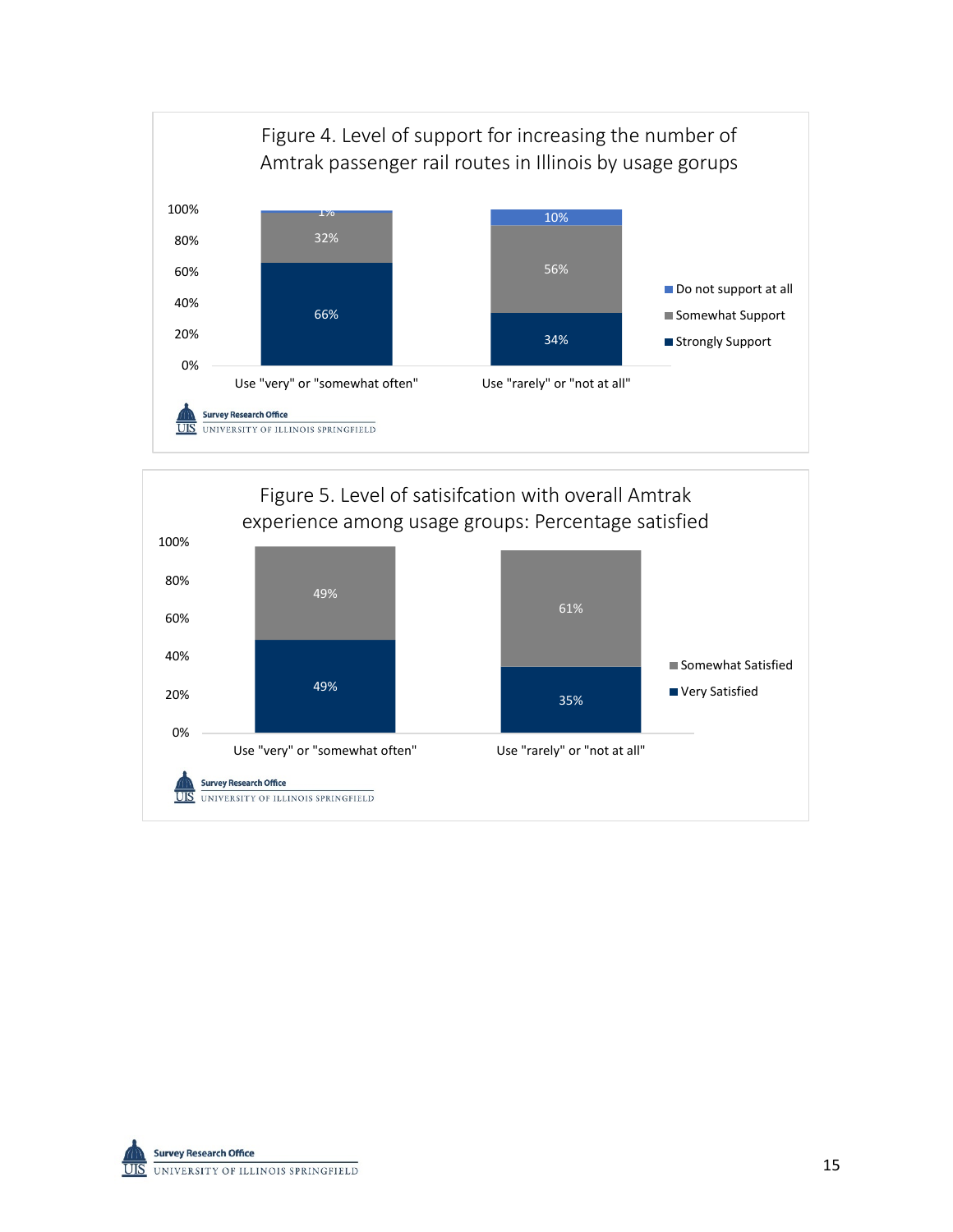



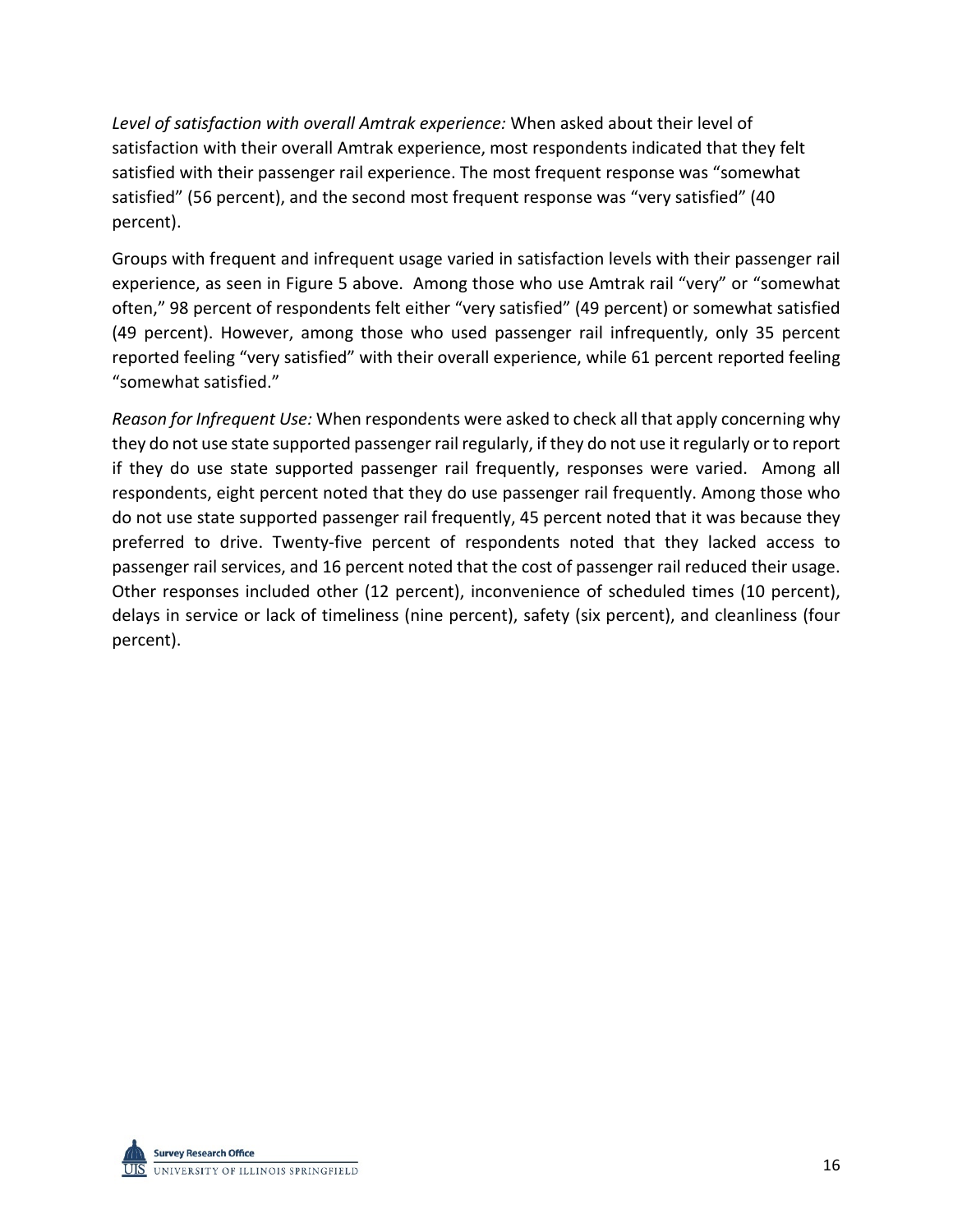*Level of satisfaction with overall Amtrak experience:* When asked about their level of satisfaction with their overall Amtrak experience, most respondents indicated that they felt satisfied with their passenger rail experience. The most frequent response was "somewhat satisfied" (56 percent), and the second most frequent response was "very satisfied" (40 percent).

Groups with frequent and infrequent usage varied in satisfaction levels with their passenger rail experience, as seen in Figure 5 above. Among those who use Amtrak rail "very" or "somewhat often," 98 percent of respondents felt either "very satisfied" (49 percent) or somewhat satisfied (49 percent). However, among those who used passenger rail infrequently, only 35 percent reported feeling "very satisfied" with their overall experience, while 61 percent reported feeling "somewhat satisfied."

*Reason for Infrequent Use:* When respondents were asked to check all that apply concerning why they do not use state supported passenger rail regularly, if they do not use it regularly or to report if they do use state supported passenger rail frequently, responses were varied. Among all respondents, eight percent noted that they do use passenger rail frequently. Among those who do not use state supported passenger rail frequently, 45 percent noted that it was because they preferred to drive. Twenty-five percent of respondents noted that they lacked access to passenger rail services, and 16 percent noted that the cost of passenger rail reduced their usage. Other responses included other (12 percent), inconvenience of scheduled times (10 percent), delays in service or lack of timeliness (nine percent), safety (six percent), and cleanliness (four percent).

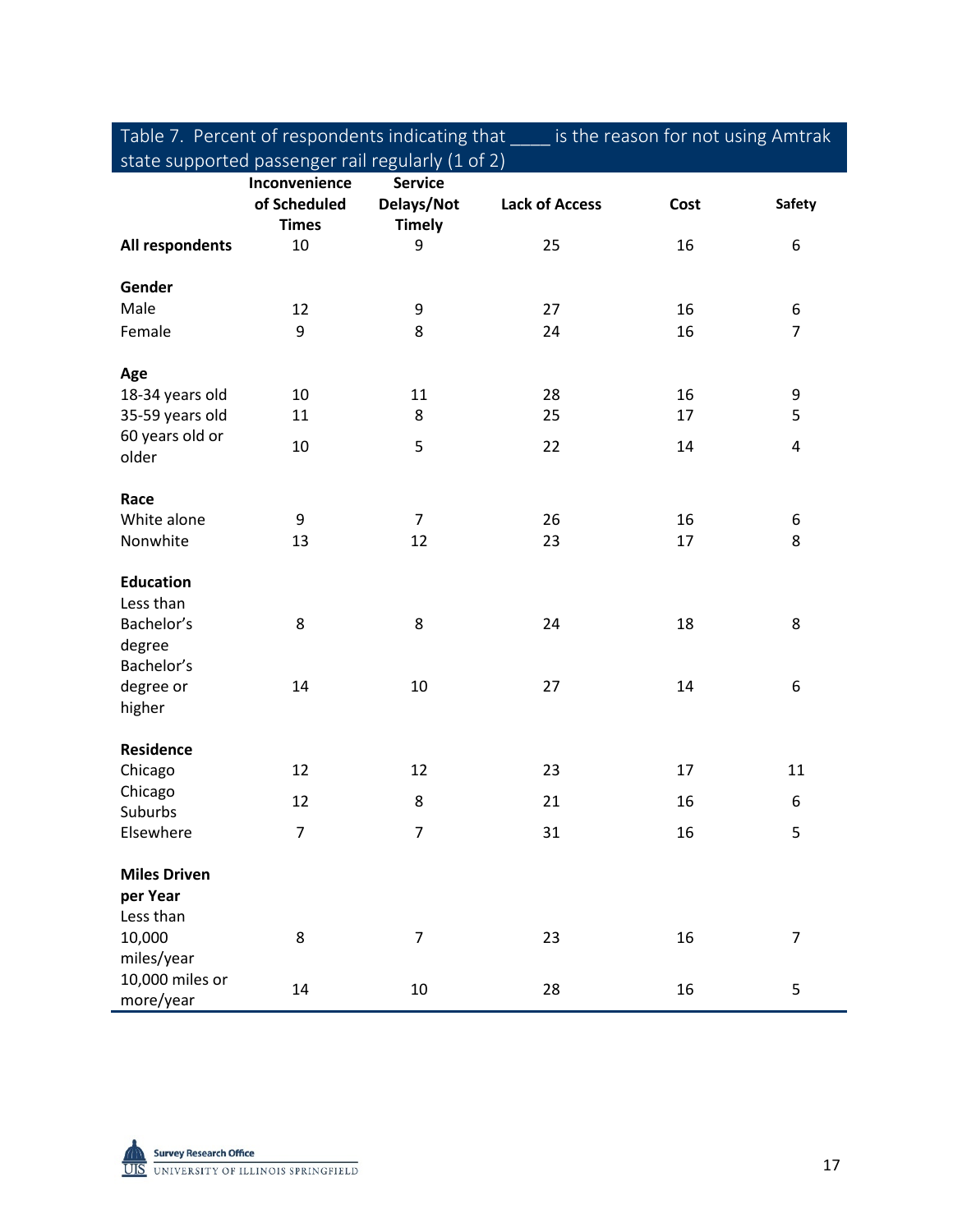Table 7. Percent of respondents indicating that \_\_\_\_ is the reason for not using Amtrak state supported passenger rail regularly (1 of 2)

|                               | Inconvenience<br>of Scheduled<br><b>Times</b> | <b>Service</b><br>Delays/Not<br><b>Timely</b> | <b>Lack of Access</b> | Cost | <b>Safety</b>  |
|-------------------------------|-----------------------------------------------|-----------------------------------------------|-----------------------|------|----------------|
| All respondents               | 10                                            | 9                                             | 25                    | 16   | 6              |
| Gender                        |                                               |                                               |                       |      |                |
| Male                          | 12                                            | 9                                             | 27                    | 16   | 6              |
| Female                        | 9                                             | 8                                             | 24                    | 16   | $\overline{7}$ |
| Age                           |                                               |                                               |                       |      |                |
| 18-34 years old               | 10                                            | 11                                            | 28                    | 16   | 9              |
| 35-59 years old               | 11                                            | 8                                             | 25                    | 17   | 5              |
| 60 years old or<br>older      | 10                                            | 5                                             | 22                    | 14   | $\overline{4}$ |
| Race                          |                                               |                                               |                       |      |                |
| White alone                   | 9                                             | $\overline{7}$                                | 26                    | 16   | 6              |
| Nonwhite                      | 13                                            | 12                                            | 23                    | 17   | 8              |
| <b>Education</b><br>Less than |                                               |                                               |                       |      |                |
| Bachelor's                    | 8                                             | 8                                             | 24                    | 18   | 8              |
| degree                        |                                               |                                               |                       |      |                |
| Bachelor's                    |                                               |                                               |                       |      |                |
| degree or                     | 14                                            | 10                                            | 27                    | 14   | 6              |
| higher                        |                                               |                                               |                       |      |                |
| Residence                     |                                               |                                               |                       |      |                |
| Chicago                       | 12                                            | 12                                            | 23                    | 17   | 11             |
| Chicago<br>Suburbs            | 12                                            | 8                                             | 21                    | 16   | 6              |
| Elsewhere                     | $\overline{7}$                                | 7                                             | 31                    | 16   | 5              |
| <b>Miles Driven</b>           |                                               |                                               |                       |      |                |
| per Year                      |                                               |                                               |                       |      |                |
| Less than                     |                                               |                                               |                       |      |                |
| 10,000                        | 8                                             | $\overline{7}$                                | 23                    | 16   | $\overline{7}$ |
| miles/year                    |                                               |                                               |                       |      |                |
| 10,000 miles or<br>more/year  | 14                                            | $10\,$                                        | 28                    | 16   | 5              |

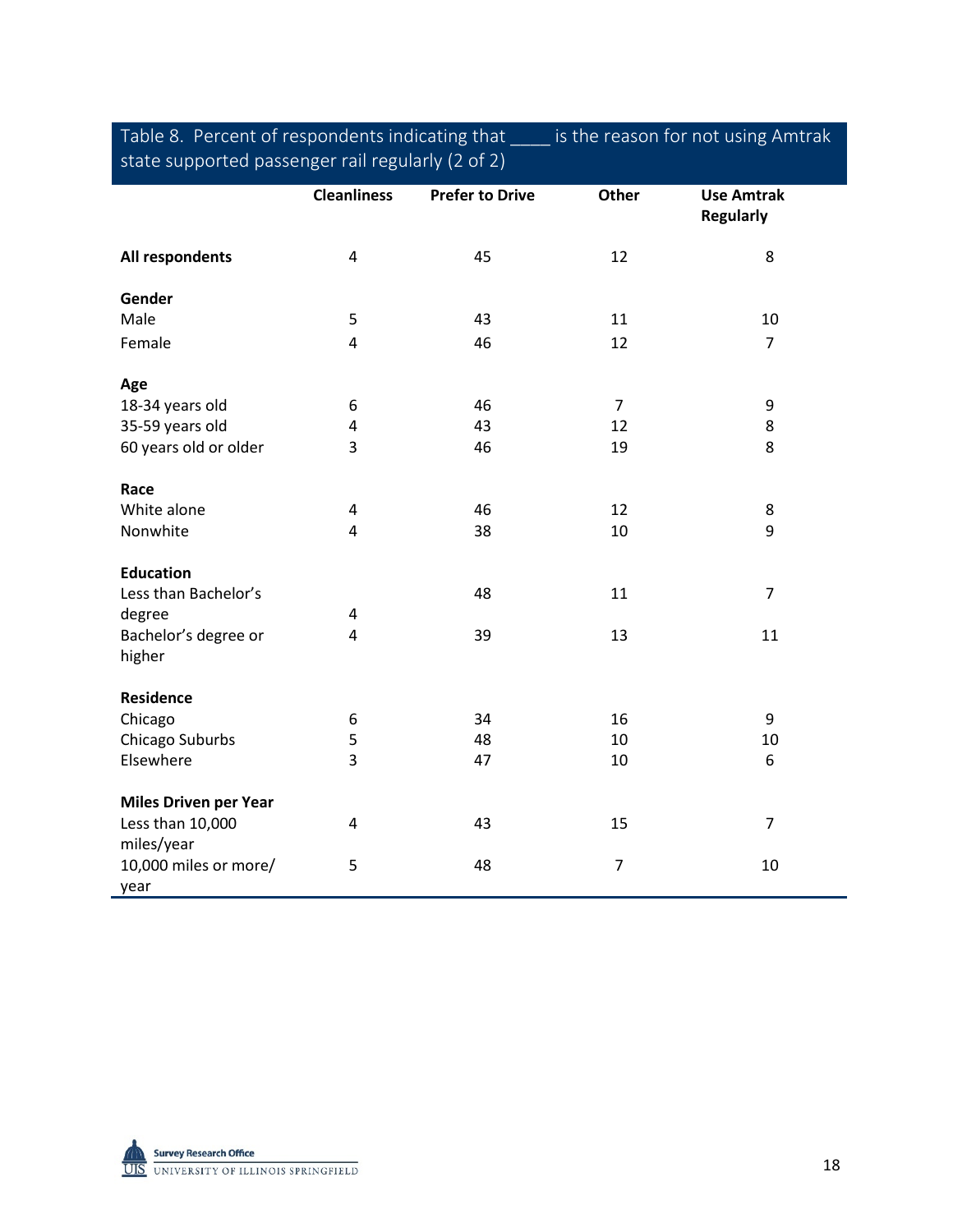| Table 8. Percent of respondents indicating that   | is the reason for not using Amtrak |
|---------------------------------------------------|------------------------------------|
| state supported passenger rail regularly (2 of 2) |                                    |

|                                | <b>Cleanliness</b>      | <b>Prefer to Drive</b> | <b>Other</b>   | <b>Use Amtrak</b><br><b>Regularly</b> |
|--------------------------------|-------------------------|------------------------|----------------|---------------------------------------|
| All respondents                | $\sqrt{4}$              | 45                     | 12             | 8                                     |
| Gender                         |                         |                        |                |                                       |
| Male                           | 5                       | 43                     | 11             | 10                                    |
| Female                         | 4                       | 46                     | 12             | $\overline{7}$                        |
| Age                            |                         |                        |                |                                       |
| 18-34 years old                | 6                       | 46                     | $\overline{7}$ | 9                                     |
| 35-59 years old                | 4                       | 43                     | 12             | 8                                     |
| 60 years old or older          | 3                       | 46                     | 19             | 8                                     |
| Race                           |                         |                        |                |                                       |
| White alone                    | 4                       | 46                     | 12             | 8                                     |
| Nonwhite                       | $\overline{\mathbf{4}}$ | 38                     | 10             | 9                                     |
| <b>Education</b>               |                         |                        |                |                                       |
| Less than Bachelor's           |                         | 48                     | 11             | $\overline{7}$                        |
| degree                         | 4                       |                        |                |                                       |
| Bachelor's degree or<br>higher | 4                       | 39                     | 13             | 11                                    |
| <b>Residence</b>               |                         |                        |                |                                       |
| Chicago                        | 6                       | 34                     | 16             | 9                                     |
| Chicago Suburbs                | 5                       | 48                     | 10             | 10                                    |
| Elsewhere                      | 3                       | 47                     | 10             | 6                                     |
| <b>Miles Driven per Year</b>   |                         |                        |                |                                       |
| Less than 10,000<br>miles/year | $\sqrt{4}$              | 43                     | 15             | $\overline{7}$                        |
| 10,000 miles or more/<br>year  | 5                       | 48                     | $\overline{7}$ | 10                                    |

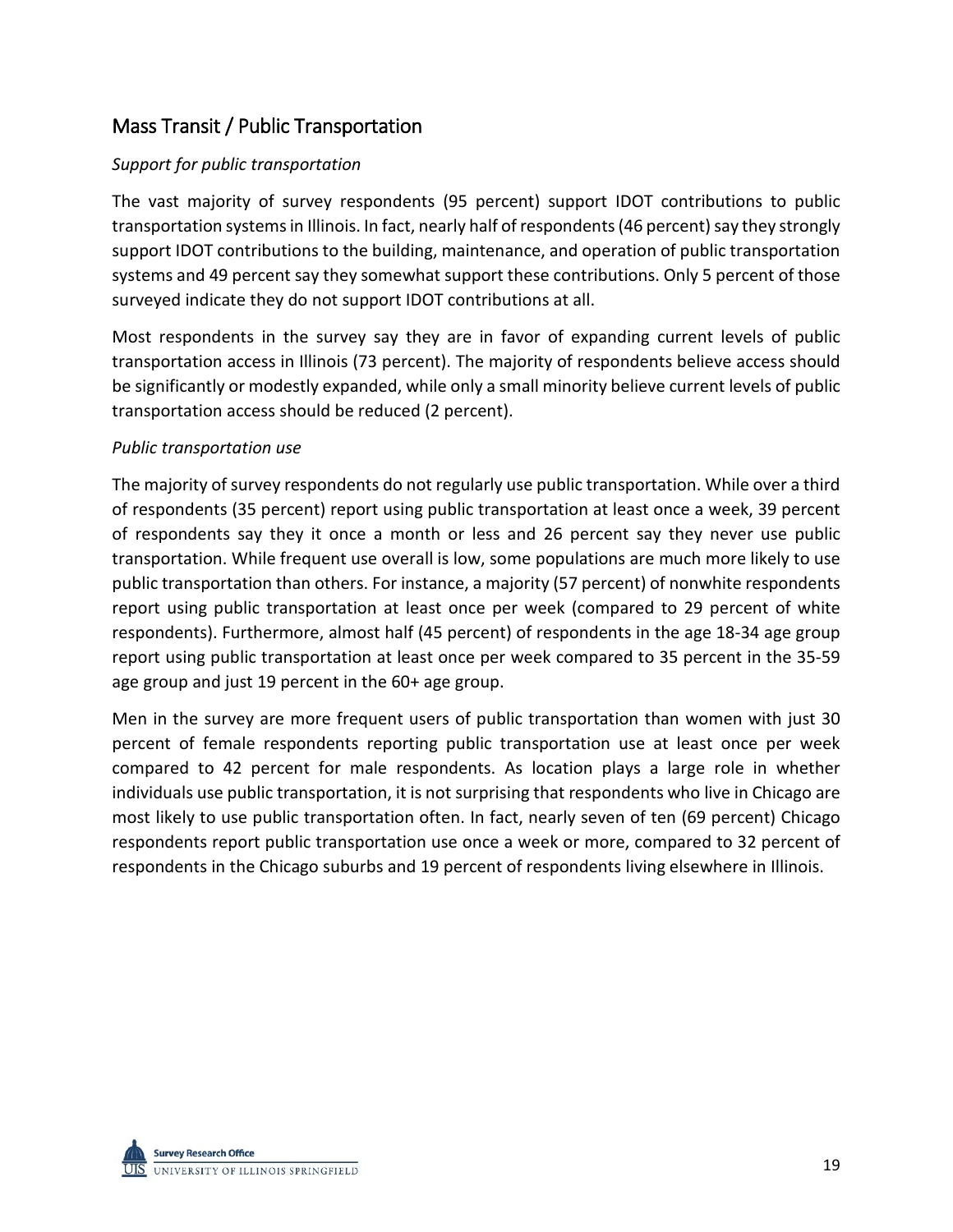## Mass Transit / Public Transportation

## *Support for public transportation*

The vast majority of survey respondents (95 percent) support IDOT contributions to public transportation systems in Illinois. In fact, nearly half of respondents (46 percent) say they strongly support IDOT contributions to the building, maintenance, and operation of public transportation systems and 49 percent say they somewhat support these contributions. Only 5 percent of those surveyed indicate they do not support IDOT contributions at all.

Most respondents in the survey say they are in favor of expanding current levels of public transportation access in Illinois (73 percent). The majority of respondents believe access should be significantly or modestly expanded, while only a small minority believe current levels of public transportation access should be reduced (2 percent).

#### *Public transportation use*

The majority of survey respondents do not regularly use public transportation. While over a third of respondents (35 percent) report using public transportation at least once a week, 39 percent of respondents say they it once a month or less and 26 percent say they never use public transportation. While frequent use overall is low, some populations are much more likely to use public transportation than others. For instance, a majority (57 percent) of nonwhite respondents report using public transportation at least once per week (compared to 29 percent of white respondents). Furthermore, almost half (45 percent) of respondents in the age 18-34 age group report using public transportation at least once per week compared to 35 percent in the 35-59 age group and just 19 percent in the 60+ age group.

Men in the survey are more frequent users of public transportation than women with just 30 percent of female respondents reporting public transportation use at least once per week compared to 42 percent for male respondents. As location plays a large role in whether individuals use public transportation, it is not surprising that respondents who live in Chicago are most likely to use public transportation often. In fact, nearly seven of ten (69 percent) Chicago respondents report public transportation use once a week or more, compared to 32 percent of respondents in the Chicago suburbs and 19 percent of respondents living elsewhere in Illinois.

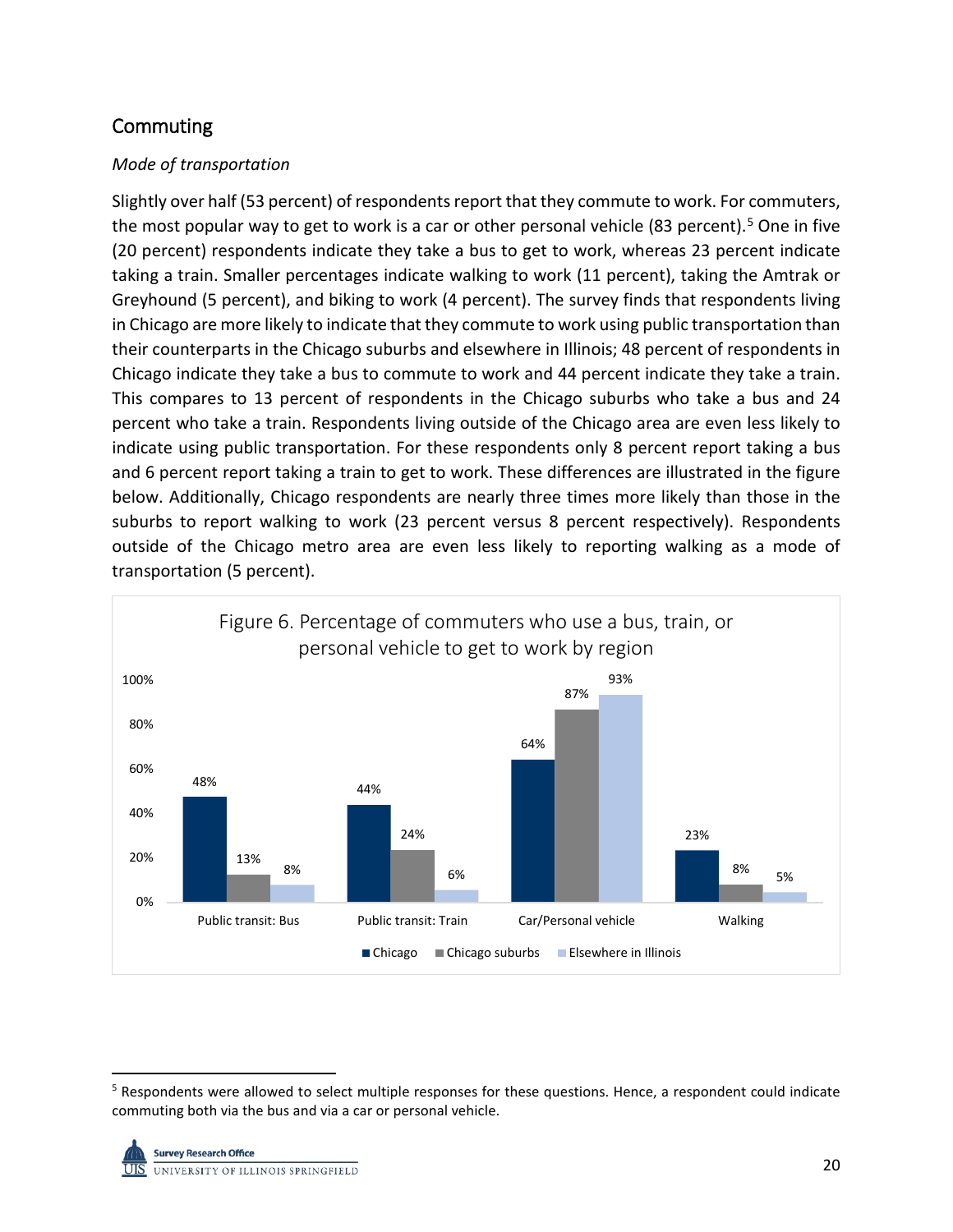## **Commuting**

## *Mode of transportation*

Slightly over half (53 percent) of respondents report that they commute to work. For commuters, the most popular way to get to work is a car or other personal vehicle (83 percent).<sup>[5](#page-21-0)</sup> One in five (20 percent) respondents indicate they take a bus to get to work, whereas 23 percent indicate taking a train. Smaller percentages indicate walking to work (11 percent), taking the Amtrak or Greyhound (5 percent), and biking to work (4 percent). The survey finds that respondents living in Chicago are more likely to indicate that they commute to work using public transportation than their counterparts in the Chicago suburbs and elsewhere in Illinois; 48 percent of respondents in Chicago indicate they take a bus to commute to work and 44 percent indicate they take a train. This compares to 13 percent of respondents in the Chicago suburbs who take a bus and 24 percent who take a train. Respondents living outside of the Chicago area are even less likely to indicate using public transportation. For these respondents only 8 percent report taking a bus and 6 percent report taking a train to get to work. These differences are illustrated in the figure below. Additionally, Chicago respondents are nearly three times more likely than those in the suburbs to report walking to work (23 percent versus 8 percent respectively). Respondents outside of the Chicago metro area are even less likely to reporting walking as a mode of transportation (5 percent).



<span id="page-21-0"></span> <sup>5</sup> Respondents were allowed to select multiple responses for these questions. Hence, a respondent could indicate commuting both via the bus and via a car or personal vehicle.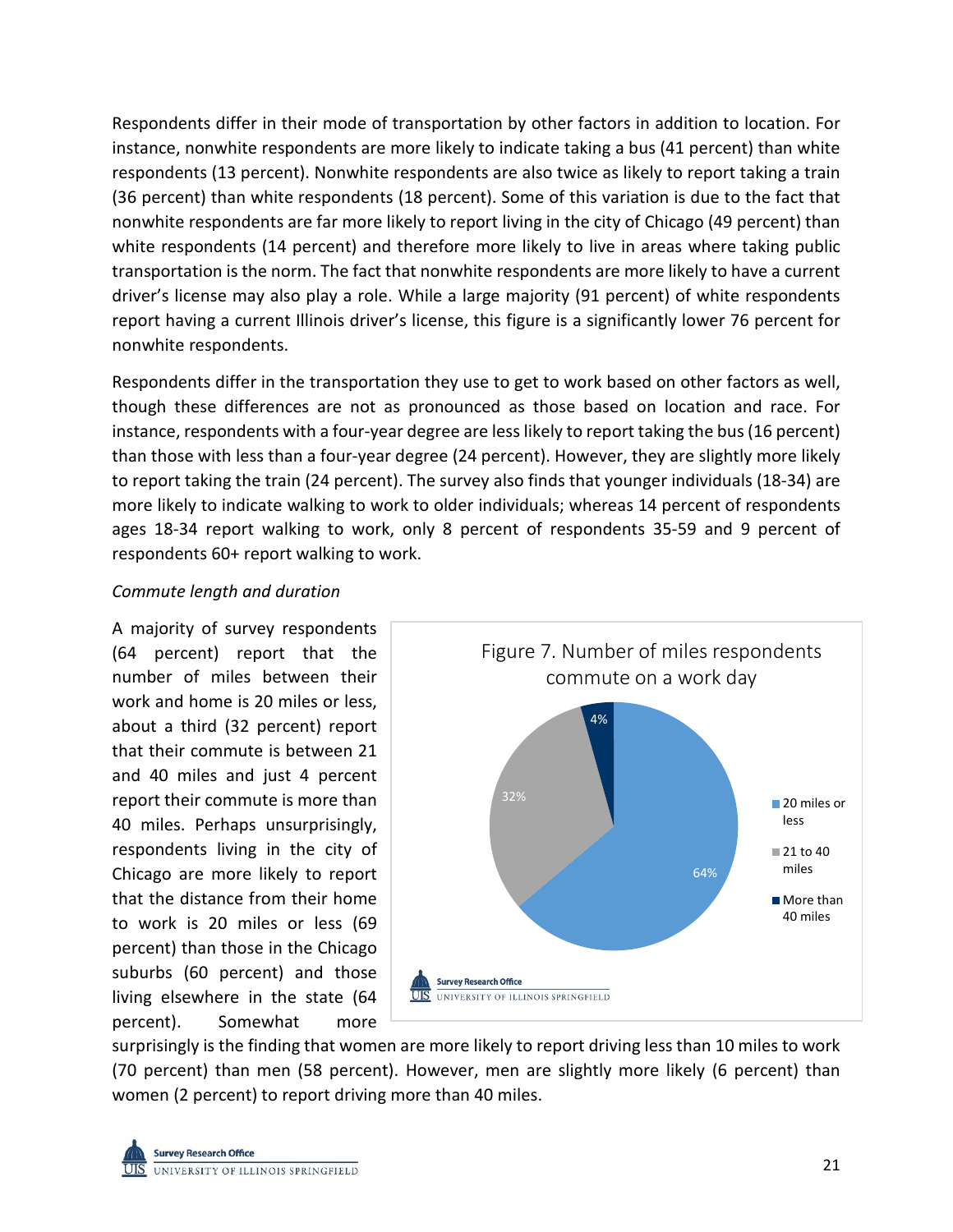Respondents differ in their mode of transportation by other factors in addition to location. For instance, nonwhite respondents are more likely to indicate taking a bus (41 percent) than white respondents (13 percent). Nonwhite respondents are also twice as likely to report taking a train (36 percent) than white respondents (18 percent). Some of this variation is due to the fact that nonwhite respondents are far more likely to report living in the city of Chicago (49 percent) than white respondents (14 percent) and therefore more likely to live in areas where taking public transportation is the norm. The fact that nonwhite respondents are more likely to have a current driver's license may also play a role. While a large majority (91 percent) of white respondents report having a current Illinois driver's license, this figure is a significantly lower 76 percent for nonwhite respondents.

Respondents differ in the transportation they use to get to work based on other factors as well, though these differences are not as pronounced as those based on location and race. For instance, respondents with a four-year degree are less likely to report taking the bus (16 percent) than those with less than a four-year degree (24 percent). However, they are slightly more likely to report taking the train (24 percent). The survey also finds that younger individuals (18-34) are more likely to indicate walking to work to older individuals; whereas 14 percent of respondents ages 18-34 report walking to work, only 8 percent of respondents 35-59 and 9 percent of respondents 60+ report walking to work.

#### *Commute length and duration*

A majority of survey respondents (64 percent) report that the number of miles between their work and home is 20 miles or less, about a third (32 percent) report that their commute is between 21 and 40 miles and just 4 percent report their commute is more than 40 miles. Perhaps unsurprisingly, respondents living in the city of Chicago are more likely to report that the distance from their home to work is 20 miles or less (69 percent) than those in the Chicago suburbs (60 percent) and those living elsewhere in the state (64 percent). Somewhat more



surprisingly is the finding that women are more likely to report driving less than 10 miles to work (70 percent) than men (58 percent). However, men are slightly more likely (6 percent) than women (2 percent) to report driving more than 40 miles.

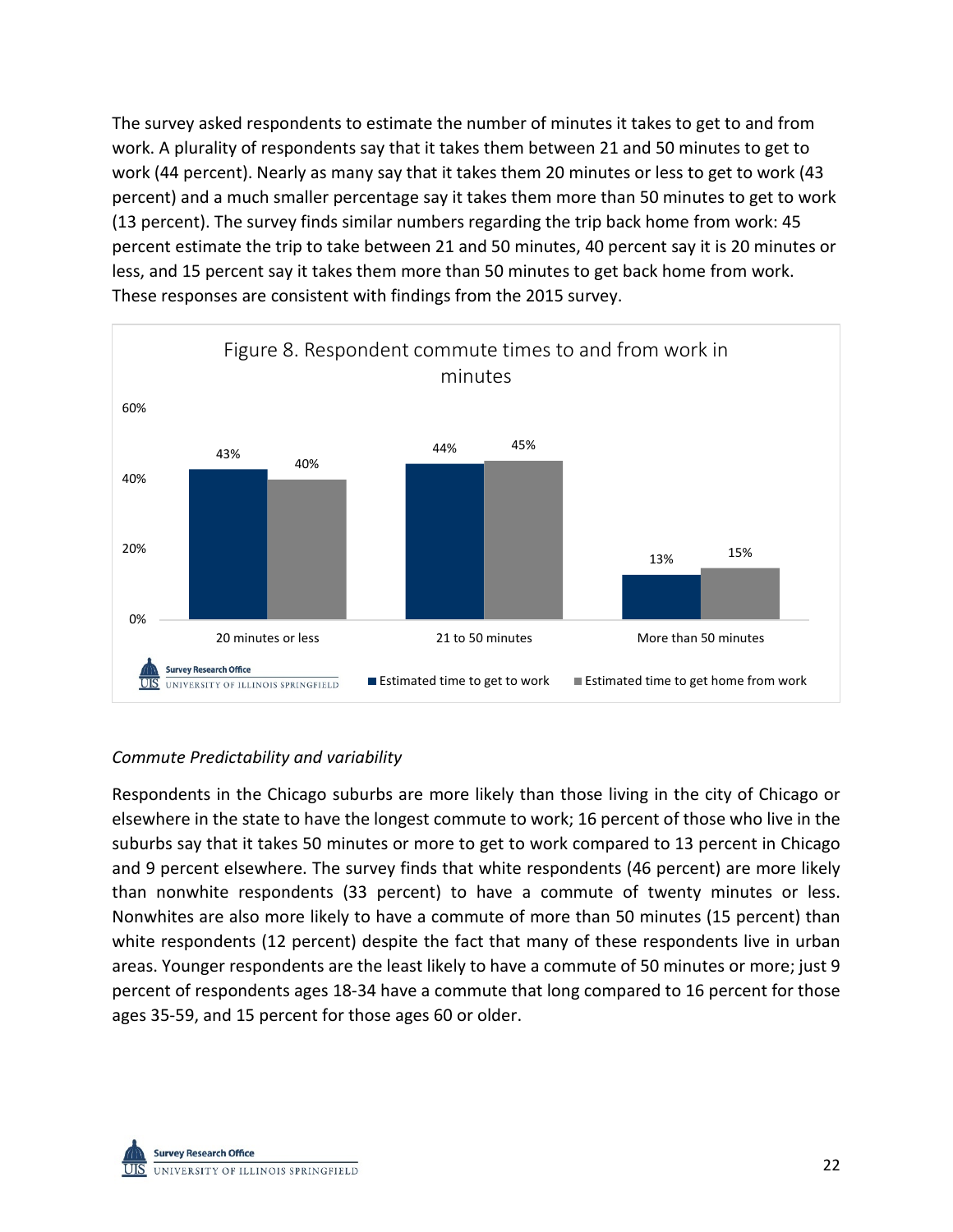The survey asked respondents to estimate the number of minutes it takes to get to and from work. A plurality of respondents say that it takes them between 21 and 50 minutes to get to work (44 percent). Nearly as many say that it takes them 20 minutes or less to get to work (43 percent) and a much smaller percentage say it takes them more than 50 minutes to get to work (13 percent). The survey finds similar numbers regarding the trip back home from work: 45 percent estimate the trip to take between 21 and 50 minutes, 40 percent say it is 20 minutes or less, and 15 percent say it takes them more than 50 minutes to get back home from work. These responses are consistent with findings from the 2015 survey.



## *Commute Predictability and variability*

Respondents in the Chicago suburbs are more likely than those living in the city of Chicago or elsewhere in the state to have the longest commute to work; 16 percent of those who live in the suburbs say that it takes 50 minutes or more to get to work compared to 13 percent in Chicago and 9 percent elsewhere. The survey finds that white respondents (46 percent) are more likely than nonwhite respondents (33 percent) to have a commute of twenty minutes or less. Nonwhites are also more likely to have a commute of more than 50 minutes (15 percent) than white respondents (12 percent) despite the fact that many of these respondents live in urban areas. Younger respondents are the least likely to have a commute of 50 minutes or more; just 9 percent of respondents ages 18-34 have a commute that long compared to 16 percent for those ages 35-59, and 15 percent for those ages 60 or older.

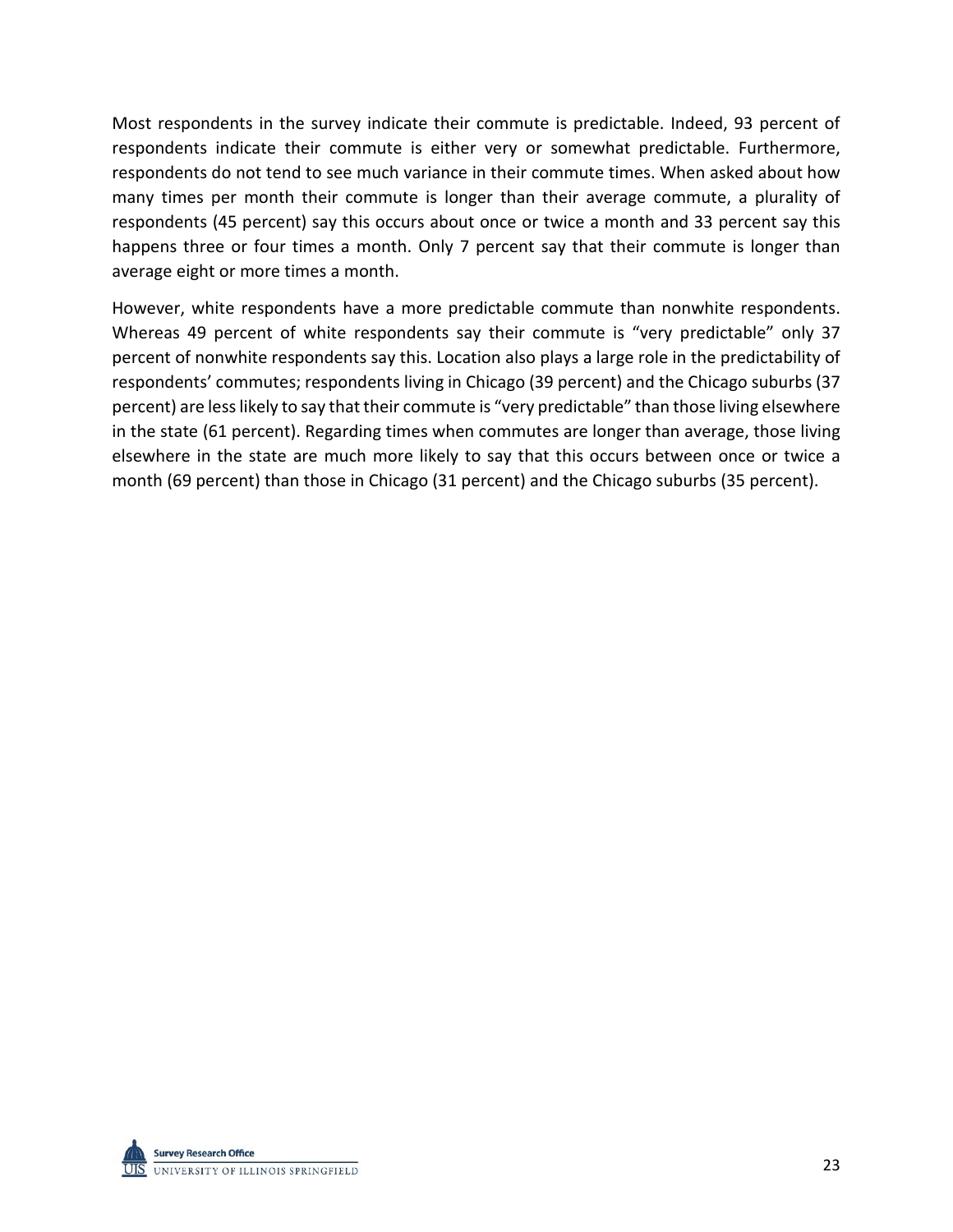Most respondents in the survey indicate their commute is predictable. Indeed, 93 percent of respondents indicate their commute is either very or somewhat predictable. Furthermore, respondents do not tend to see much variance in their commute times. When asked about how many times per month their commute is longer than their average commute, a plurality of respondents (45 percent) say this occurs about once or twice a month and 33 percent say this happens three or four times a month. Only 7 percent say that their commute is longer than average eight or more times a month.

However, white respondents have a more predictable commute than nonwhite respondents. Whereas 49 percent of white respondents say their commute is "very predictable" only 37 percent of nonwhite respondents say this. Location also plays a large role in the predictability of respondents' commutes; respondents living in Chicago (39 percent) and the Chicago suburbs (37 percent) are less likely to say that their commute is "very predictable" than those living elsewhere in the state (61 percent). Regarding times when commutes are longer than average, those living elsewhere in the state are much more likely to say that this occurs between once or twice a month (69 percent) than those in Chicago (31 percent) and the Chicago suburbs (35 percent).

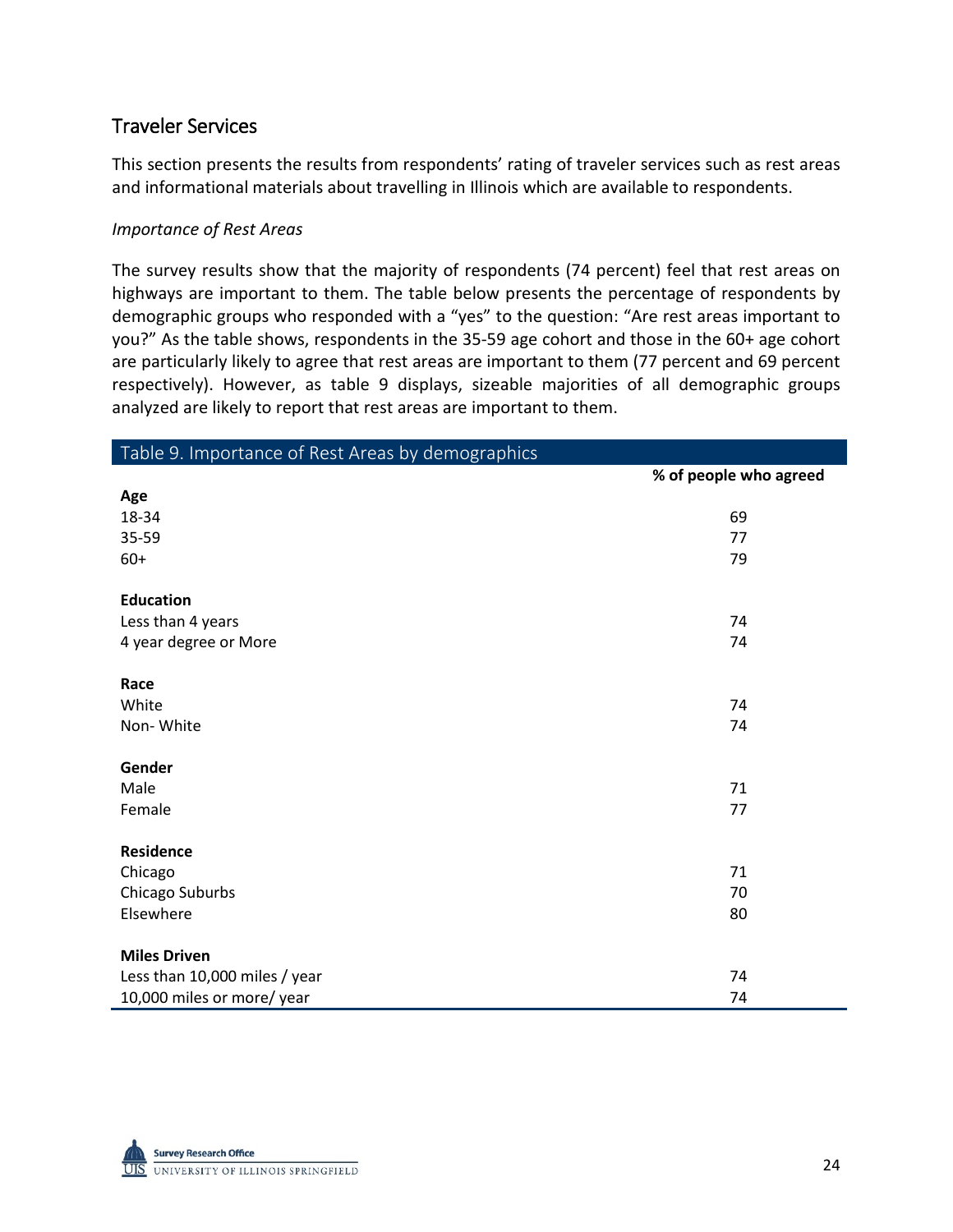## Traveler Services

This section presents the results from respondents' rating of traveler services such as rest areas and informational materials about travelling in Illinois which are available to respondents.

#### *Importance of Rest Areas*

The survey results show that the majority of respondents (74 percent) feel that rest areas on highways are important to them. The table below presents the percentage of respondents by demographic groups who responded with a "yes" to the question: "Are rest areas important to you?" As the table shows, respondents in the 35-59 age cohort and those in the 60+ age cohort are particularly likely to agree that rest areas are important to them (77 percent and 69 percent respectively). However, as table 9 displays, sizeable majorities of all demographic groups analyzed are likely to report that rest areas are important to them.

| Table 9. Importance of Rest Areas by demographics |                        |
|---------------------------------------------------|------------------------|
|                                                   | % of people who agreed |
| Age                                               |                        |
| 18-34                                             | 69                     |
| 35-59                                             | 77                     |
| $60+$                                             | 79                     |
| <b>Education</b>                                  |                        |
| Less than 4 years                                 | 74                     |
| 4 year degree or More                             | 74                     |
| Race                                              |                        |
| White                                             | 74                     |
| Non-White                                         | 74                     |
| Gender                                            |                        |
| Male                                              | 71                     |
| Female                                            | 77                     |
| <b>Residence</b>                                  |                        |
| Chicago                                           | 71                     |
| Chicago Suburbs                                   | 70                     |
| Elsewhere                                         | 80                     |
| <b>Miles Driven</b>                               |                        |
| Less than 10,000 miles / year                     | 74                     |
| 10,000 miles or more/ year                        | 74                     |

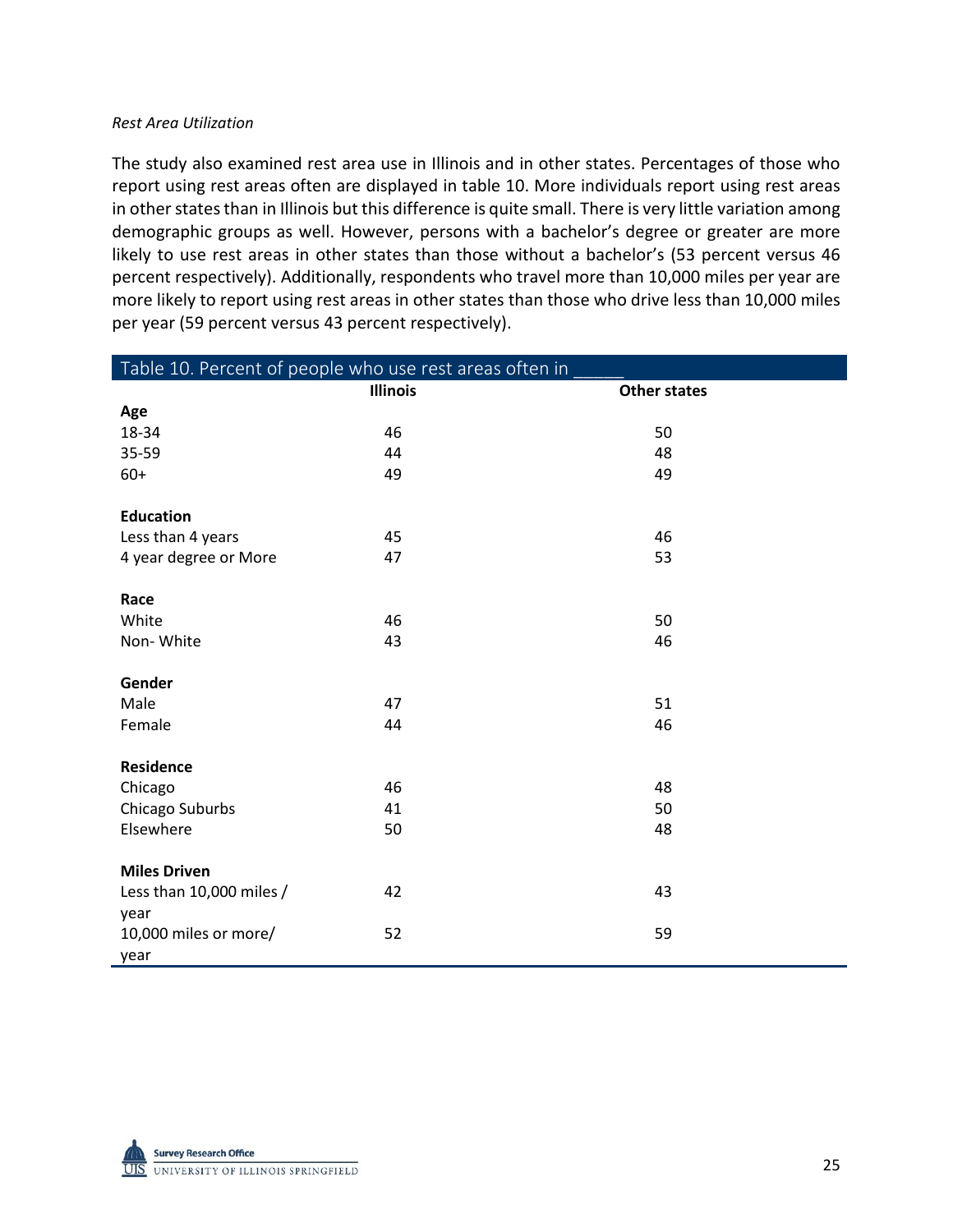#### *Rest Area Utilization*

The study also examined rest area use in Illinois and in other states. Percentages of those who report using rest areas often are displayed in table 10. More individuals report using rest areas in other states than in Illinois but this difference is quite small. There is very little variation among demographic groups as well. However, persons with a bachelor's degree or greater are more likely to use rest areas in other states than those without a bachelor's (53 percent versus 46 percent respectively). Additionally, respondents who travel more than 10,000 miles per year are more likely to report using rest areas in other states than those who drive less than 10,000 miles per year (59 percent versus 43 percent respectively).

| Table 10. Percent of people who use rest areas often in |                 |                     |  |  |
|---------------------------------------------------------|-----------------|---------------------|--|--|
|                                                         | <b>Illinois</b> | <b>Other states</b> |  |  |
| Age                                                     |                 |                     |  |  |
| 18-34                                                   | 46              | 50                  |  |  |
| 35-59                                                   | 44              | 48                  |  |  |
| $60+$                                                   | 49              | 49                  |  |  |
|                                                         |                 |                     |  |  |
| <b>Education</b>                                        |                 |                     |  |  |
| Less than 4 years                                       | 45              | 46                  |  |  |
| 4 year degree or More                                   | 47              | 53                  |  |  |
|                                                         |                 |                     |  |  |
| Race                                                    |                 |                     |  |  |
| White                                                   | 46              | 50                  |  |  |
| Non-White                                               | 43              | 46                  |  |  |
|                                                         |                 |                     |  |  |
| Gender                                                  |                 |                     |  |  |
| Male                                                    | 47              | 51                  |  |  |
| Female                                                  | 44              | 46                  |  |  |
|                                                         |                 |                     |  |  |
| Residence                                               |                 |                     |  |  |
| Chicago                                                 | 46              | 48                  |  |  |
| Chicago Suburbs                                         | 41              | 50                  |  |  |
| Elsewhere                                               | 50              | 48                  |  |  |
|                                                         |                 |                     |  |  |
| <b>Miles Driven</b>                                     |                 |                     |  |  |
| Less than 10,000 miles /                                | 42              | 43                  |  |  |
| year                                                    |                 |                     |  |  |
| 10,000 miles or more/                                   | 52              | 59                  |  |  |
| year                                                    |                 |                     |  |  |

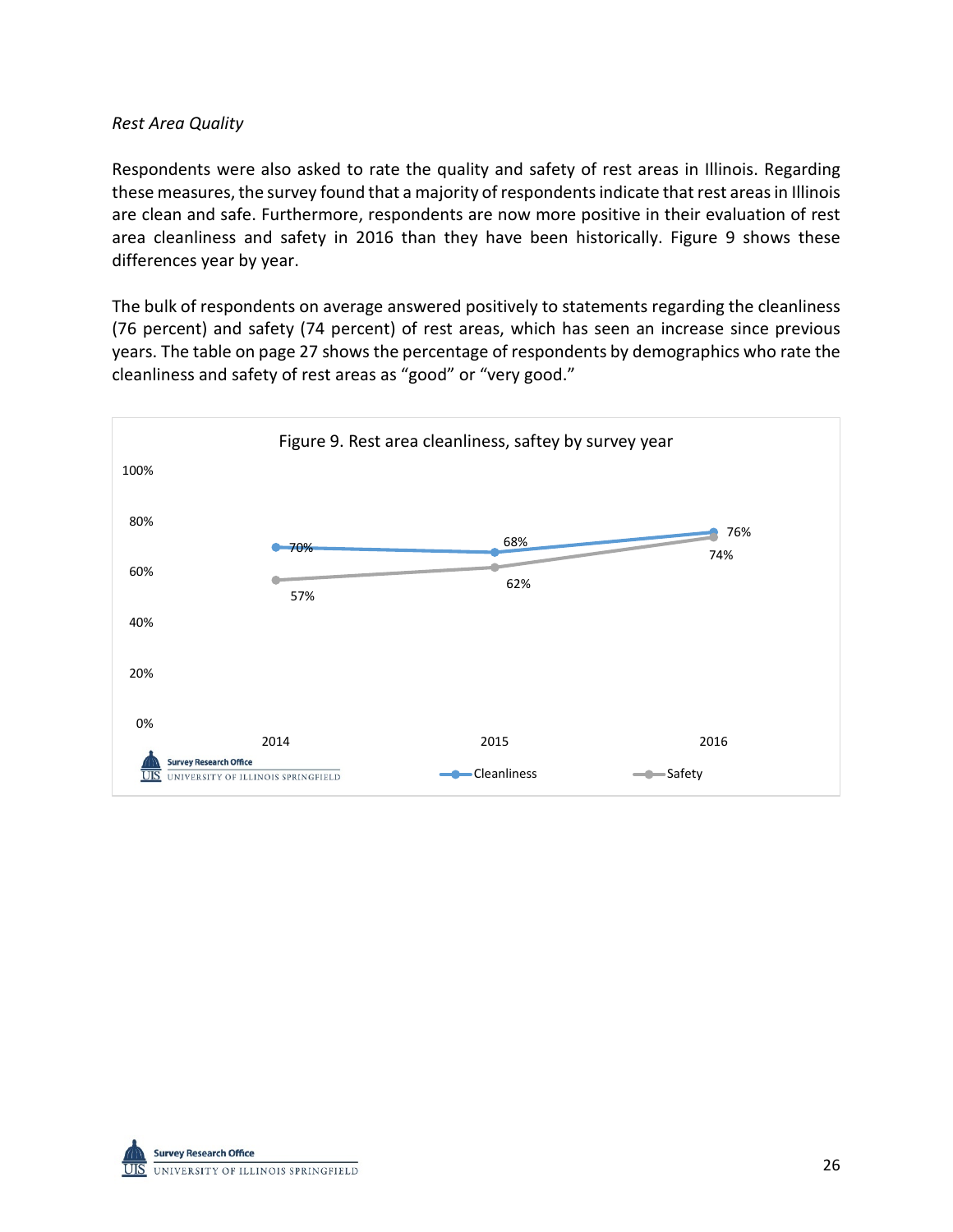#### *Rest Area Quality*

Respondents were also asked to rate the quality and safety of rest areas in Illinois. Regarding these measures, the survey found that a majority of respondents indicate that rest areas in Illinois are clean and safe. Furthermore, respondents are now more positive in their evaluation of rest area cleanliness and safety in 2016 than they have been historically. Figure 9 shows these differences year by year.

The bulk of respondents on average answered positively to statements regarding the cleanliness (76 percent) and safety (74 percent) of rest areas, which has seen an increase since previous years. The table on page 27 shows the percentage of respondents by demographics who rate the cleanliness and safety of rest areas as "good" or "very good."



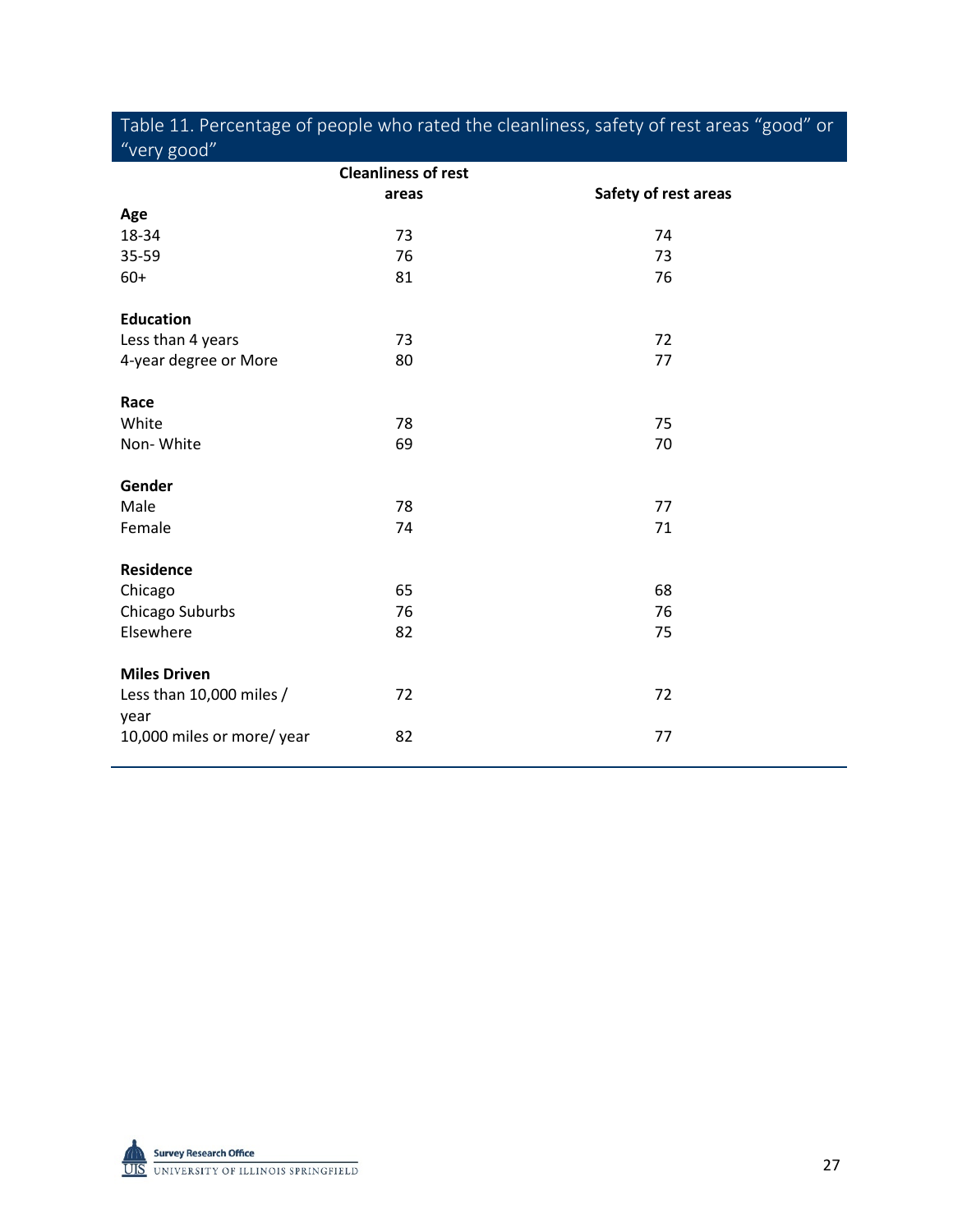| "very good"                      |                            | ပ                    |
|----------------------------------|----------------------------|----------------------|
|                                  | <b>Cleanliness of rest</b> |                      |
|                                  | areas                      | Safety of rest areas |
| Age                              |                            |                      |
| 18-34                            | 73                         | 74                   |
| 35-59                            | 76                         | 73                   |
| $60+$                            | 81                         | 76                   |
| <b>Education</b>                 |                            |                      |
| Less than 4 years                | 73                         | 72                   |
| 4-year degree or More            | 80                         | 77                   |
| Race                             |                            |                      |
| White                            | 78                         | 75                   |
| Non-White                        | 69                         | 70                   |
| Gender                           |                            |                      |
| Male                             | 78                         | 77                   |
| Female                           | 74                         | 71                   |
| Residence                        |                            |                      |
| Chicago                          | 65                         | 68                   |
| Chicago Suburbs                  | 76                         | 76                   |
| Elsewhere                        | 82                         | 75                   |
| <b>Miles Driven</b>              |                            |                      |
| Less than 10,000 miles /<br>year | 72                         | 72                   |
| 10,000 miles or more/ year       | 82                         | 77                   |



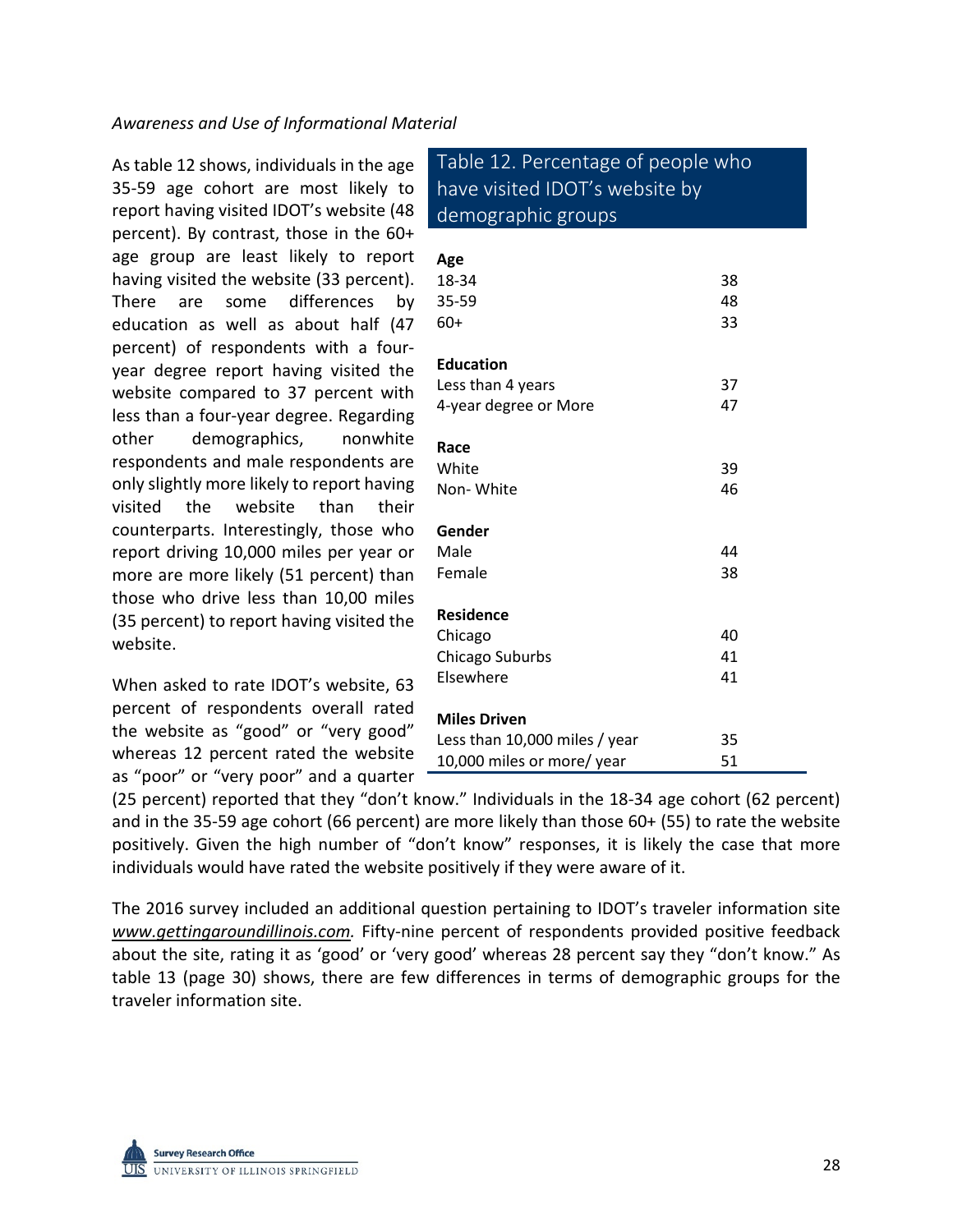As table 12 shows, individuals in the age 35-59 age cohort are most likely to report having visited IDOT's website (48 percent). By contrast, those in the 60+ age group are least likely to report having visited the website (33 percent). There are some differences by education as well as about half (47 percent) of respondents with a fouryear degree report having visited the website compared to 37 percent with less than a four-year degree. Regarding other demographics, nonwhite respondents and male respondents are only slightly more likely to report having visited the website than their counterparts. Interestingly, those who report driving 10,000 miles per year or more are more likely (51 percent) than those who drive less than 10,00 miles (35 percent) to report having visited the website.

When asked to rate IDOT's website, 63 percent of respondents overall rated the website as "good" or "very good" whereas 12 percent rated the website as "poor" or "very poor" and a quarter

Table 12. Percentage of people who have visited IDOT's website by demographic groups

| Age<br>18-34<br>35-59<br>60+  | 38<br>48<br>33 |
|-------------------------------|----------------|
| <b>Education</b>              |                |
| Less than 4 years             | 37             |
| 4-year degree or More         | 47             |
| Race                          |                |
| White                         | 39             |
| Non-White                     | 46             |
| Gender                        |                |
| Male                          | 44             |
| Female                        | 38             |
|                               |                |
| <b>Residence</b>              |                |
| Chicago                       | 40             |
| Chicago Suburbs               | 41             |
| Elsewhere                     | 41             |
| <b>Miles Driven</b>           |                |
| Less than 10,000 miles / year | 35             |
| 10,000 miles or more/ year    | 51             |

(25 percent) reported that they "don't know." Individuals in the 18-34 age cohort (62 percent) and in the 35-59 age cohort (66 percent) are more likely than those 60+ (55) to rate the website positively. Given the high number of "don't know" responses, it is likely the case that more individuals would have rated the website positively if they were aware of it.

The 2016 survey included an additional question pertaining to IDOT's traveler information site [www.gettingaroundillinois.com.](http://www.gettingaroundillinois.com/) Fifty-nine percent of respondents provided positive feedback about the site, rating it as 'good' or 'very good' whereas 28 percent say they "don't know." As table 13 (page 30) shows, there are few differences in terms of demographic groups for the traveler information site.

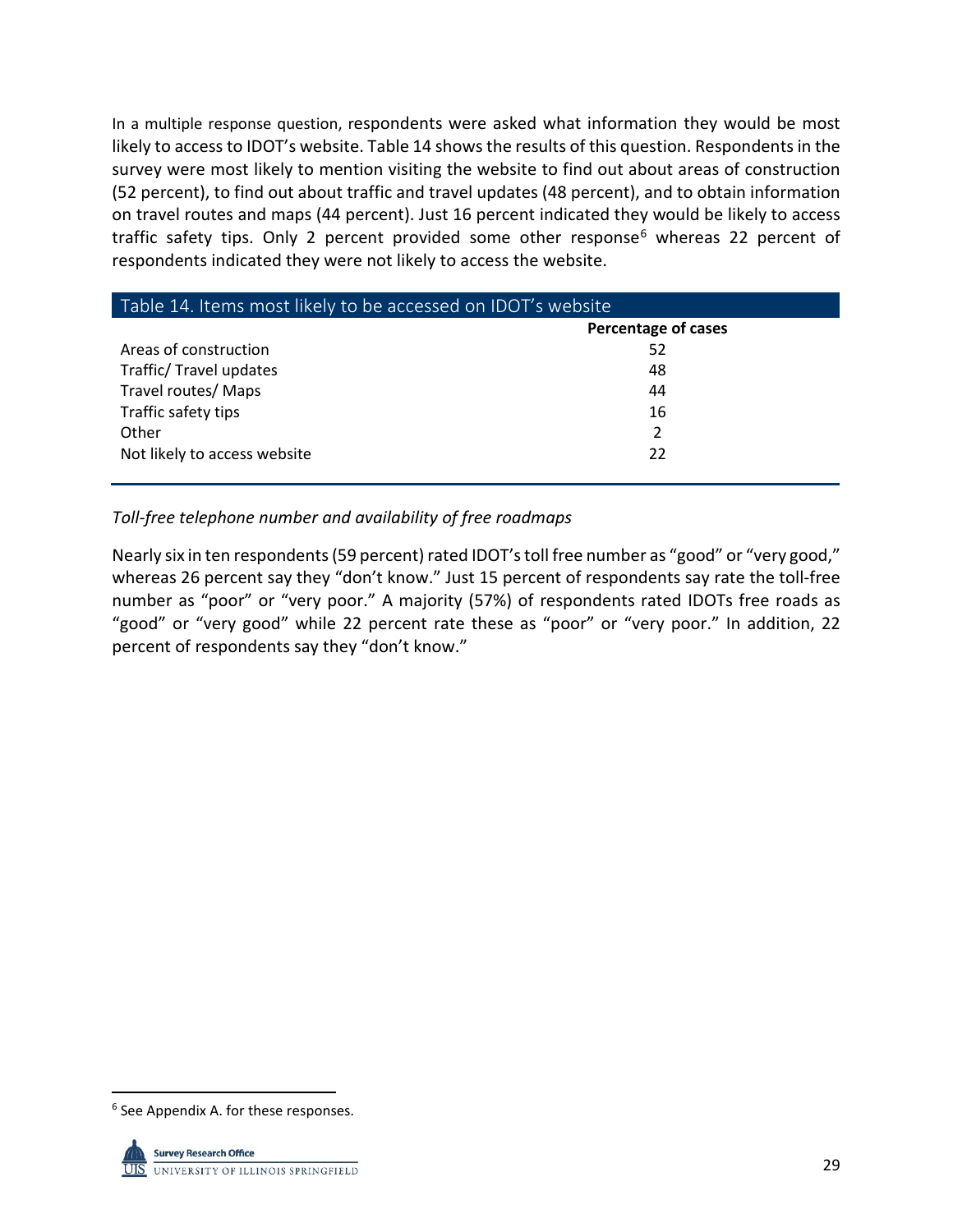In a multiple response question, respondents were asked what information they would be most likely to access to IDOT's website. Table 14 shows the results of this question. Respondents in the survey were most likely to mention visiting the website to find out about areas of construction (52 percent), to find out about traffic and travel updates (48 percent), and to obtain information on travel routes and maps (44 percent). Just 16 percent indicated they would be likely to access traffic safety tips. Only 2 percent provided some other response $6$  whereas 22 percent of respondents indicated they were not likely to access the website.

| Table 14. Items most likely to be accessed on IDOT's website |                     |  |  |  |
|--------------------------------------------------------------|---------------------|--|--|--|
|                                                              | Percentage of cases |  |  |  |
| Areas of construction                                        | 52                  |  |  |  |
| Traffic/Travel updates                                       | 48                  |  |  |  |
| Travel routes/ Maps                                          | 44                  |  |  |  |
| Traffic safety tips                                          | 16                  |  |  |  |
| Other                                                        | 2                   |  |  |  |
| Not likely to access website                                 | 22                  |  |  |  |

## *Toll-free telephone number and availability of free roadmaps*

Nearly six in ten respondents(59 percent) rated IDOT's toll free number as "good" or "very good," whereas 26 percent say they "don't know." Just 15 percent of respondents say rate the toll-free number as "poor" or "very poor." A majority (57%) of respondents rated IDOTs free roads as "good" or "very good" while 22 percent rate these as "poor" or "very poor." In addition, 22 percent of respondents say they "don't know."

<span id="page-30-0"></span> <sup>6</sup> See Appendix A. for these responses.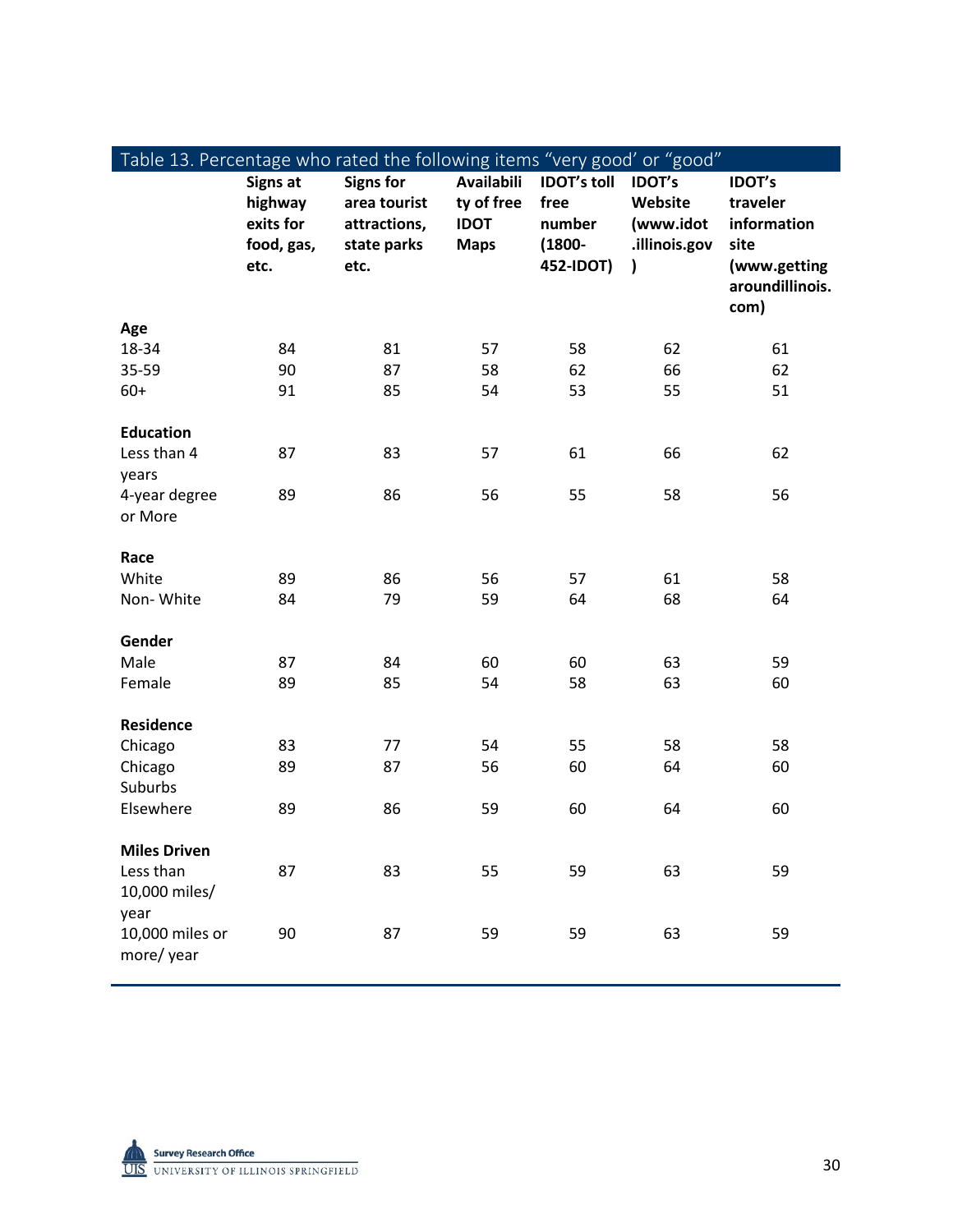| Table 13. Percentage who rated the following items "very good' or "good" |                                                               |                                                                         |                                                               |                                                                |                                                        |                                                                                             |
|--------------------------------------------------------------------------|---------------------------------------------------------------|-------------------------------------------------------------------------|---------------------------------------------------------------|----------------------------------------------------------------|--------------------------------------------------------|---------------------------------------------------------------------------------------------|
|                                                                          | <b>Signs at</b><br>highway<br>exits for<br>food, gas,<br>etc. | <b>Signs for</b><br>area tourist<br>attractions,<br>state parks<br>etc. | <b>Availabili</b><br>ty of free<br><b>IDOT</b><br><b>Maps</b> | <b>IDOT's toll</b><br>free<br>number<br>$(1800 -$<br>452-IDOT) | <b>IDOT's</b><br>Website<br>(www.idot<br>.illinois.gov | <b>IDOT's</b><br>traveler<br>information<br>site<br>(www.getting<br>aroundillinois.<br>com) |
| Age                                                                      |                                                               |                                                                         |                                                               |                                                                |                                                        |                                                                                             |
| 18-34                                                                    | 84                                                            | 81                                                                      | 57                                                            | 58                                                             | 62                                                     | 61                                                                                          |
| 35-59                                                                    | 90                                                            | 87                                                                      | 58                                                            | 62                                                             | 66                                                     | 62                                                                                          |
| $60+$                                                                    | 91                                                            | 85                                                                      | 54                                                            | 53                                                             | 55                                                     | 51                                                                                          |
| <b>Education</b>                                                         |                                                               |                                                                         |                                                               |                                                                |                                                        |                                                                                             |
| Less than 4                                                              | 87                                                            | 83                                                                      | 57                                                            | 61                                                             | 66                                                     | 62                                                                                          |
| years                                                                    |                                                               |                                                                         |                                                               |                                                                |                                                        |                                                                                             |
| 4-year degree                                                            | 89                                                            | 86                                                                      | 56                                                            | 55                                                             | 58                                                     | 56                                                                                          |
| or More                                                                  |                                                               |                                                                         |                                                               |                                                                |                                                        |                                                                                             |
|                                                                          |                                                               |                                                                         |                                                               |                                                                |                                                        |                                                                                             |
| Race                                                                     |                                                               |                                                                         |                                                               |                                                                |                                                        |                                                                                             |
| White                                                                    | 89                                                            | 86                                                                      | 56                                                            | 57                                                             | 61                                                     | 58                                                                                          |
| Non-White                                                                | 84                                                            | 79                                                                      | 59                                                            | 64                                                             | 68                                                     | 64                                                                                          |
| Gender                                                                   |                                                               |                                                                         |                                                               |                                                                |                                                        |                                                                                             |
| Male                                                                     | 87                                                            | 84                                                                      | 60                                                            | 60                                                             | 63                                                     | 59                                                                                          |
| Female                                                                   | 89                                                            | 85                                                                      | 54                                                            | 58                                                             | 63                                                     | 60                                                                                          |
|                                                                          |                                                               |                                                                         |                                                               |                                                                |                                                        |                                                                                             |
| <b>Residence</b>                                                         |                                                               |                                                                         |                                                               |                                                                |                                                        |                                                                                             |
| Chicago                                                                  | 83                                                            | 77                                                                      | 54                                                            | 55                                                             | 58                                                     | 58                                                                                          |
| Chicago                                                                  | 89                                                            | 87                                                                      | 56                                                            | 60                                                             | 64                                                     | 60                                                                                          |
| Suburbs                                                                  |                                                               |                                                                         |                                                               |                                                                |                                                        |                                                                                             |
| Elsewhere                                                                | 89                                                            | 86                                                                      | 59                                                            | 60                                                             | 64                                                     | 60                                                                                          |
| <b>Miles Driven</b>                                                      |                                                               |                                                                         |                                                               |                                                                |                                                        |                                                                                             |
| Less than                                                                | 87                                                            | 83                                                                      | 55                                                            | 59                                                             | 63                                                     | 59                                                                                          |
| 10,000 miles/                                                            |                                                               |                                                                         |                                                               |                                                                |                                                        |                                                                                             |
| year                                                                     |                                                               |                                                                         |                                                               |                                                                |                                                        |                                                                                             |
| 10,000 miles or                                                          | 90                                                            | 87                                                                      | 59                                                            | 59                                                             | 63                                                     | 59                                                                                          |
| more/year                                                                |                                                               |                                                                         |                                                               |                                                                |                                                        |                                                                                             |
|                                                                          |                                                               |                                                                         |                                                               |                                                                |                                                        |                                                                                             |



 $\overline{\phantom{a}}$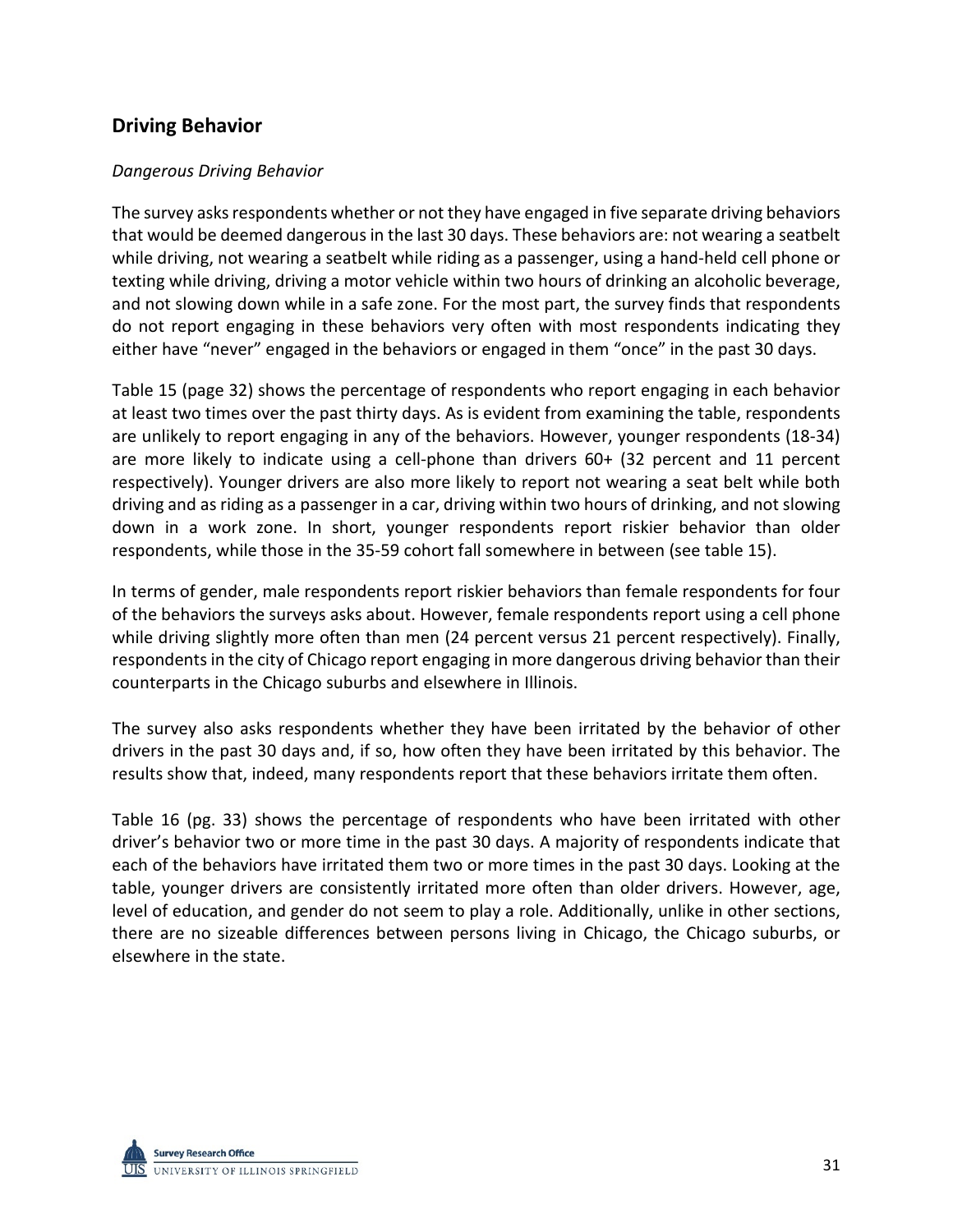## **Driving Behavior**

#### *Dangerous Driving Behavior*

The survey asks respondents whether or not they have engaged in five separate driving behaviors that would be deemed dangerous in the last 30 days. These behaviors are: not wearing a seatbelt while driving, not wearing a seatbelt while riding as a passenger, using a hand-held cell phone or texting while driving, driving a motor vehicle within two hours of drinking an alcoholic beverage, and not slowing down while in a safe zone. For the most part, the survey finds that respondents do not report engaging in these behaviors very often with most respondents indicating they either have "never" engaged in the behaviors or engaged in them "once" in the past 30 days.

Table 15 (page 32) shows the percentage of respondents who report engaging in each behavior at least two times over the past thirty days. As is evident from examining the table, respondents are unlikely to report engaging in any of the behaviors. However, younger respondents (18-34) are more likely to indicate using a cell-phone than drivers 60+ (32 percent and 11 percent respectively). Younger drivers are also more likely to report not wearing a seat belt while both driving and as riding as a passenger in a car, driving within two hours of drinking, and not slowing down in a work zone. In short, younger respondents report riskier behavior than older respondents, while those in the 35-59 cohort fall somewhere in between (see table 15).

In terms of gender, male respondents report riskier behaviors than female respondents for four of the behaviors the surveys asks about. However, female respondents report using a cell phone while driving slightly more often than men (24 percent versus 21 percent respectively). Finally, respondents in the city of Chicago report engaging in more dangerous driving behavior than their counterparts in the Chicago suburbs and elsewhere in Illinois.

The survey also asks respondents whether they have been irritated by the behavior of other drivers in the past 30 days and, if so, how often they have been irritated by this behavior. The results show that, indeed, many respondents report that these behaviors irritate them often.

Table 16 (pg. 33) shows the percentage of respondents who have been irritated with other driver's behavior two or more time in the past 30 days. A majority of respondents indicate that each of the behaviors have irritated them two or more times in the past 30 days. Looking at the table, younger drivers are consistently irritated more often than older drivers. However, age, level of education, and gender do not seem to play a role. Additionally, unlike in other sections, there are no sizeable differences between persons living in Chicago, the Chicago suburbs, or elsewhere in the state.

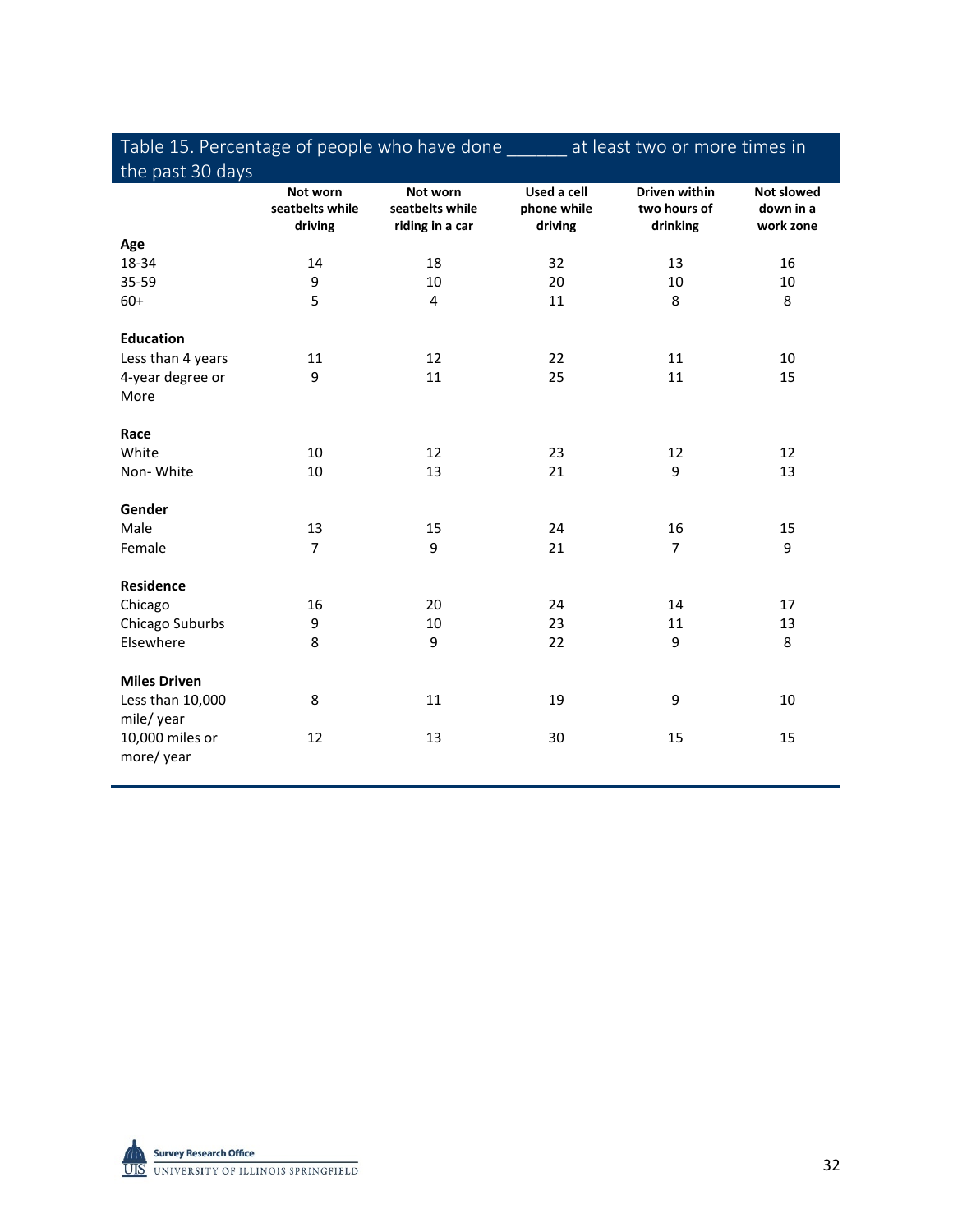## Table 15. Percentage of people who have done \_\_\_\_\_\_ at least two or more times in the past 30 days

| the past so days              |                                        |                                                |                                       |                                                  |                                             |
|-------------------------------|----------------------------------------|------------------------------------------------|---------------------------------------|--------------------------------------------------|---------------------------------------------|
|                               | Not worn<br>seatbelts while<br>driving | Not worn<br>seatbelts while<br>riding in a car | Used a cell<br>phone while<br>driving | <b>Driven within</b><br>two hours of<br>drinking | <b>Not slowed</b><br>down in a<br>work zone |
| Age                           |                                        |                                                |                                       |                                                  |                                             |
| 18-34                         | 14                                     | 18                                             | 32                                    | 13                                               | 16                                          |
| 35-59                         | 9                                      | 10                                             | 20                                    | 10                                               | 10                                          |
| $60+$                         | 5                                      | 4                                              | 11                                    | 8                                                | 8                                           |
| <b>Education</b>              |                                        |                                                |                                       |                                                  |                                             |
| Less than 4 years             | 11                                     | 12                                             | 22                                    | 11                                               | 10                                          |
| 4-year degree or<br>More      | 9                                      | 11                                             | 25                                    | 11                                               | 15                                          |
| Race                          |                                        |                                                |                                       |                                                  |                                             |
| White                         | 10                                     | 12                                             | 23                                    | 12                                               | 12                                          |
| Non-White                     | 10                                     | 13                                             | 21                                    | 9                                                | 13                                          |
| Gender                        |                                        |                                                |                                       |                                                  |                                             |
| Male                          | 13                                     | 15                                             | 24                                    | 16                                               | 15                                          |
| Female                        | $\overline{7}$                         | 9                                              | 21                                    | 7                                                | 9                                           |
| <b>Residence</b>              |                                        |                                                |                                       |                                                  |                                             |
| Chicago                       | 16                                     | 20                                             | 24                                    | 14                                               | 17                                          |
| Chicago Suburbs               | 9                                      | 10                                             | 23                                    | 11                                               | 13                                          |
| Elsewhere                     | 8                                      | 9                                              | 22                                    | 9                                                | 8                                           |
| <b>Miles Driven</b>           |                                        |                                                |                                       |                                                  |                                             |
| Less than 10,000<br>mile/year | 8                                      | 11                                             | 19                                    | 9                                                | 10                                          |
| 10,000 miles or<br>more/year  | 12                                     | 13                                             | 30                                    | 15                                               | 15                                          |

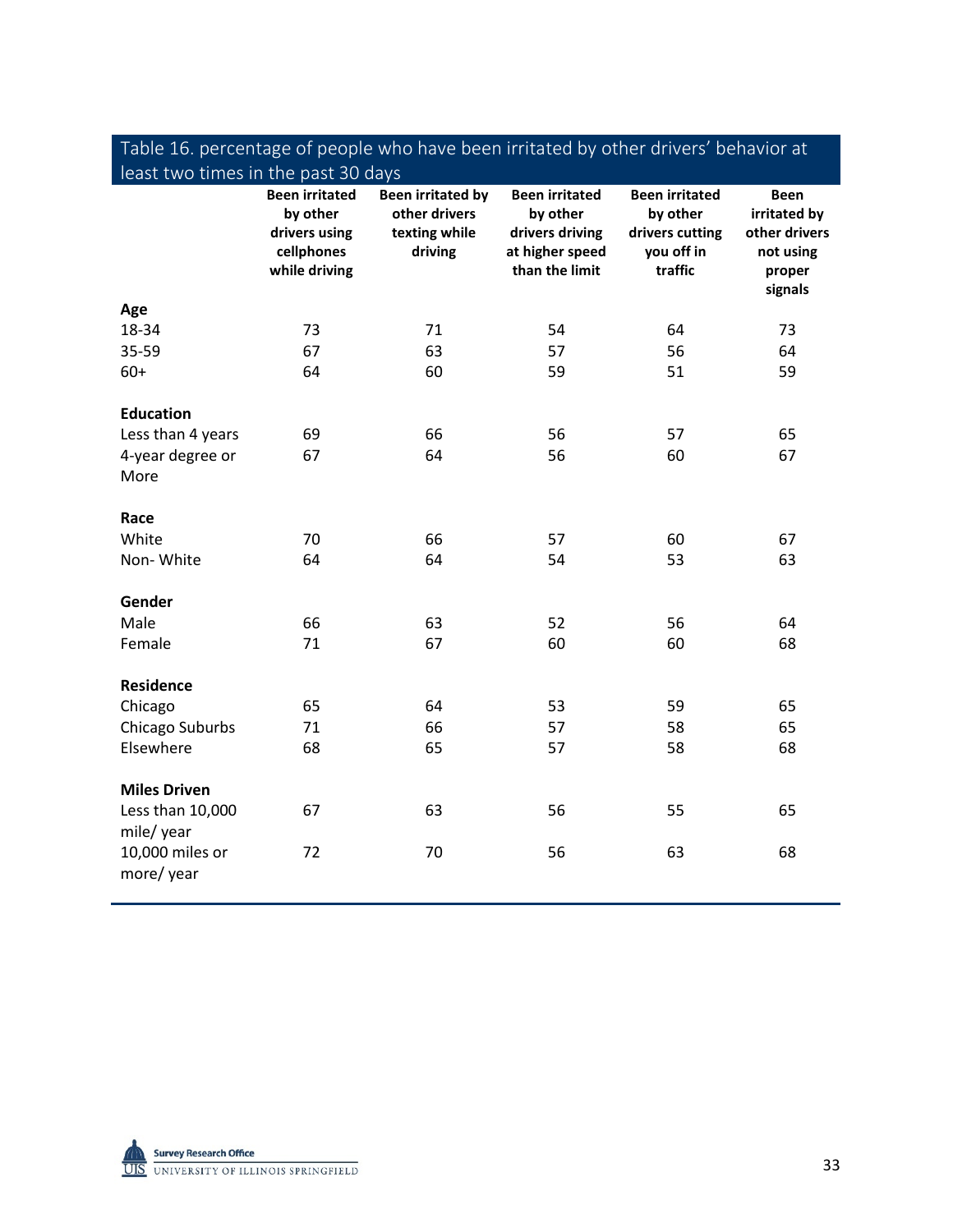| least two times in the past 30 days |                                                                                   |                                                                       |                                                                                           |                                                                               |                                                                                |
|-------------------------------------|-----------------------------------------------------------------------------------|-----------------------------------------------------------------------|-------------------------------------------------------------------------------------------|-------------------------------------------------------------------------------|--------------------------------------------------------------------------------|
|                                     | <b>Been irritated</b><br>by other<br>drivers using<br>cellphones<br>while driving | <b>Been irritated by</b><br>other drivers<br>texting while<br>driving | <b>Been irritated</b><br>by other<br>drivers driving<br>at higher speed<br>than the limit | <b>Been irritated</b><br>by other<br>drivers cutting<br>you off in<br>traffic | <b>Been</b><br>irritated by<br>other drivers<br>not using<br>proper<br>signals |
| Age                                 |                                                                                   |                                                                       |                                                                                           |                                                                               |                                                                                |
| 18-34                               | 73                                                                                | 71                                                                    | 54                                                                                        | 64                                                                            | 73                                                                             |
| 35-59                               | 67                                                                                | 63                                                                    | 57                                                                                        | 56                                                                            | 64                                                                             |
| $60+$                               | 64                                                                                | 60                                                                    | 59                                                                                        | 51                                                                            | 59                                                                             |
| <b>Education</b>                    |                                                                                   |                                                                       |                                                                                           |                                                                               |                                                                                |
| Less than 4 years                   | 69                                                                                | 66                                                                    | 56                                                                                        | 57                                                                            | 65                                                                             |
| 4-year degree or                    | 67                                                                                | 64                                                                    | 56                                                                                        | 60                                                                            | 67                                                                             |
| More                                |                                                                                   |                                                                       |                                                                                           |                                                                               |                                                                                |
| Race                                |                                                                                   |                                                                       |                                                                                           |                                                                               |                                                                                |
| White                               | 70                                                                                | 66                                                                    | 57                                                                                        | 60                                                                            | 67                                                                             |
| Non-White                           | 64                                                                                | 64                                                                    | 54                                                                                        | 53                                                                            | 63                                                                             |
| Gender                              |                                                                                   |                                                                       |                                                                                           |                                                                               |                                                                                |
| Male                                | 66                                                                                | 63                                                                    | 52                                                                                        | 56                                                                            | 64                                                                             |
| Female                              | 71                                                                                | 67                                                                    | 60                                                                                        | 60                                                                            | 68                                                                             |
| <b>Residence</b>                    |                                                                                   |                                                                       |                                                                                           |                                                                               |                                                                                |
| Chicago                             | 65                                                                                | 64                                                                    | 53                                                                                        | 59                                                                            | 65                                                                             |
| Chicago Suburbs                     | 71                                                                                | 66                                                                    | 57                                                                                        | 58                                                                            | 65                                                                             |
| Elsewhere                           | 68                                                                                | 65                                                                    | 57                                                                                        | 58                                                                            | 68                                                                             |
| <b>Miles Driven</b>                 |                                                                                   |                                                                       |                                                                                           |                                                                               |                                                                                |
| Less than 10,000<br>mile/ year      | 67                                                                                | 63                                                                    | 56                                                                                        | 55                                                                            | 65                                                                             |
| 10,000 miles or<br>more/year        | 72                                                                                | 70                                                                    | 56                                                                                        | 63                                                                            | 68                                                                             |



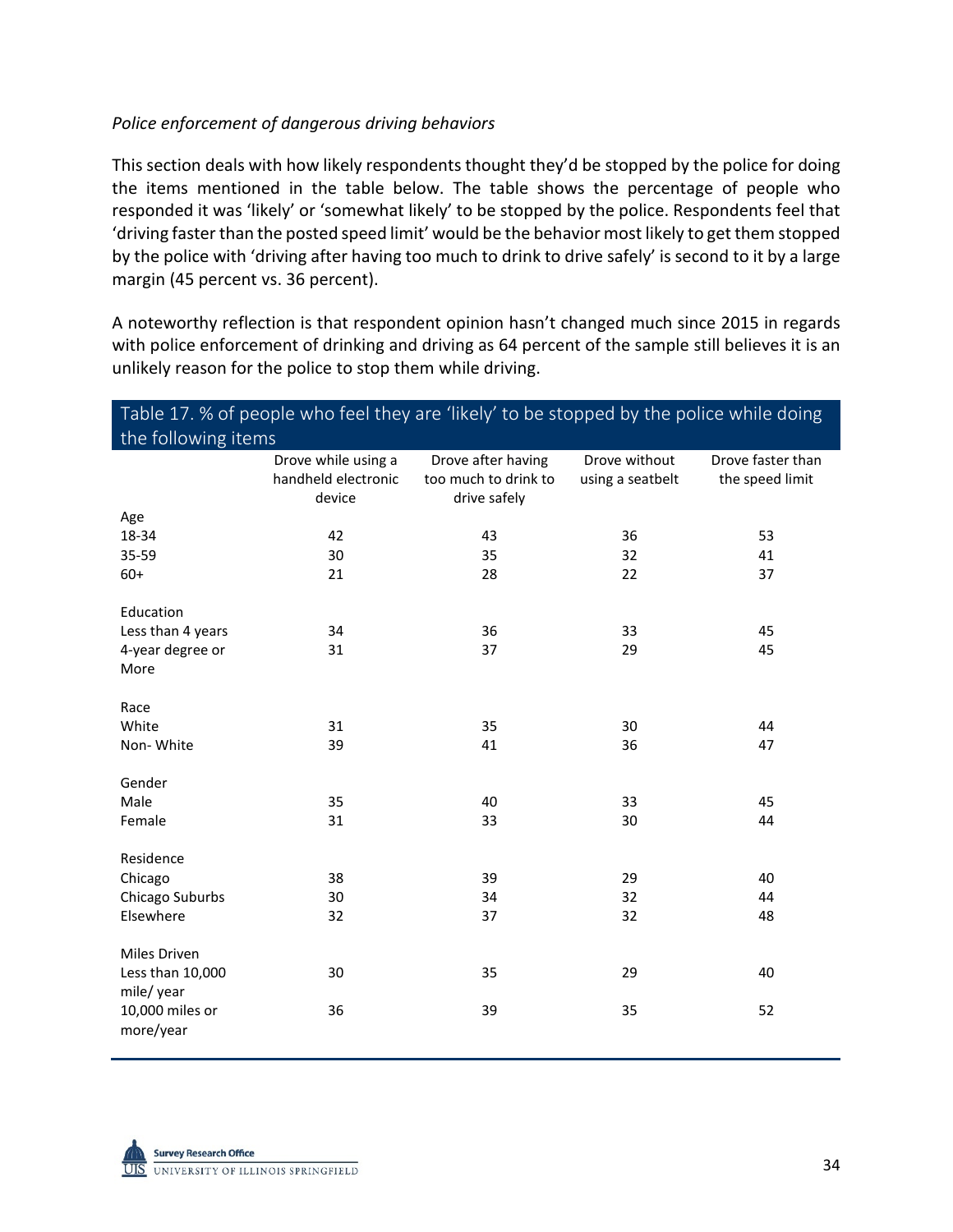#### *Police enforcement of dangerous driving behaviors*

This section deals with how likely respondents thought they'd be stopped by the police for doing the items mentioned in the table below. The table shows the percentage of people who responded it was 'likely' or 'somewhat likely' to be stopped by the police. Respondents feel that 'driving faster than the posted speed limit' would be the behavior most likely to get them stopped by the police with 'driving after having too much to drink to drive safely' is second to it by a large margin (45 percent vs. 36 percent).

A noteworthy reflection is that respondent opinion hasn't changed much since 2015 in regards with police enforcement of drinking and driving as 64 percent of the sample still believes it is an unlikely reason for the police to stop them while driving.

| Table 17. % of people who feel they are 'likely' to be stopped by the police while doing |                                                      |                                                            |                                   |                                      |  |
|------------------------------------------------------------------------------------------|------------------------------------------------------|------------------------------------------------------------|-----------------------------------|--------------------------------------|--|
| the following items                                                                      |                                                      |                                                            |                                   |                                      |  |
|                                                                                          | Drove while using a<br>handheld electronic<br>device | Drove after having<br>too much to drink to<br>drive safely | Drove without<br>using a seatbelt | Drove faster than<br>the speed limit |  |
| Age                                                                                      |                                                      |                                                            |                                   |                                      |  |
| 18-34                                                                                    | 42                                                   | 43                                                         | 36                                | 53                                   |  |
| 35-59                                                                                    | 30                                                   | 35                                                         | 32                                | 41                                   |  |
| $60+$                                                                                    | 21                                                   | 28                                                         | 22                                | 37                                   |  |
| Education                                                                                |                                                      |                                                            |                                   |                                      |  |
| Less than 4 years                                                                        | 34                                                   | 36                                                         | 33                                | 45                                   |  |
| 4-year degree or<br>More                                                                 | 31                                                   | 37                                                         | 29                                | 45                                   |  |
| Race                                                                                     |                                                      |                                                            |                                   |                                      |  |
| White                                                                                    | 31                                                   | 35                                                         | 30                                | 44                                   |  |
| Non-White                                                                                | 39                                                   | 41                                                         | 36                                | 47                                   |  |
| Gender                                                                                   |                                                      |                                                            |                                   |                                      |  |
| Male                                                                                     | 35                                                   | 40                                                         | 33                                | 45                                   |  |
| Female                                                                                   | 31                                                   | 33                                                         | 30                                | 44                                   |  |
| Residence                                                                                |                                                      |                                                            |                                   |                                      |  |
| Chicago                                                                                  | 38                                                   | 39                                                         | 29                                | 40                                   |  |
| Chicago Suburbs                                                                          | 30                                                   | 34                                                         | 32                                | 44                                   |  |
| Elsewhere                                                                                | 32                                                   | 37                                                         | 32                                | 48                                   |  |
| <b>Miles Driven</b>                                                                      |                                                      |                                                            |                                   |                                      |  |
| Less than 10,000<br>mile/ year                                                           | 30                                                   | 35                                                         | 29                                | 40                                   |  |
| 10,000 miles or<br>more/year                                                             | 36                                                   | 39                                                         | 35                                | 52                                   |  |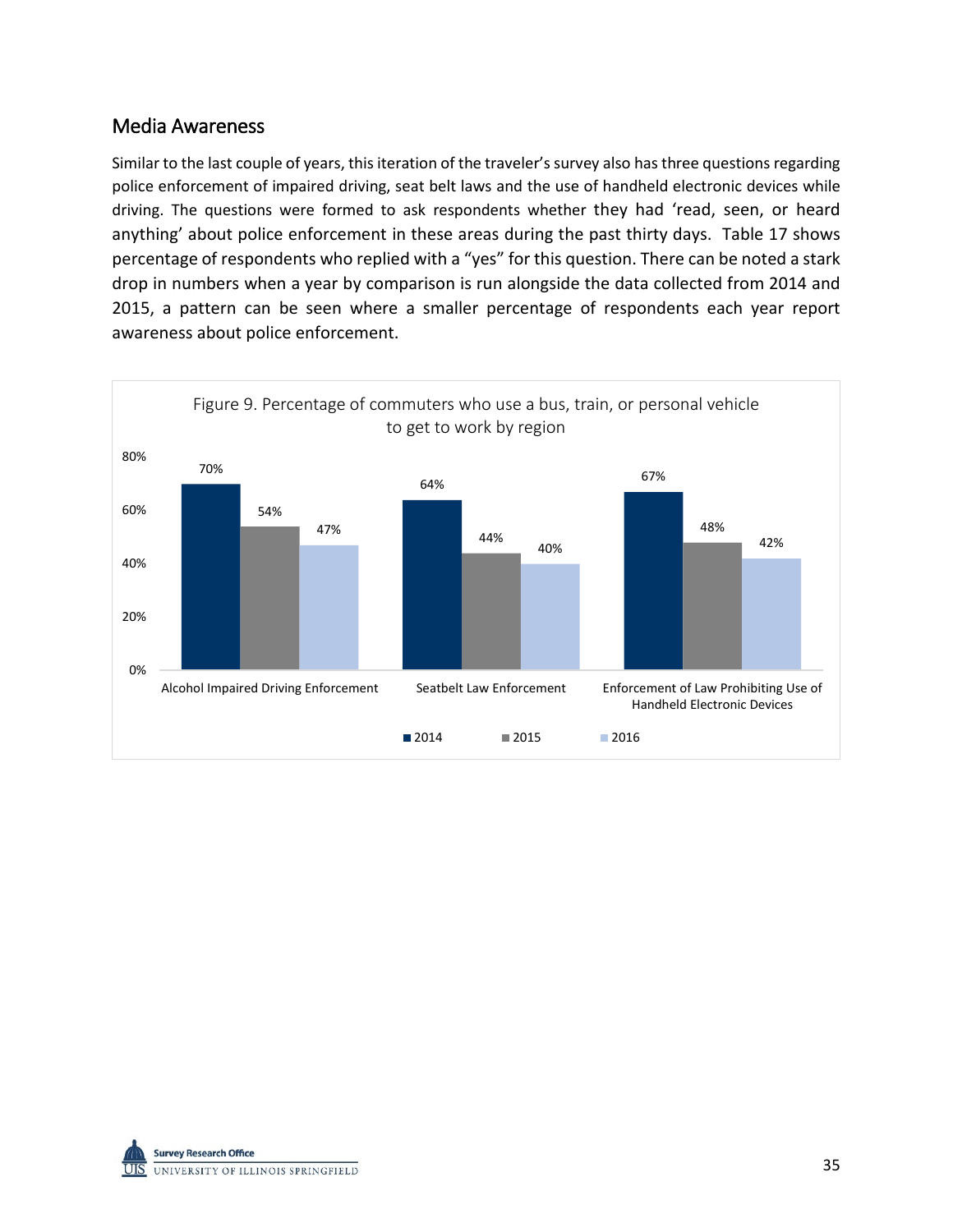## Media Awareness

Similar to the last couple of years, this iteration of the traveler's survey also has three questions regarding police enforcement of impaired driving, seat belt laws and the use of handheld electronic devices while driving. The questions were formed to ask respondents whether they had 'read, seen, or heard anything' about police enforcement in these areas during the past thirty days. Table 17 shows percentage of respondents who replied with a "yes" for this question. There can be noted a stark drop in numbers when a year by comparison is run alongside the data collected from 2014 and 2015, a pattern can be seen where a smaller percentage of respondents each year report awareness about police enforcement.



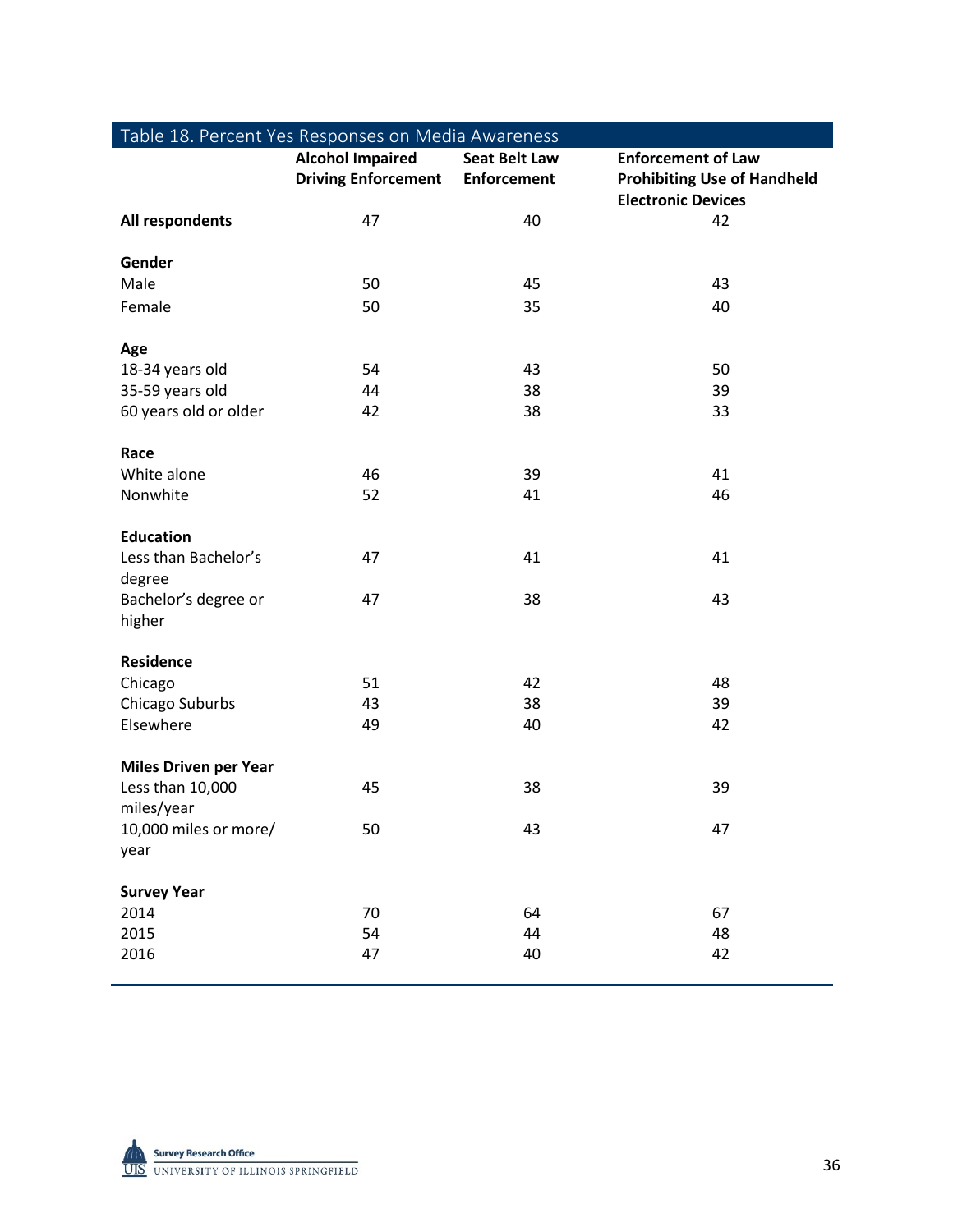| Table 18. Percent Yes Responses on Media Awareness |                                                       |                                            |                                                                                              |
|----------------------------------------------------|-------------------------------------------------------|--------------------------------------------|----------------------------------------------------------------------------------------------|
|                                                    | <b>Alcohol Impaired</b><br><b>Driving Enforcement</b> | <b>Seat Belt Law</b><br><b>Enforcement</b> | <b>Enforcement of Law</b><br><b>Prohibiting Use of Handheld</b><br><b>Electronic Devices</b> |
| All respondents                                    | 47                                                    | 40                                         | 42                                                                                           |
|                                                    |                                                       |                                            |                                                                                              |
| Gender                                             |                                                       |                                            |                                                                                              |
| Male                                               | 50                                                    | 45                                         | 43                                                                                           |
| Female                                             | 50                                                    | 35                                         | 40                                                                                           |
|                                                    |                                                       |                                            |                                                                                              |
| Age                                                |                                                       |                                            |                                                                                              |
| 18-34 years old                                    | 54                                                    | 43                                         | 50                                                                                           |
| 35-59 years old                                    | 44                                                    | 38                                         | 39                                                                                           |
| 60 years old or older                              | 42                                                    | 38                                         | 33                                                                                           |
|                                                    |                                                       |                                            |                                                                                              |
| Race                                               |                                                       |                                            |                                                                                              |
| White alone                                        | 46                                                    | 39                                         | 41                                                                                           |
| Nonwhite                                           | 52                                                    | 41                                         | 46                                                                                           |
| <b>Education</b>                                   |                                                       |                                            |                                                                                              |
| Less than Bachelor's                               | 47                                                    | 41                                         | 41                                                                                           |
| degree                                             |                                                       |                                            |                                                                                              |
| Bachelor's degree or                               | 47                                                    | 38                                         | 43                                                                                           |
| higher                                             |                                                       |                                            |                                                                                              |
|                                                    |                                                       |                                            |                                                                                              |
| <b>Residence</b>                                   |                                                       |                                            |                                                                                              |
| Chicago                                            | 51                                                    | 42                                         | 48                                                                                           |
| Chicago Suburbs                                    | 43                                                    | 38                                         | 39                                                                                           |
| Elsewhere                                          | 49                                                    | 40                                         | 42                                                                                           |
|                                                    |                                                       |                                            |                                                                                              |
| <b>Miles Driven per Year</b>                       |                                                       |                                            |                                                                                              |
| Less than 10,000                                   | 45                                                    | 38                                         | 39                                                                                           |
| miles/year                                         |                                                       |                                            |                                                                                              |
| 10,000 miles or more/                              | 50                                                    | 43                                         | 47                                                                                           |
| year                                               |                                                       |                                            |                                                                                              |
| <b>Survey Year</b>                                 |                                                       |                                            |                                                                                              |
| 2014                                               | 70                                                    | 64                                         | 67                                                                                           |
| 2015                                               | 54                                                    | 44                                         | 48                                                                                           |
| 2016                                               | 47                                                    | 40                                         | 42                                                                                           |
|                                                    |                                                       |                                            |                                                                                              |

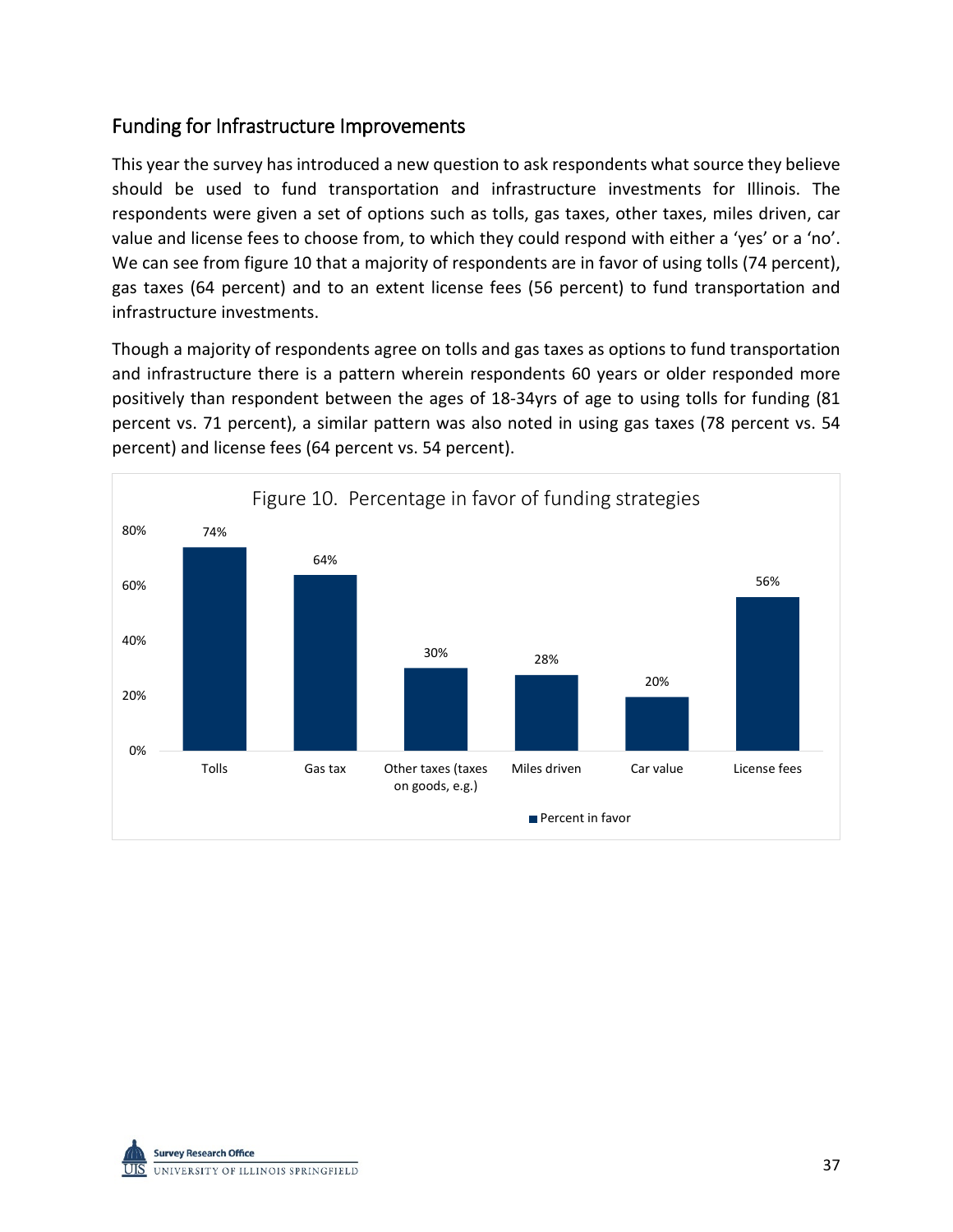## Funding for Infrastructure Improvements

This year the survey has introduced a new question to ask respondents what source they believe should be used to fund transportation and infrastructure investments for Illinois. The respondents were given a set of options such as tolls, gas taxes, other taxes, miles driven, car value and license fees to choose from, to which they could respond with either a 'yes' or a 'no'. We can see from figure 10 that a majority of respondents are in favor of using tolls (74 percent), gas taxes (64 percent) and to an extent license fees (56 percent) to fund transportation and infrastructure investments.

Though a majority of respondents agree on tolls and gas taxes as options to fund transportation and infrastructure there is a pattern wherein respondents 60 years or older responded more positively than respondent between the ages of 18-34yrs of age to using tolls for funding (81 percent vs. 71 percent), a similar pattern was also noted in using gas taxes (78 percent vs. 54 percent) and license fees (64 percent vs. 54 percent).



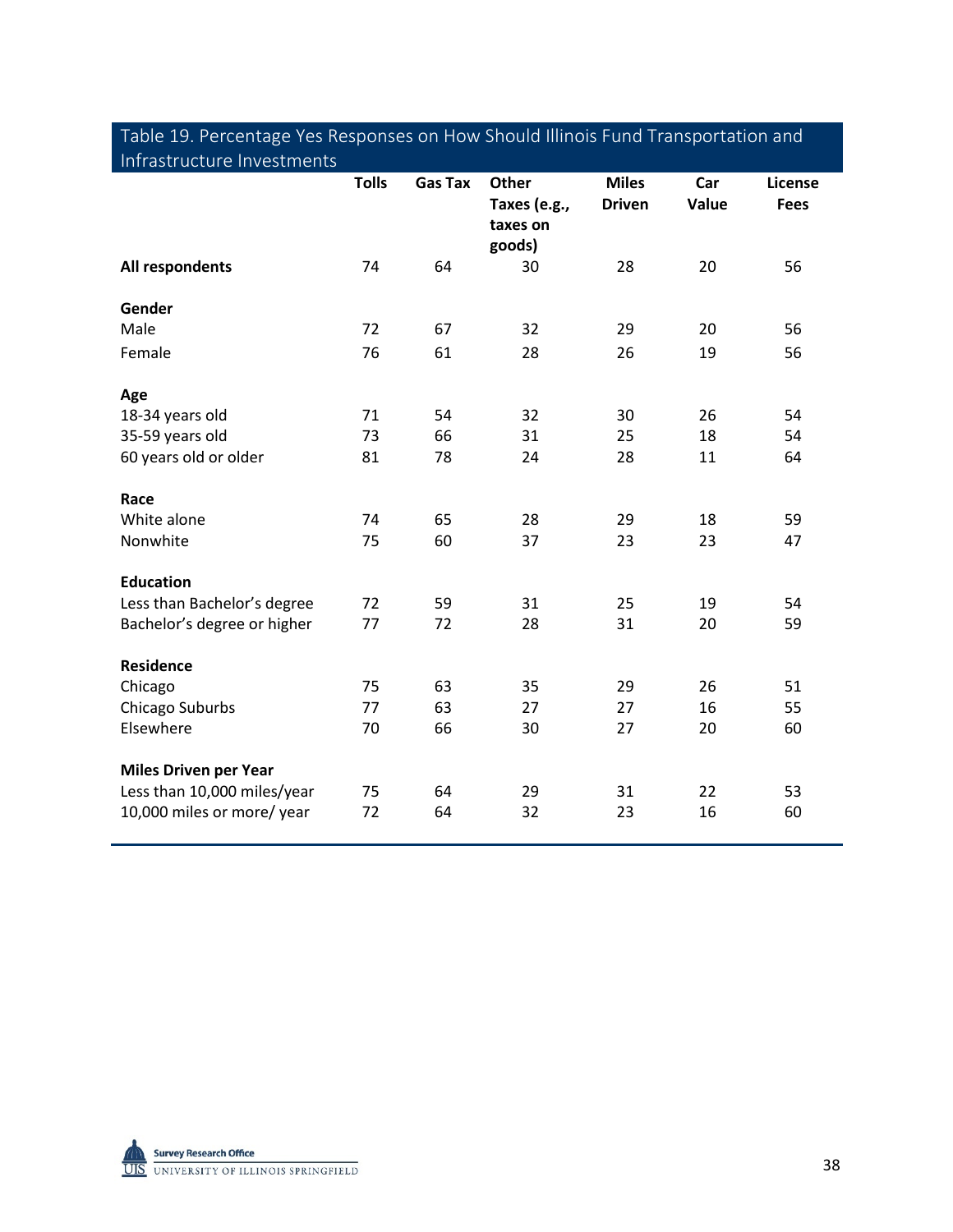| infrastructure investments   |              |                |                                                    |                               |              |                        |
|------------------------------|--------------|----------------|----------------------------------------------------|-------------------------------|--------------|------------------------|
|                              | <b>Tolls</b> | <b>Gas Tax</b> | <b>Other</b><br>Taxes (e.g.,<br>taxes on<br>goods) | <b>Miles</b><br><b>Driven</b> | Car<br>Value | License<br><b>Fees</b> |
| All respondents              | 74           | 64             | 30                                                 | 28                            | 20           | 56                     |
| Gender                       |              |                |                                                    |                               |              |                        |
| Male                         | 72           | 67             | 32                                                 | 29                            | 20           | 56                     |
| Female                       | 76           | 61             | 28                                                 | 26                            | 19           | 56                     |
| Age                          |              |                |                                                    |                               |              |                        |
| 18-34 years old              | 71           | 54             | 32                                                 | 30                            | 26           | 54                     |
| 35-59 years old              | 73           | 66             | 31                                                 | 25                            | 18           | 54                     |
| 60 years old or older        | 81           | 78             | 24                                                 | 28                            | 11           | 64                     |
| Race                         |              |                |                                                    |                               |              |                        |
| White alone                  | 74           | 65             | 28                                                 | 29                            | 18           | 59                     |
| Nonwhite                     | 75           | 60             | 37                                                 | 23                            | 23           | 47                     |
| <b>Education</b>             |              |                |                                                    |                               |              |                        |
| Less than Bachelor's degree  | 72           | 59             | 31                                                 | 25                            | 19           | 54                     |
| Bachelor's degree or higher  | 77           | 72             | 28                                                 | 31                            | 20           | 59                     |
| <b>Residence</b>             |              |                |                                                    |                               |              |                        |
| Chicago                      | 75           | 63             | 35                                                 | 29                            | 26           | 51                     |
| Chicago Suburbs              | 77           | 63             | 27                                                 | 27                            | 16           | 55                     |
| Elsewhere                    | 70           | 66             | 30                                                 | 27                            | 20           | 60                     |
| <b>Miles Driven per Year</b> |              |                |                                                    |                               |              |                        |
| Less than 10,000 miles/year  | 75           | 64             | 29                                                 | 31                            | 22           | 53                     |
| 10,000 miles or more/ year   | 72           | 64             | 32                                                 | 23                            | 16           | 60                     |

## Table 19. Percentage Yes Responses on How Should Illinois Fund Transportation and Infrastructure Investments

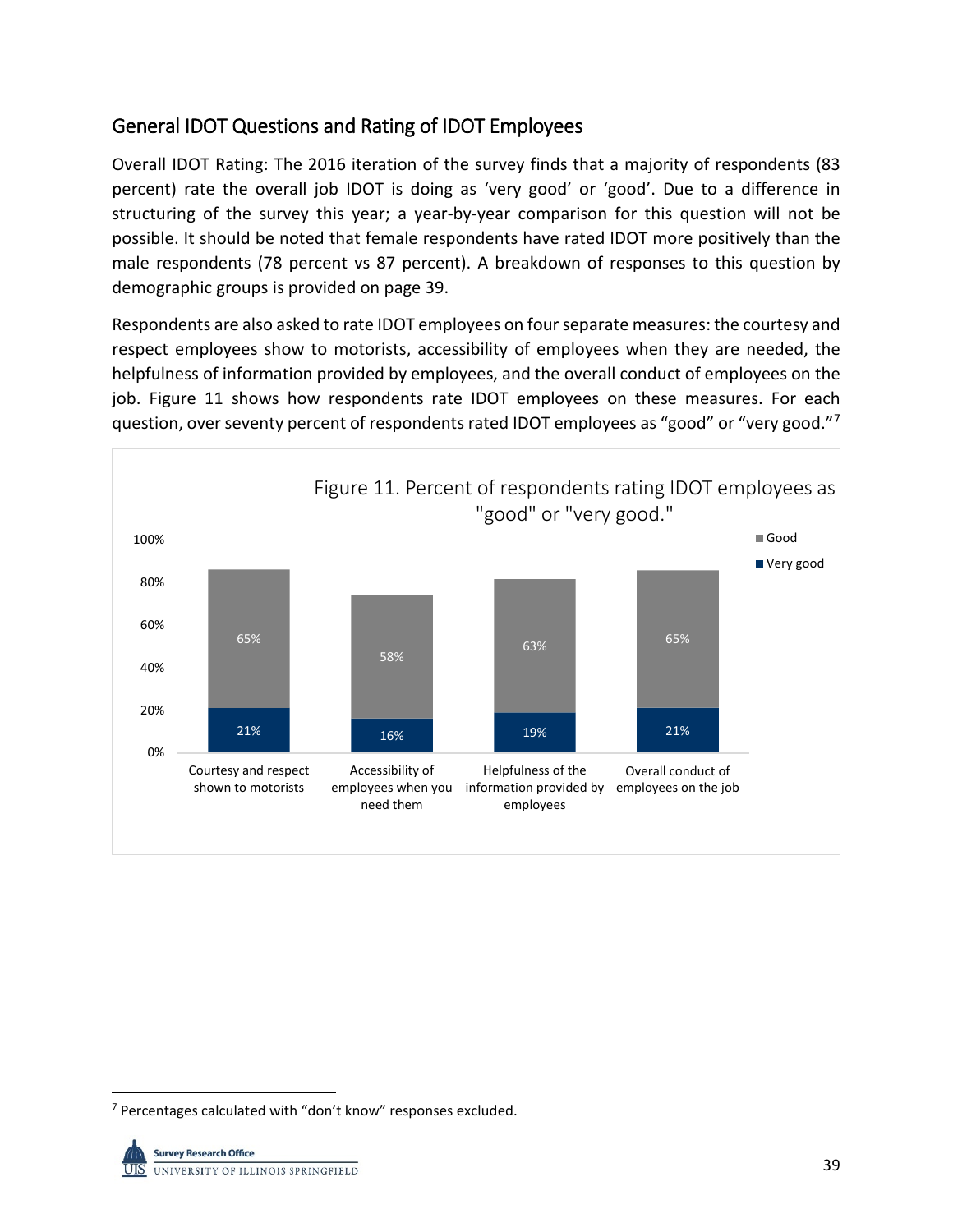## General IDOT Questions and Rating of IDOT Employees

Overall IDOT Rating: The 2016 iteration of the survey finds that a majority of respondents (83 percent) rate the overall job IDOT is doing as 'very good' or 'good'. Due to a difference in structuring of the survey this year; a year-by-year comparison for this question will not be possible. It should be noted that female respondents have rated IDOT more positively than the male respondents (78 percent vs 87 percent). A breakdown of responses to this question by demographic groups is provided on page 39.

Respondents are also asked to rate IDOT employees on four separate measures: the courtesy and respect employees show to motorists, accessibility of employees when they are needed, the helpfulness of information provided by employees, and the overall conduct of employees on the job. Figure 11 shows how respondents rate IDOT employees on these measures. For each question, over seventy percent of respondents rated IDOT employees as "good" or "very good."<sup>[7](#page-40-0)</sup>



<span id="page-40-0"></span><sup>&</sup>lt;sup>7</sup> Percentages calculated with "don't know" responses excluded.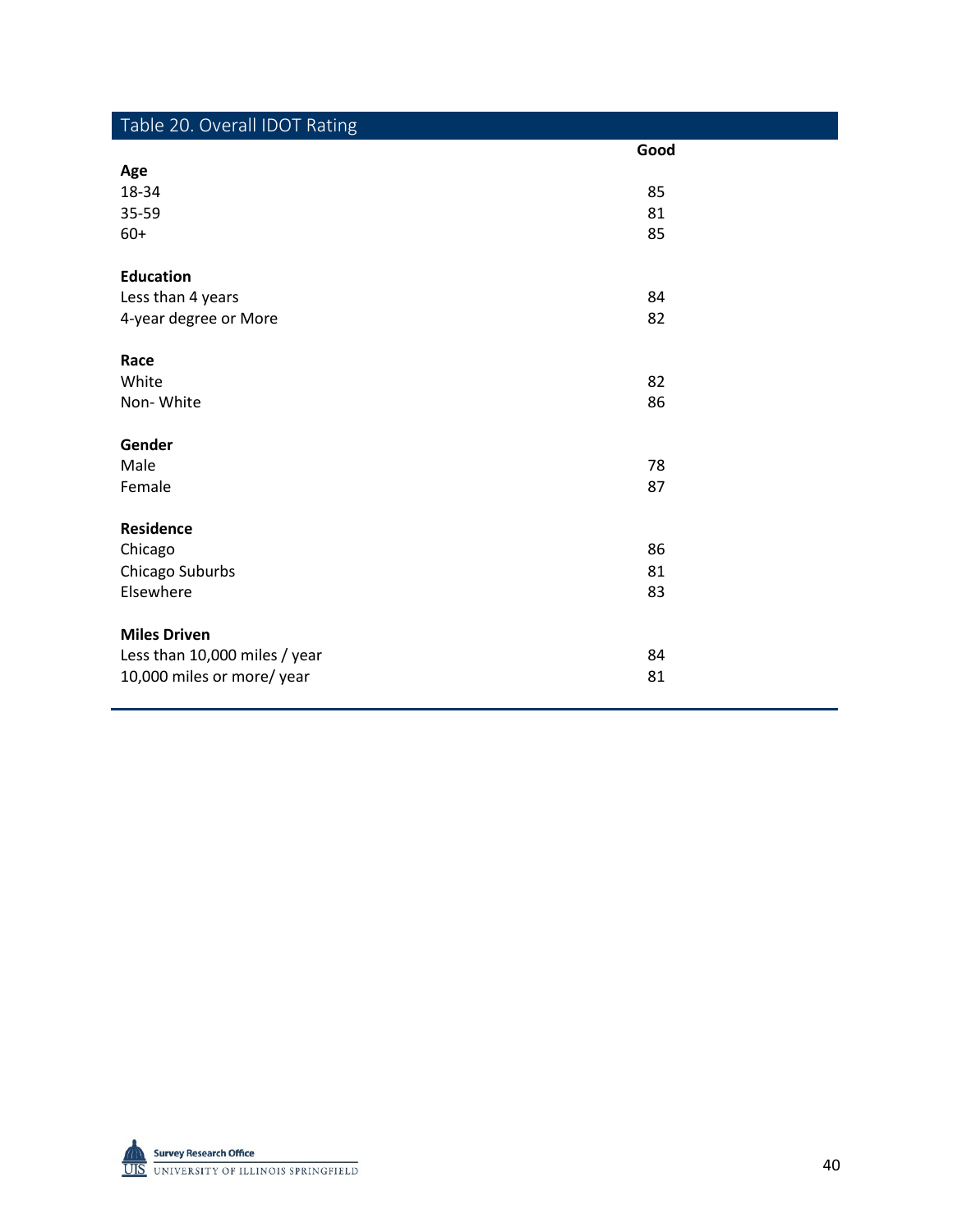| Table 20. Overall IDOT Rating |      |
|-------------------------------|------|
|                               | Good |
| Age                           |      |
| 18-34                         | 85   |
| 35-59                         | 81   |
| $60+$                         | 85   |
|                               |      |
| <b>Education</b>              |      |
| Less than 4 years             | 84   |
| 4-year degree or More         | 82   |
| Race                          |      |
| White                         | 82   |
| Non-White                     | 86   |
|                               |      |
| Gender                        |      |
| Male                          | 78   |
| Female                        | 87   |
|                               |      |
| <b>Residence</b>              |      |
| Chicago                       | 86   |
| Chicago Suburbs               | 81   |
| Elsewhere                     | 83   |
|                               |      |
| <b>Miles Driven</b>           |      |
| Less than 10,000 miles / year | 84   |
| 10,000 miles or more/ year    | 81   |

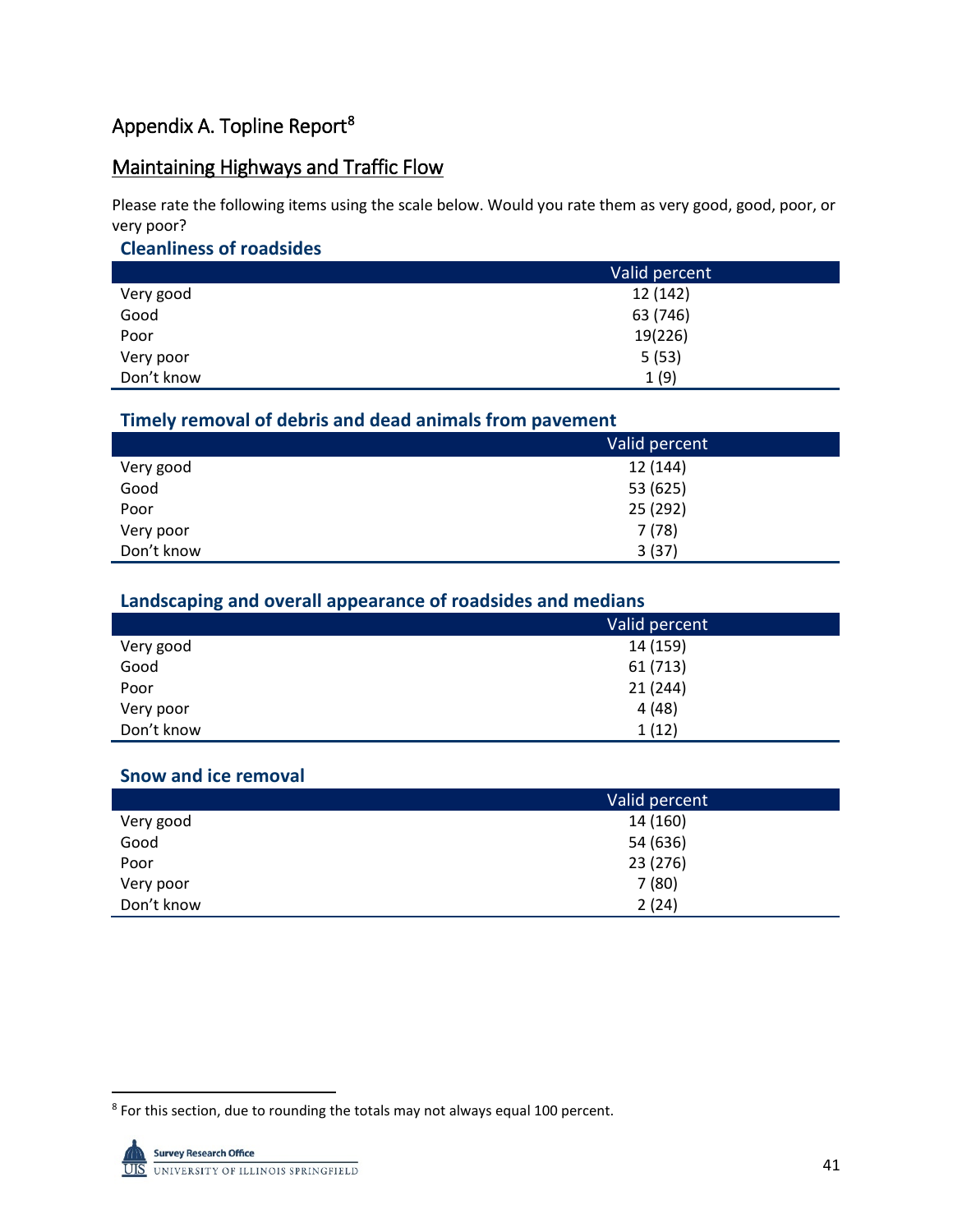## Appendix A. Topline Report<sup>8</sup>

## Maintaining Highways and Traffic Flow

Please rate the following items using the scale below. Would you rate them as very good, good, poor, or very poor?

#### **Cleanliness of roadsides**

|            | Valid percent |
|------------|---------------|
| Very good  | 12 (142)      |
| Good       | 63 (746)      |
| Poor       | 19(226)       |
| Very poor  | 5(53)         |
| Don't know | 1(9)          |

#### **Timely removal of debris and dead animals from pavement**

|            | Valid percent |
|------------|---------------|
| Very good  | 12 (144)      |
| Good       | 53 (625)      |
| Poor       | 25 (292)      |
| Very poor  | 7(78)         |
| Don't know | 3(37)         |

## **Landscaping and overall appearance of roadsides and medians**

|            | Valid percent |
|------------|---------------|
| Very good  | 14 (159)      |
| Good       | 61 (713)      |
| Poor       | 21(244)       |
| Very poor  | 4(48)         |
| Don't know | 1(12)         |

#### **Snow and ice removal**

|            | Valid percent |
|------------|---------------|
| Very good  | 14 (160)      |
| Good       | 54 (636)      |
| Poor       | 23 (276)      |
| Very poor  | 7(80)         |
| Don't know | 2(24)         |

<span id="page-42-0"></span><sup>&</sup>lt;sup>8</sup> For this section, due to rounding the totals may not always equal 100 percent.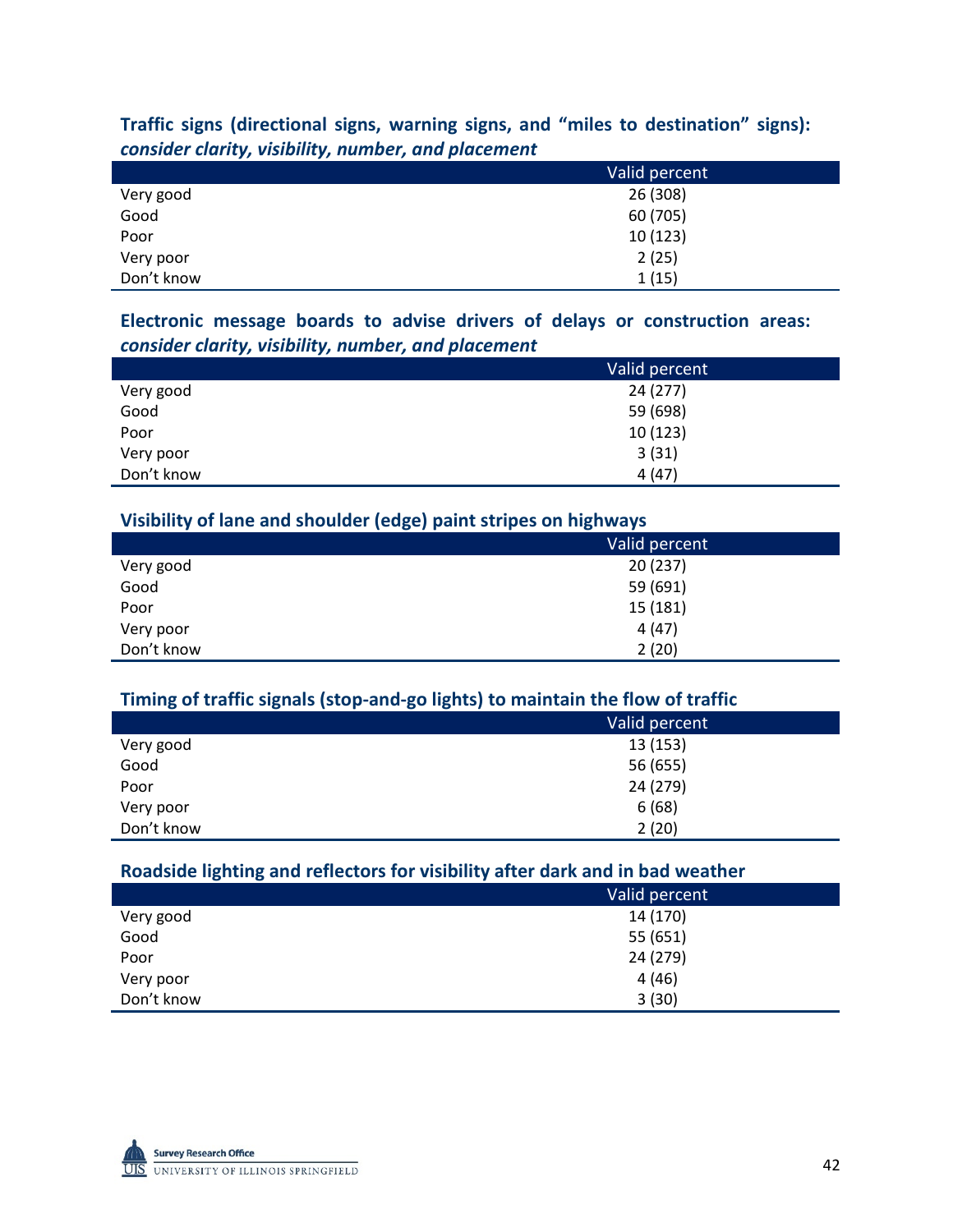## **Traffic signs (directional signs, warning signs, and "miles to destination" signs):**  *consider clarity, visibility, number, and placement*

|            | Valid percent |
|------------|---------------|
| Very good  | 26 (308)      |
| Good       | 60 (705)      |
| Poor       | 10(123)       |
| Very poor  | 2(25)         |
| Don't know | 1(15)         |

## **Electronic message boards to advise drivers of delays or construction areas:**  *consider clarity, visibility, number, and placement*

|            | Valid percent |
|------------|---------------|
| Very good  | 24 (277)      |
| Good       | 59 (698)      |
| Poor       | 10(123)       |
| Very poor  | 3(31)         |
| Don't know | 4(47)         |

#### **Visibility of lane and shoulder (edge) paint stripes on highways**

|            | - - -         |
|------------|---------------|
|            | Valid percent |
| Very good  | 20(237)       |
| Good       | 59 (691)      |
| Poor       | 15 (181)      |
| Very poor  | 4(47)         |
| Don't know | 2(20)         |

## **Timing of traffic signals (stop-and-go lights) to maintain the flow of traffic**

|            | Valid percent |
|------------|---------------|
| Very good  | 13 (153)      |
| Good       | 56 (655)      |
| Poor       | 24 (279)      |
| Very poor  | 6(68)         |
| Don't know | 2(20)         |

#### **Roadside lighting and reflectors for visibility after dark and in bad weather**

|            | Valid percent |
|------------|---------------|
| Very good  | 14 (170)      |
| Good       | 55 (651)      |
| Poor       | 24 (279)      |
| Very poor  | 4(46)         |
| Don't know | 3(30)         |

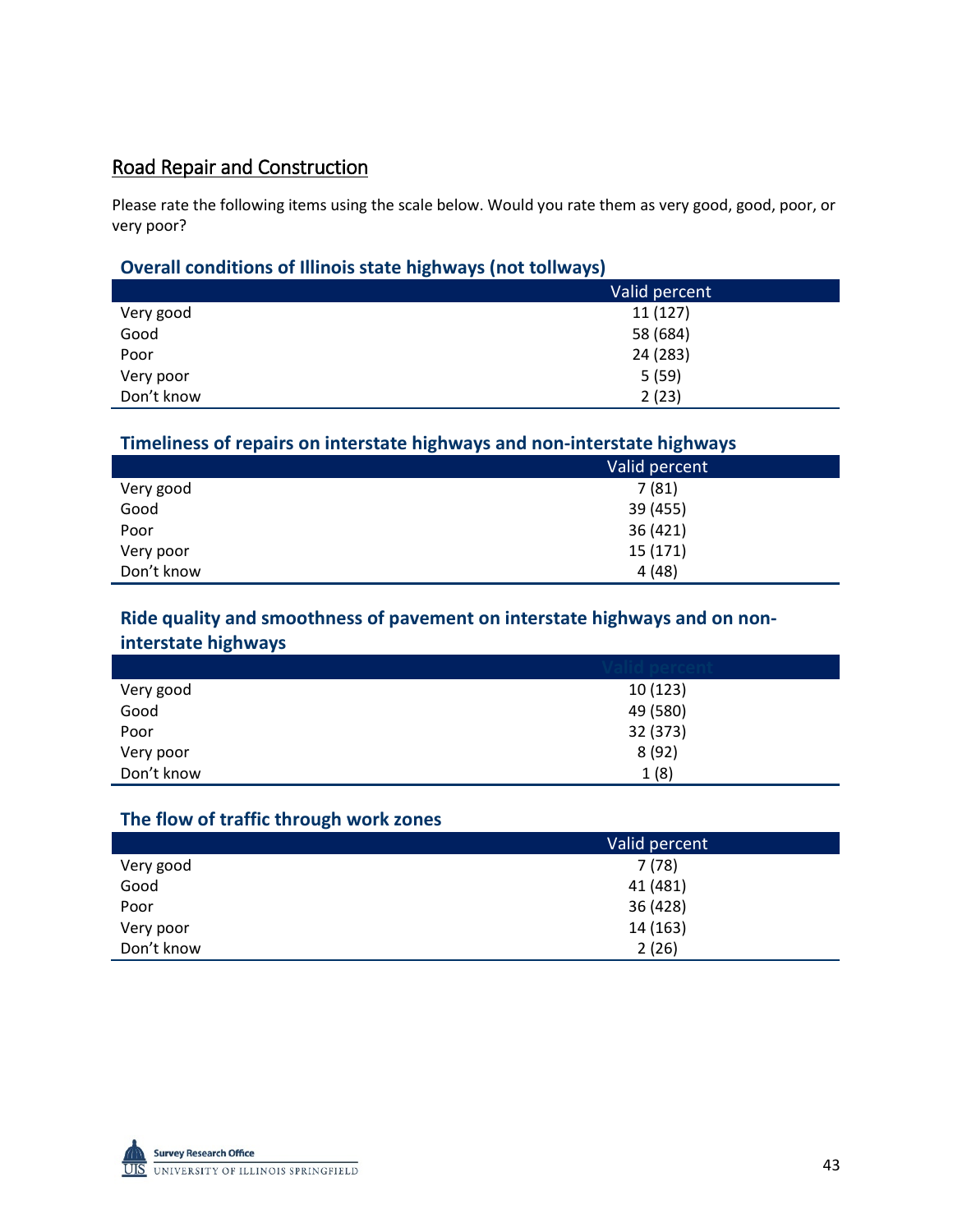## Road Repair and Construction

Please rate the following items using the scale below. Would you rate them as very good, good, poor, or very poor?

## **Overall conditions of Illinois state highways (not tollways)**

|            | Valid percent |
|------------|---------------|
| Very good  | 11 (127)      |
| Good       | 58 (684)      |
| Poor       | 24 (283)      |
| Very poor  | 5(59)         |
| Don't know | 2(23)         |

## **Timeliness of repairs on interstate highways and non-interstate highways**

|            | Valid percent |
|------------|---------------|
| Very good  | 7(81)         |
| Good       | 39 (455)      |
| Poor       | 36 (421)      |
| Very poor  | 15 (171)      |
| Don't know | 4(48)         |

## **Ride quality and smoothness of pavement on interstate highways and on noninterstate highways**

| Very good  | 10(123)  |
|------------|----------|
| Good       | 49 (580) |
| Poor       | 32 (373) |
| Very poor  | 8(92)    |
| Don't know | 1(8)     |

## **The flow of traffic through work zones**

|            | Valid percent |
|------------|---------------|
| Very good  | 7(78)         |
| Good       | 41 (481)      |
| Poor       | 36 (428)      |
| Very poor  | 14 (163)      |
| Don't know | 2(26)         |

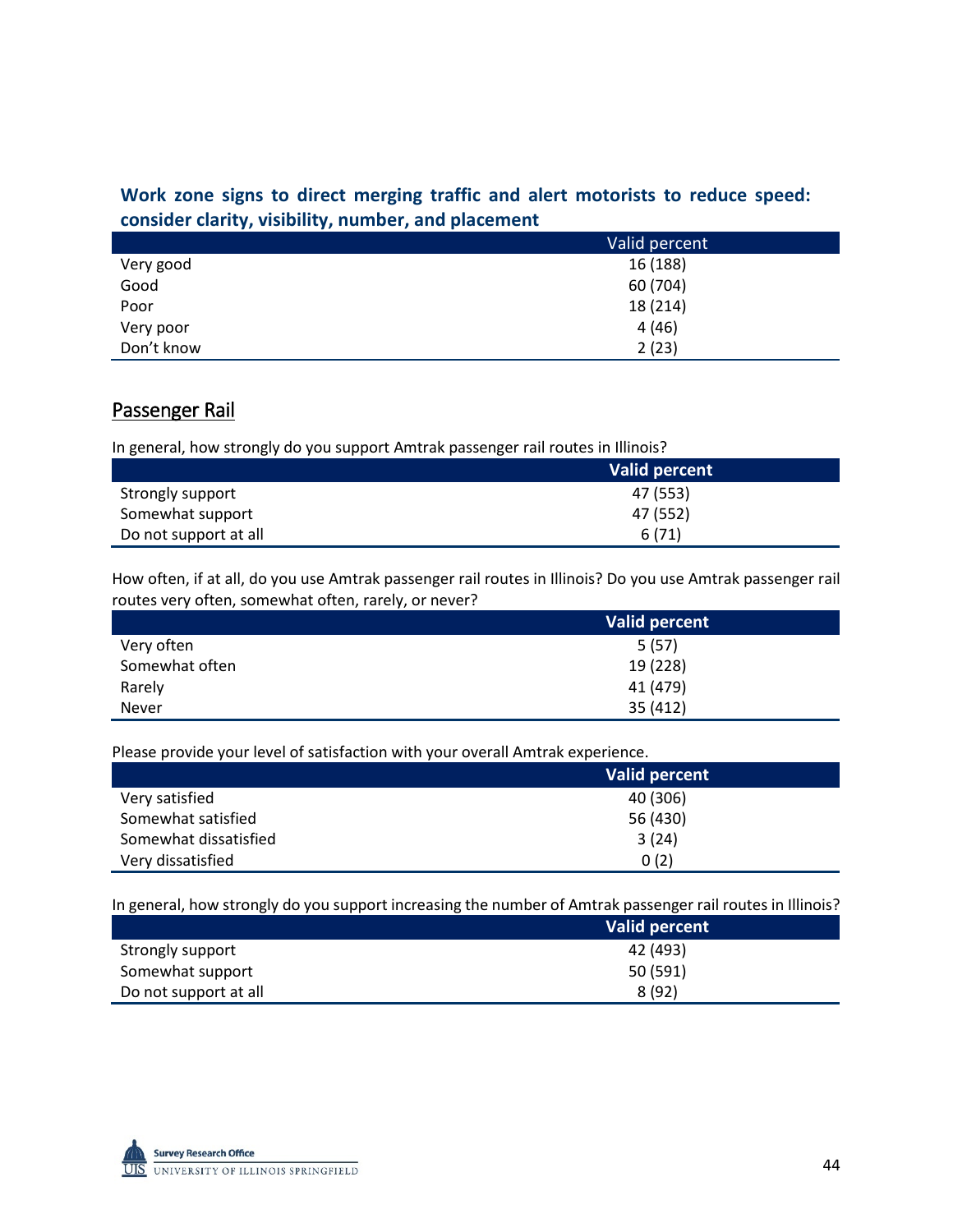## **Work zone signs to direct merging traffic and alert motorists to reduce speed: consider clarity, visibility, number, and placement**

|            | Valid percent |
|------------|---------------|
| Very good  | 16 (188)      |
| Good       | 60 (704)      |
| Poor       | 18 (214)      |
| Very poor  | 4(46)         |
| Don't know | 2(23)         |

## Passenger Rail

In general, how strongly do you support Amtrak passenger rail routes in Illinois?

|                       | <b>Valid percent</b> |
|-----------------------|----------------------|
| Strongly support      | 47 (553)             |
| Somewhat support      | 47 (552)             |
| Do not support at all | 6(71)                |

How often, if at all, do you use Amtrak passenger rail routes in Illinois? Do you use Amtrak passenger rail routes very often, somewhat often, rarely, or never?

|                | Valid percent |
|----------------|---------------|
| Very often     | 5(57)         |
| Somewhat often | 19 (228)      |
| Rarely         | 41 (479)      |
| <b>Never</b>   | 35 (412)      |

Please provide your level of satisfaction with your overall Amtrak experience.

|                       | Valid percent |
|-----------------------|---------------|
| Very satisfied        | 40 (306)      |
| Somewhat satisfied    | 56 (430)      |
| Somewhat dissatisfied | 3(24)         |
| Very dissatisfied     | 0(2)          |

In general, how strongly do you support increasing the number of Amtrak passenger rail routes in Illinois?

|                       | Valid percent |
|-----------------------|---------------|
| Strongly support      | 42 (493)      |
| Somewhat support      | 50 (591)      |
| Do not support at all | 8(92)         |

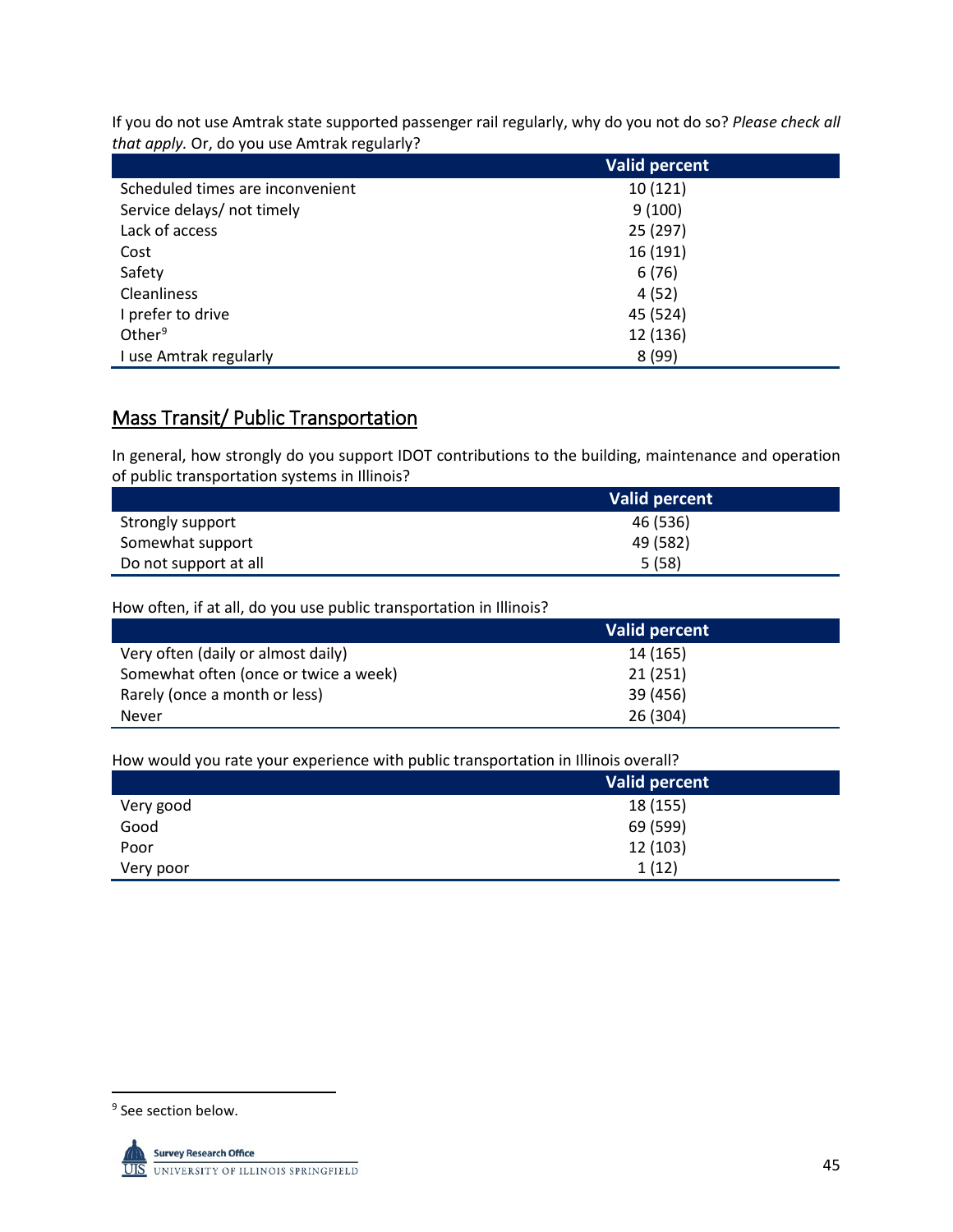If you do not use Amtrak state supported passenger rail regularly, why do you not do so? *Please check all that apply.* Or, do you use Amtrak regularly?

|                                  | Valid percent |
|----------------------------------|---------------|
| Scheduled times are inconvenient | 10(121)       |
| Service delays/ not timely       | 9(100)        |
| Lack of access                   | 25 (297)      |
| Cost                             | 16 (191)      |
| Safety                           | 6(76)         |
| <b>Cleanliness</b>               | 4(52)         |
| I prefer to drive                | 45 (524)      |
| Other <sup>9</sup>               | 12 (136)      |
| I use Amtrak regularly           | 8(99)         |

## Mass Transit/ Public Transportation

In general, how strongly do you support IDOT contributions to the building, maintenance and operation of public transportation systems in Illinois?

|                       | <b>Valid percent</b> |
|-----------------------|----------------------|
| Strongly support      | 46 (536)             |
| Somewhat support      | 49 (582)             |
| Do not support at all | 5(58)                |

How often, if at all, do you use public transportation in Illinois?

|                                       | Valid percent |
|---------------------------------------|---------------|
| Very often (daily or almost daily)    | 14 (165)      |
| Somewhat often (once or twice a week) | 21(251)       |
| Rarely (once a month or less)         | 39 (456)      |
| <b>Never</b>                          | 26 (304)      |

How would you rate your experience with public transportation in Illinois overall?

|           | Valid percent |
|-----------|---------------|
| Very good | 18 (155)      |
| Good      | 69 (599)      |
| Poor      | 12 (103)      |
| Very poor | 1(12)         |

<span id="page-46-0"></span><sup>&</sup>lt;sup>9</sup> See section below.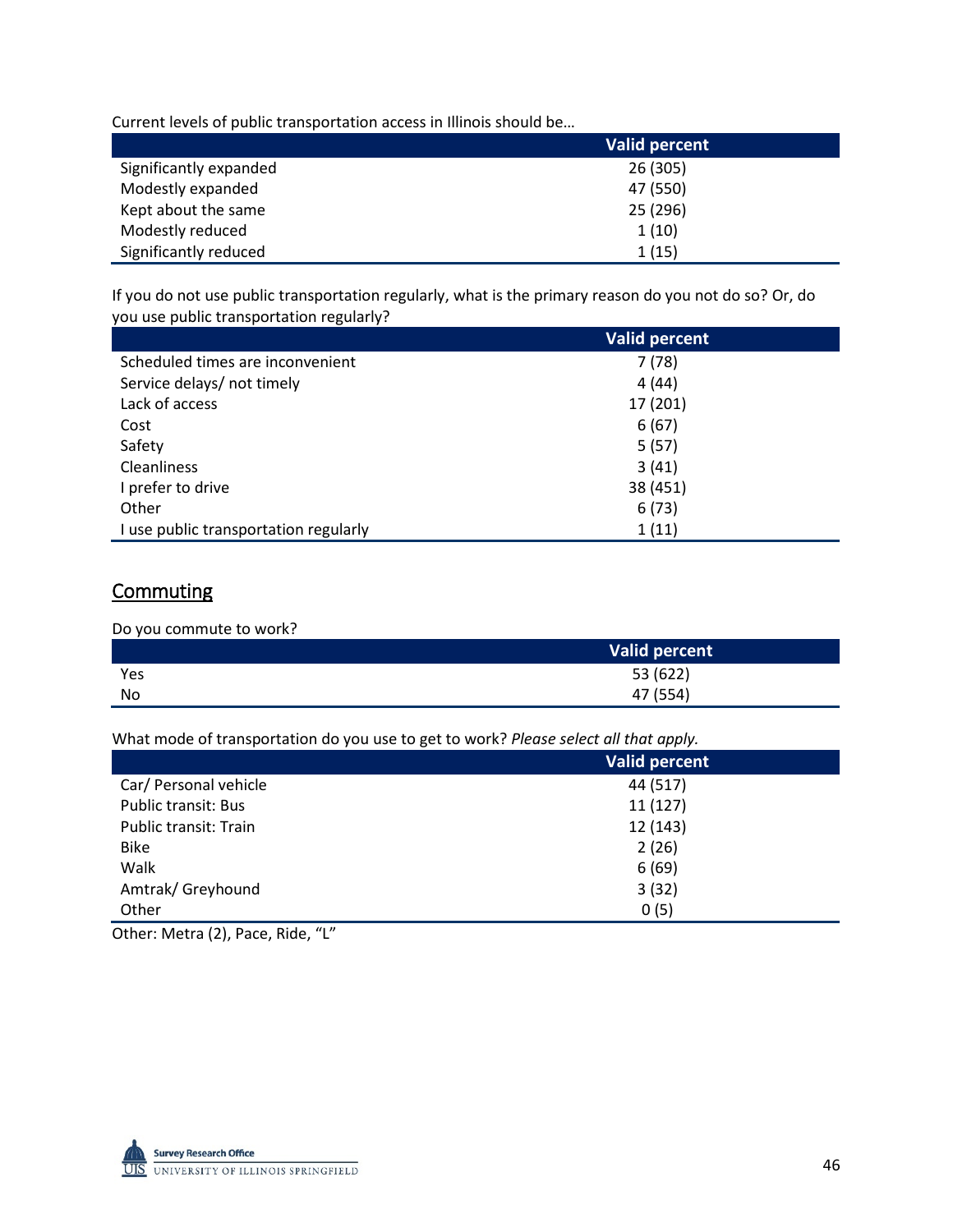Current levels of public transportation access in Illinois should be…

|                        | <b>Valid percent</b> |
|------------------------|----------------------|
| Significantly expanded | 26 (305)             |
| Modestly expanded      | 47 (550)             |
| Kept about the same    | 25 (296)             |
| Modestly reduced       | 1(10)                |
| Significantly reduced  | 1(15)                |

If you do not use public transportation regularly, what is the primary reason do you not do so? Or, do you use public transportation regularly?

|                                       | <b>Valid percent</b> |
|---------------------------------------|----------------------|
| Scheduled times are inconvenient      | 7(78)                |
| Service delays/ not timely            | 4(44)                |
| Lack of access                        | 17 (201)             |
| Cost                                  | 6(67)                |
| Safety                                | 5(57)                |
| <b>Cleanliness</b>                    | 3(41)                |
| I prefer to drive                     | 38 (451)             |
| Other                                 | 6(73)                |
| I use public transportation regularly | 1(11)                |

## **Commuting**

Do you commute to work?

|     | Valid percent |
|-----|---------------|
| Yes | 53 (622)      |
| No  | 47 (554)      |

What mode of transportation do you use to get to work? *Please select all that apply.*

|                            | <b>Valid percent</b> |
|----------------------------|----------------------|
| Car/ Personal vehicle      | 44 (517)             |
| <b>Public transit: Bus</b> | 11(127)              |
| Public transit: Train      | 12 (143)             |
| <b>Bike</b>                | 2(26)                |
| Walk                       | 6(69)                |
| Amtrak/Greyhound           | 3(32)                |
| Other                      | 0(5)                 |

Other: Metra (2), Pace, Ride, "L"

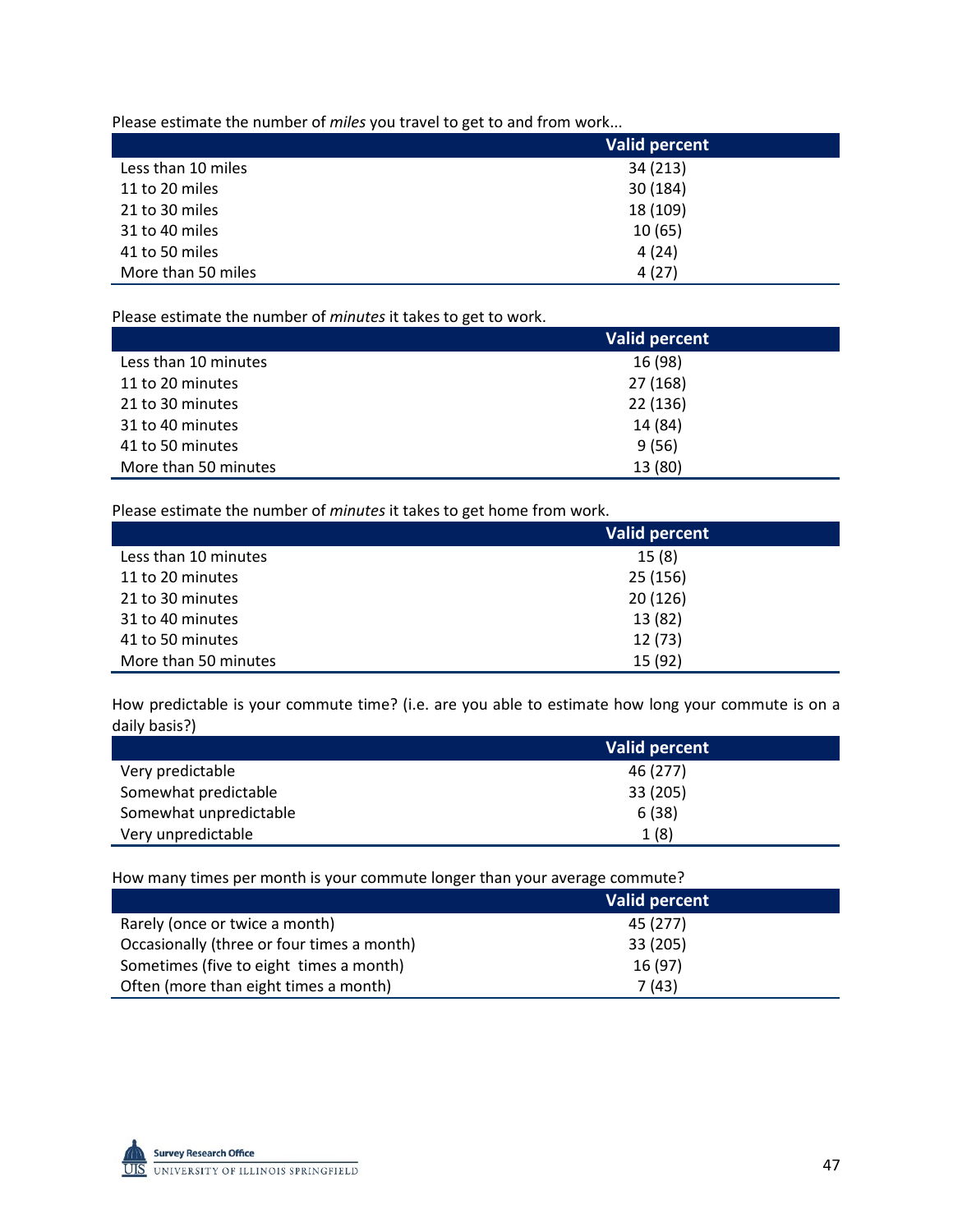Please estimate the number of *miles* you travel to get to and from work...

|                    | <b>Valid percent</b> |
|--------------------|----------------------|
| Less than 10 miles | 34 (213)             |
| 11 to 20 miles     | 30 (184)             |
| 21 to 30 miles     | 18 (109)             |
| 31 to 40 miles     | 10(65)               |
| 41 to 50 miles     | 4(24)                |
| More than 50 miles | 4(27)                |

Please estimate the number of *minutes* it takes to get to work.

|                      | <b>Valid percent</b> |
|----------------------|----------------------|
| Less than 10 minutes | 16 (98)              |
| 11 to 20 minutes     | 27 (168)             |
| 21 to 30 minutes     | 22 (136)             |
| 31 to 40 minutes     | 14 (84)              |
| 41 to 50 minutes     | 9(56)                |
| More than 50 minutes | 13 (80)              |

Please estimate the number of *minutes* it takes to get home from work.

|                      | <b>Valid percent</b> |
|----------------------|----------------------|
| Less than 10 minutes | 15(8)                |
| 11 to 20 minutes     | 25(156)              |
| 21 to 30 minutes     | 20(126)              |
| 31 to 40 minutes     | 13 (82)              |
| 41 to 50 minutes     | 12(73)               |
| More than 50 minutes | 15 (92)              |

How predictable is your commute time? (i.e. are you able to estimate how long your commute is on a daily basis?)

|                        | Valid percent |
|------------------------|---------------|
| Very predictable       | 46 (277)      |
| Somewhat predictable   | 33 (205)      |
| Somewhat unpredictable | 6(38)         |
| Very unpredictable     | 1(8)          |

How many times per month is your commute longer than your average commute?

|                                            | Valid percent |
|--------------------------------------------|---------------|
| Rarely (once or twice a month)             | 45 (277)      |
| Occasionally (three or four times a month) | 33 (205)      |
| Sometimes (five to eight times a month)    | 16 (97)       |
| Often (more than eight times a month)      | 7 (43)        |

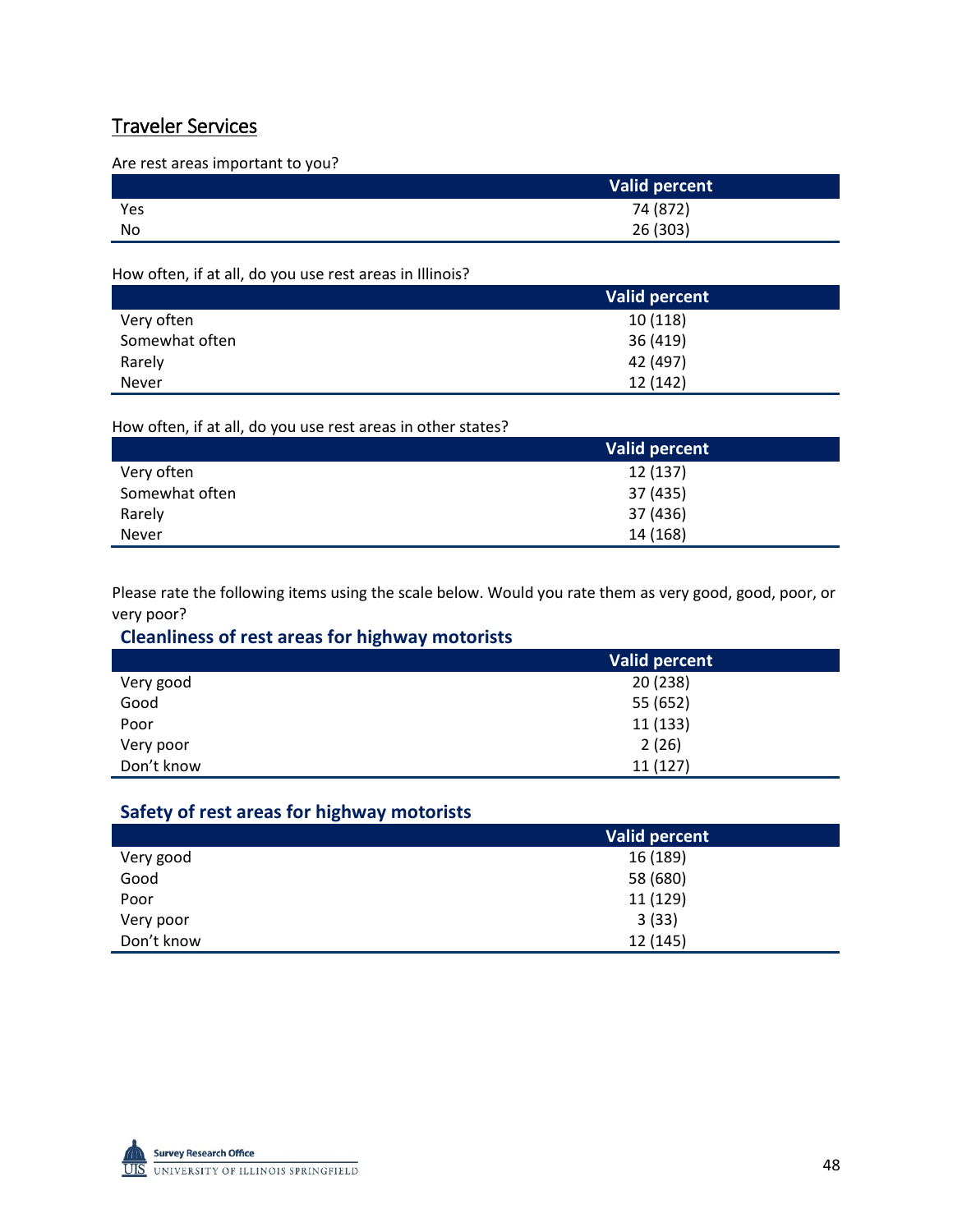## Traveler Services

Are rest areas important to you?

|     | Valid percent |
|-----|---------------|
| Yes | 74 (872)      |
| No  | 26 (303)      |

How often, if at all, do you use rest areas in Illinois?

|                | Valid percent |
|----------------|---------------|
| Very often     | 10(118)       |
| Somewhat often | 36 (419)      |
| Rarely         | 42 (497)      |
| <b>Never</b>   | 12 (142)      |

How often, if at all, do you use rest areas in other states?

|                | Valid percent |
|----------------|---------------|
| Very often     | 12 (137)      |
| Somewhat often | 37 (435)      |
| Rarely         | 37 (436)      |
| <b>Never</b>   | 14 (168)      |

Please rate the following items using the scale below. Would you rate them as very good, good, poor, or very poor?

## **Cleanliness of rest areas for highway motorists**

|            | <b>Valid percent</b> |
|------------|----------------------|
| Very good  | 20(238)              |
| Good       | 55 (652)             |
| Poor       | 11 (133)             |
| Very poor  | 2(26)                |
| Don't know | 11(127)              |

## **Safety of rest areas for highway motorists**

|            | Valid percent |
|------------|---------------|
| Very good  | 16 (189)      |
| Good       | 58 (680)      |
| Poor       | 11 (129)      |
| Very poor  | 3(33)         |
| Don't know | 12 (145)      |

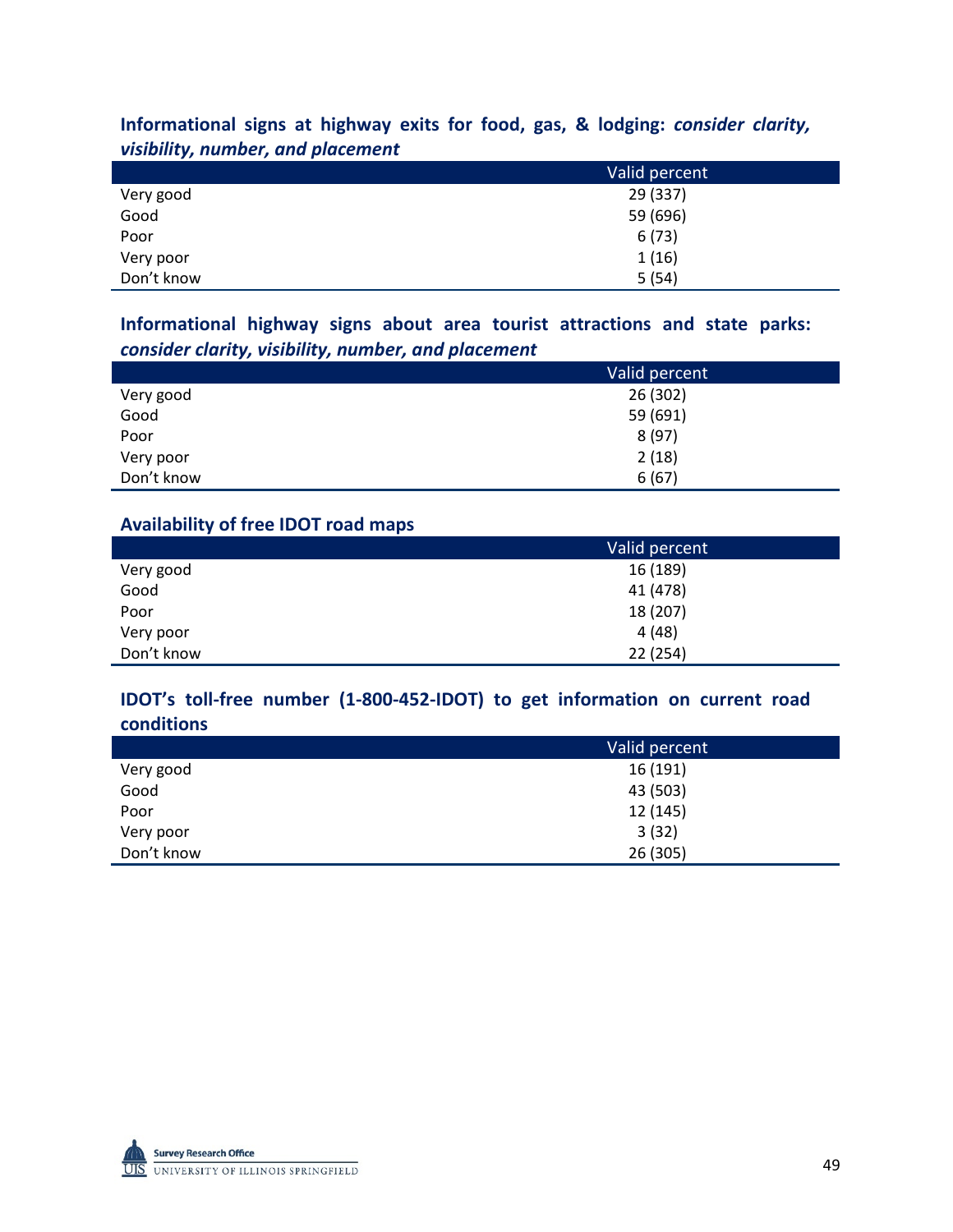## **Informational signs at highway exits for food, gas, & lodging:** *consider clarity, visibility, number, and placement*

|            | Valid percent |
|------------|---------------|
| Very good  | 29 (337)      |
| Good       | 59 (696)      |
| Poor       | 6(73)         |
| Very poor  | 1(16)         |
| Don't know | 5(54)         |

## **Informational highway signs about area tourist attractions and state parks:**  *consider clarity, visibility, number, and placement*

|            | Valid percent |
|------------|---------------|
| Very good  | 26 (302)      |
| Good       | 59 (691)      |
| Poor       | 8(97)         |
| Very poor  | 2(18)         |
| Don't know | 6(67)         |

## **Availability of free IDOT road maps**

|            | Valid percent |
|------------|---------------|
| Very good  | 16 (189)      |
| Good       | 41 (478)      |
| Poor       | 18 (207)      |
| Very poor  | 4(48)         |
| Don't know | 22 (254)      |

### **IDOT's toll-free number (1-800-452-IDOT) to get information on current road conditions**

|            | Valid percent |
|------------|---------------|
| Very good  | 16(191)       |
| Good       | 43 (503)      |
| Poor       | 12 (145)      |
| Very poor  | 3(32)         |
| Don't know | 26 (305)      |

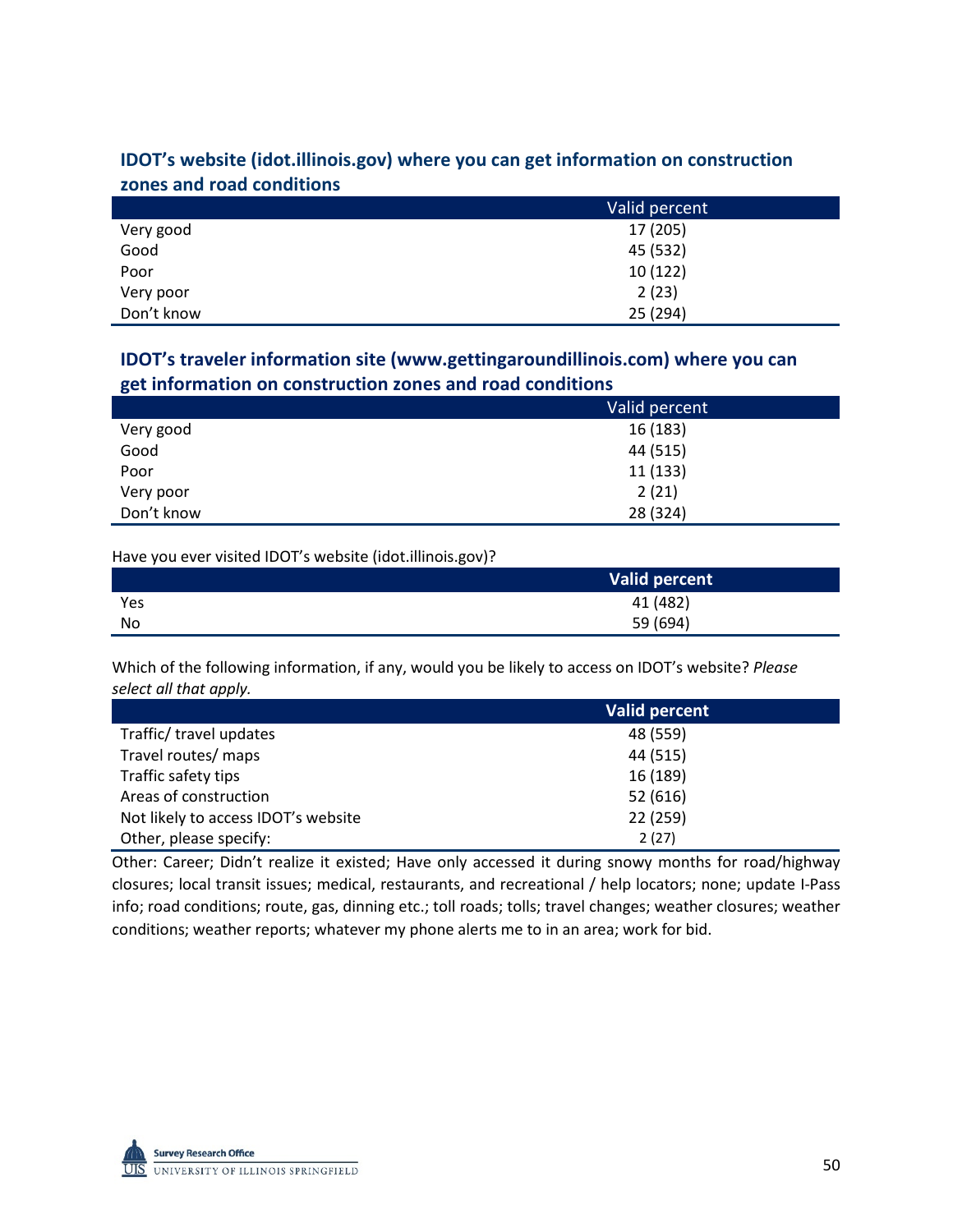## **IDOT's website (idot.illinois.gov) where you can get information on construction zones and road conditions**

|            | Valid percent |
|------------|---------------|
| Very good  | 17 (205)      |
| Good       | 45 (532)      |
| Poor       | 10(122)       |
| Very poor  | 2(23)         |
| Don't know | 25 (294)      |

## **IDOT's traveler information site (www.gettingaroundillinois.com) where you can get information on construction zones and road conditions**

|            | Valid percent |
|------------|---------------|
| Very good  | 16 (183)      |
| Good       | 44 (515)      |
| Poor       | 11 (133)      |
| Very poor  | 2(21)         |
| Don't know | 28 (324)      |

Have you ever visited IDOT's website (idot.illinois.gov)?

|     | <b>Valid percent</b> |
|-----|----------------------|
| Yes | 41 (482)             |
| No  | 59 (694)             |

Which of the following information, if any, would you be likely to access on IDOT's website? *Please select all that apply.* 

|                                     | <b>Valid percent</b> |
|-------------------------------------|----------------------|
| Traffic/ travel updates             | 48 (559)             |
| Travel routes/ maps                 | 44 (515)             |
| Traffic safety tips                 | 16 (189)             |
| Areas of construction               | 52 (616)             |
| Not likely to access IDOT's website | 22 (259)             |
| Other, please specify:              | 2(27)                |

Other: Career; Didn't realize it existed; Have only accessed it during snowy months for road/highway closures; local transit issues; medical, restaurants, and recreational / help locators; none; update I-Pass info; road conditions; route, gas, dinning etc.; toll roads; tolls; travel changes; weather closures; weather conditions; weather reports; whatever my phone alerts me to in an area; work for bid.

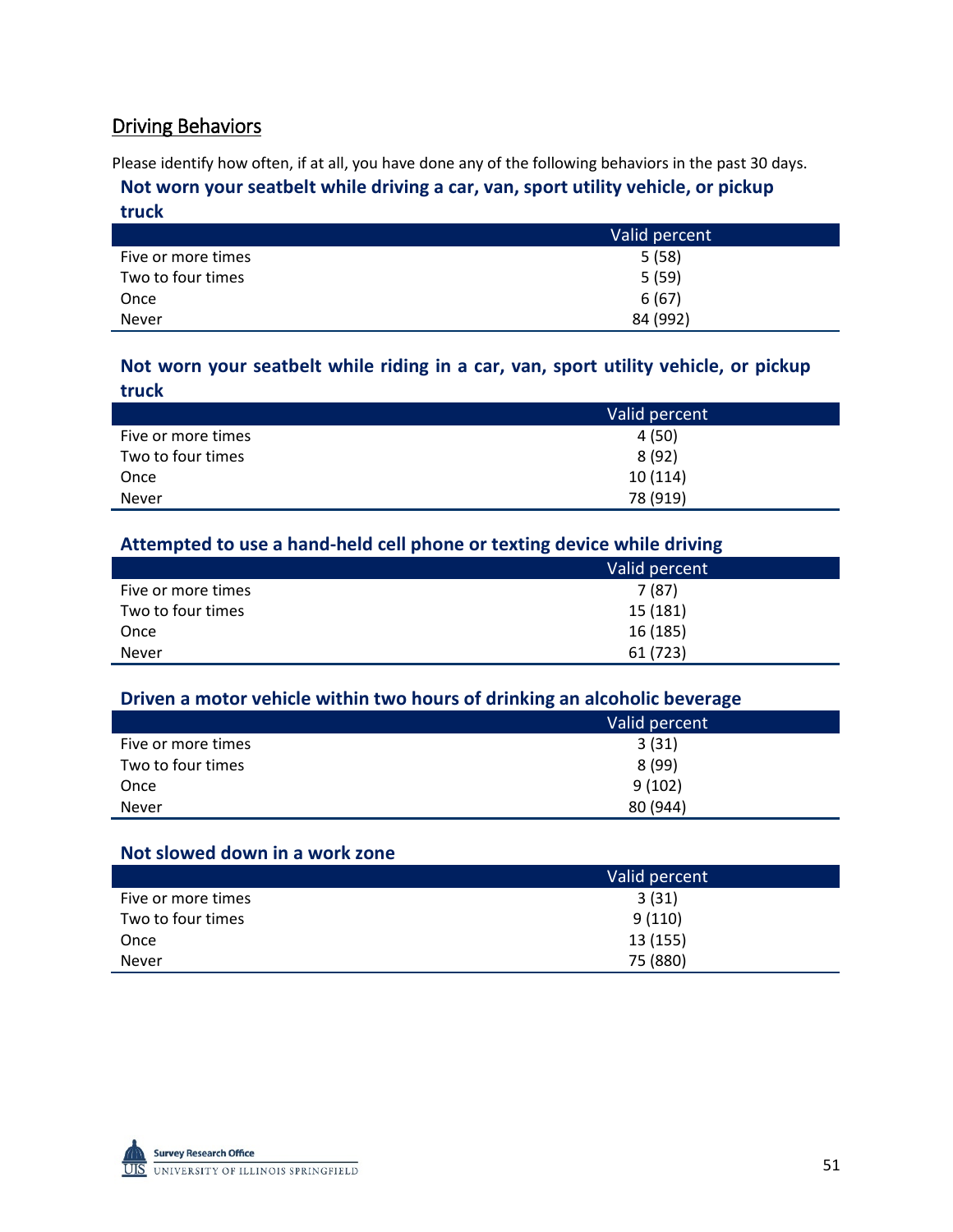## Driving Behaviors

Please identify how often, if at all, you have done any of the following behaviors in the past 30 days.

## **Not worn your seatbelt while driving a car, van, sport utility vehicle, or pickup truck**

|                    | Valid percent |
|--------------------|---------------|
| Five or more times | 5(58)         |
| Two to four times  | 5(59)         |
| Once               | 6(67)         |
| <b>Never</b>       | 84 (992)      |

## **Not worn your seatbelt while riding in a car, van, sport utility vehicle, or pickup truck**

|                    | Valid percent |
|--------------------|---------------|
| Five or more times | 4 (50)        |
| Two to four times  | 8(92)         |
| Once               | 10(114)       |
| <b>Never</b>       | 78 (919)      |

## **Attempted to use a hand-held cell phone or texting device while driving**

|                    | Valid percent |
|--------------------|---------------|
| Five or more times | 7(87)         |
| Two to four times  | 15 (181)      |
| Once               | 16(185)       |
| <b>Never</b>       | 61 (723)      |

## **Driven a motor vehicle within two hours of drinking an alcoholic beverage**

|                    | Valid percent |
|--------------------|---------------|
| Five or more times | 3(31)         |
| Two to four times  | 8(99)         |
| Once               | 9(102)        |
| <b>Never</b>       | 80 (944)      |

## **Not slowed down in a work zone**

|                    | Valid percent |
|--------------------|---------------|
| Five or more times | 3(31)         |
| Two to four times  | 9(110)        |
| Once               | 13 (155)      |
| <b>Never</b>       | 75 (880)      |

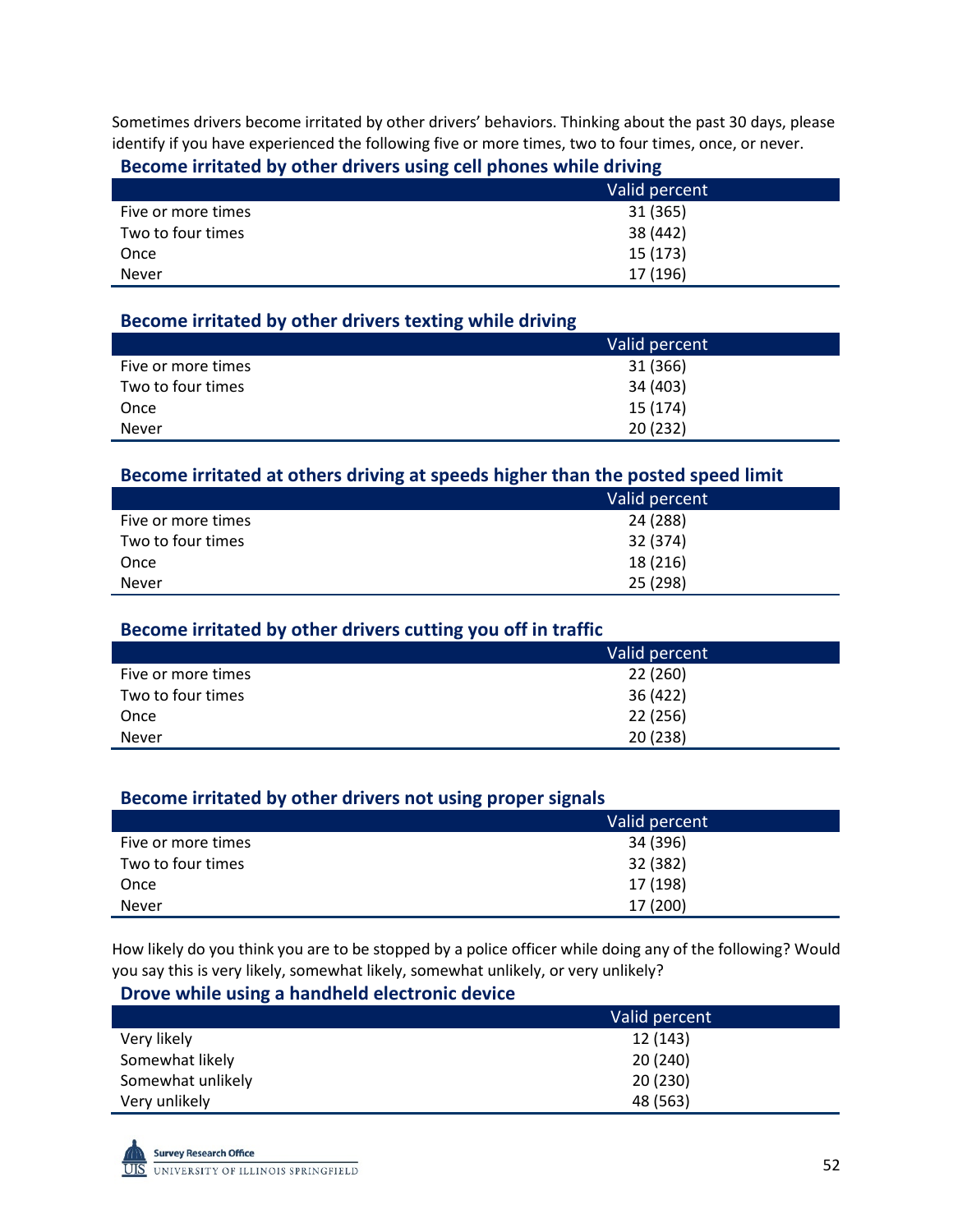Sometimes drivers become irritated by other drivers' behaviors. Thinking about the past 30 days, please identify if you have experienced the following five or more times, two to four times, once, or never.

#### **Become irritated by other drivers using cell phones while driving**

|                    | Valid percent |
|--------------------|---------------|
| Five or more times | 31 (365)      |
| Two to four times  | 38 (442)      |
| Once               | 15 (173)      |
| <b>Never</b>       | 17 (196)      |

## **Become irritated by other drivers texting while driving**

|                    | Valid percent |
|--------------------|---------------|
| Five or more times | 31 (366)      |
| Two to four times  | 34 (403)      |
| Once               | 15 (174)      |
| <b>Never</b>       | 20(232)       |

#### **Become irritated at others driving at speeds higher than the posted speed limit**

|                    | Valid percent |
|--------------------|---------------|
| Five or more times | 24 (288)      |
| Two to four times  | 32 (374)      |
| Once               | 18 (216)      |
| <b>Never</b>       | 25 (298)      |

#### **Become irritated by other drivers cutting you off in traffic**

|                    | Valid percent |
|--------------------|---------------|
| Five or more times | 22 (260)      |
| Two to four times  | 36 (422)      |
| Once               | 22 (256)      |
| <b>Never</b>       | 20(238)       |

## **Become irritated by other drivers not using proper signals**

|                    | Valid percent |
|--------------------|---------------|
| Five or more times | 34 (396)      |
| Two to four times  | 32 (382)      |
| Once               | 17 (198)      |
| <b>Never</b>       | 17 (200)      |

How likely do you think you are to be stopped by a police officer while doing any of the following? Would you say this is very likely, somewhat likely, somewhat unlikely, or very unlikely?

#### **Drove while using a handheld electronic device**

|                   | Valid percent |
|-------------------|---------------|
| Very likely       | 12 (143)      |
| Somewhat likely   | 20 (240)      |
| Somewhat unlikely | 20(230)       |
| Very unlikely     | 48 (563)      |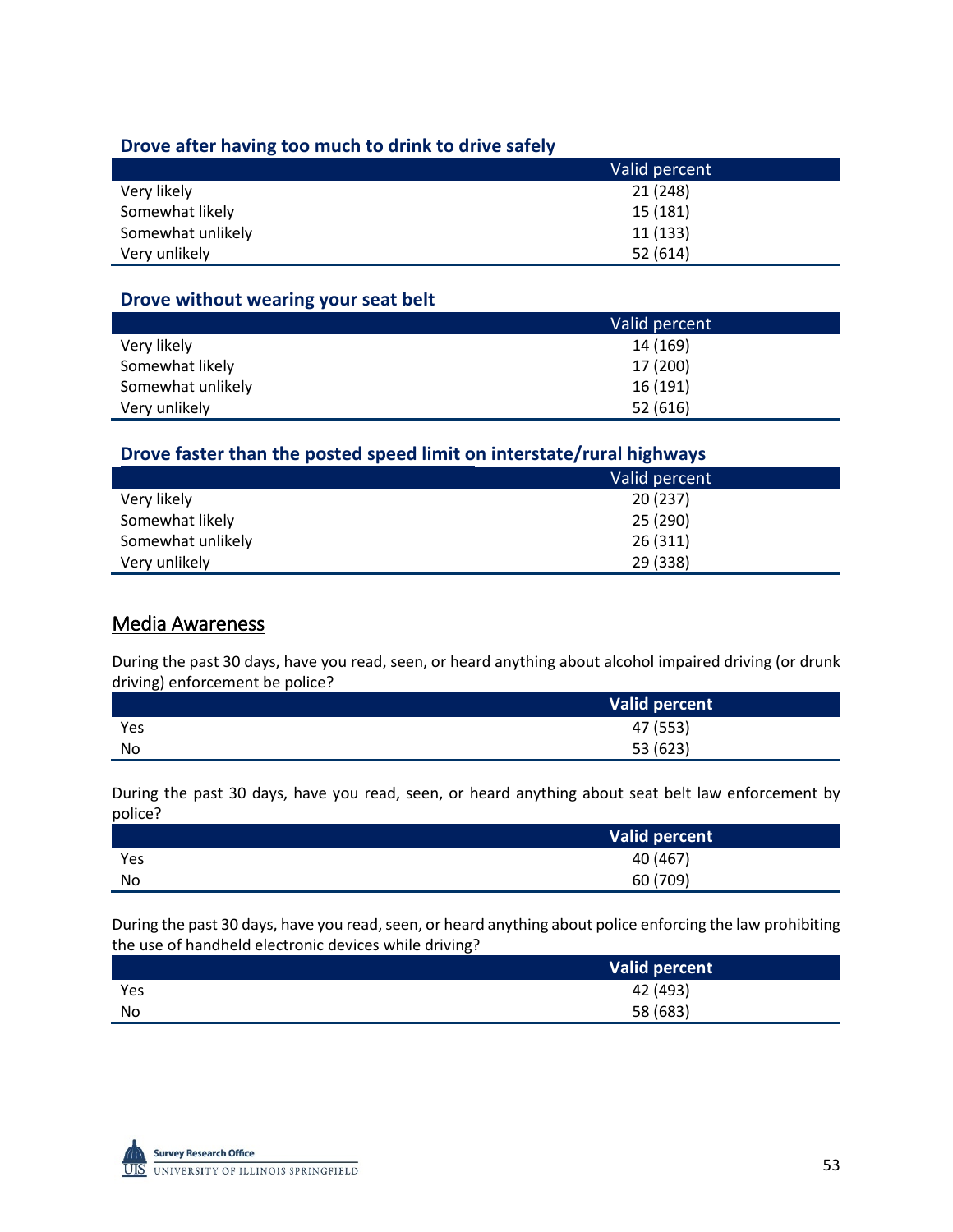### **Drove after having too much to drink to drive safely**

|                   | Valid percent |
|-------------------|---------------|
| Very likely       | 21 (248)      |
| Somewhat likely   | 15 (181)      |
| Somewhat unlikely | 11(133)       |
| Very unlikely     | 52(614)       |

#### **Drove without wearing your seat belt**

|                   | Valid percent |
|-------------------|---------------|
| Very likely       | 14 (169)      |
| Somewhat likely   | 17 (200)      |
| Somewhat unlikely | 16 (191)      |
| Very unlikely     | 52(616)       |

## **Drove faster than the posted speed limit on interstate/rural highways**

|                   | Valid percent |
|-------------------|---------------|
| Very likely       | 20(237)       |
| Somewhat likely   | 25 (290)      |
| Somewhat unlikely | 26(311)       |
| Very unlikely     | 29 (338)      |

## Media Awareness

During the past 30 days, have you read, seen, or heard anything about alcohol impaired driving (or drunk driving) enforcement be police?

|     | Valid percent |
|-----|---------------|
| Yes | 47 (553)      |
| No  | 53 (623)      |

During the past 30 days, have you read, seen, or heard anything about seat belt law enforcement by police?

|     | Valid percent |
|-----|---------------|
| Yes | 40 (467)      |
| No  | 60 (709)      |

During the past 30 days, have you read, seen, or heard anything about police enforcing the law prohibiting the use of handheld electronic devices while driving?

|     | Valid percent |
|-----|---------------|
| Yes | 42 (493)      |
| No  | 58 (683)      |

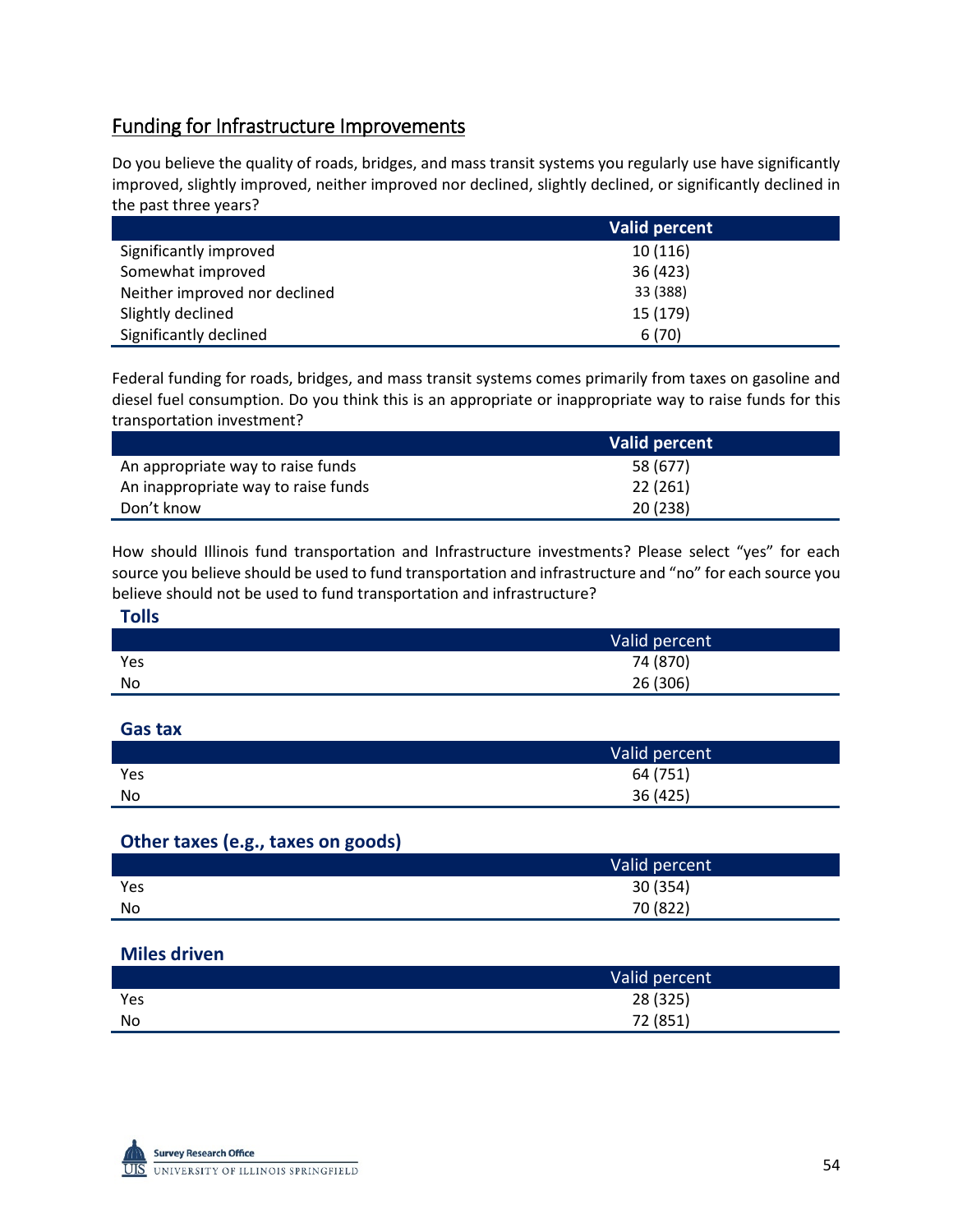## Funding for Infrastructure Improvements

Do you believe the quality of roads, bridges, and mass transit systems you regularly use have significantly improved, slightly improved, neither improved nor declined, slightly declined, or significantly declined in the past three years?

|                               | <b>Valid percent</b> |
|-------------------------------|----------------------|
| Significantly improved        | 10(116)              |
| Somewhat improved             | 36 (423)             |
| Neither improved nor declined | 33 (388)             |
| Slightly declined             | 15 (179)             |
| Significantly declined        | 6(70)                |

Federal funding for roads, bridges, and mass transit systems comes primarily from taxes on gasoline and diesel fuel consumption. Do you think this is an appropriate or inappropriate way to raise funds for this transportation investment?

|                                     | Valid percent |
|-------------------------------------|---------------|
| An appropriate way to raise funds   | 58 (677)      |
| An inappropriate way to raise funds | 22 (261)      |
| Don't know                          | 20(238)       |

How should Illinois fund transportation and Infrastructure investments? Please select "yes" for each source you believe should be used to fund transportation and infrastructure and "no" for each source you believe should not be used to fund transportation and infrastructure?

| <b>Tolls</b> |               |
|--------------|---------------|
|              | Valid percent |
| Yes          | 74 (870)      |
| <b>No</b>    | 26 (306)      |

#### **Gas tax**

|     | Valid percent |
|-----|---------------|
| Yes | 64 (751)      |
| No  | 36 (425)      |

## **Other taxes (e.g., taxes on goods)**

|     | Valid percent |
|-----|---------------|
| Yes | 30 (354)      |
| No  | 70 (822)      |

#### **Miles driven**

|     | Valid percent |
|-----|---------------|
| Yes | 28 (325)      |
| No  | 72 (851)      |

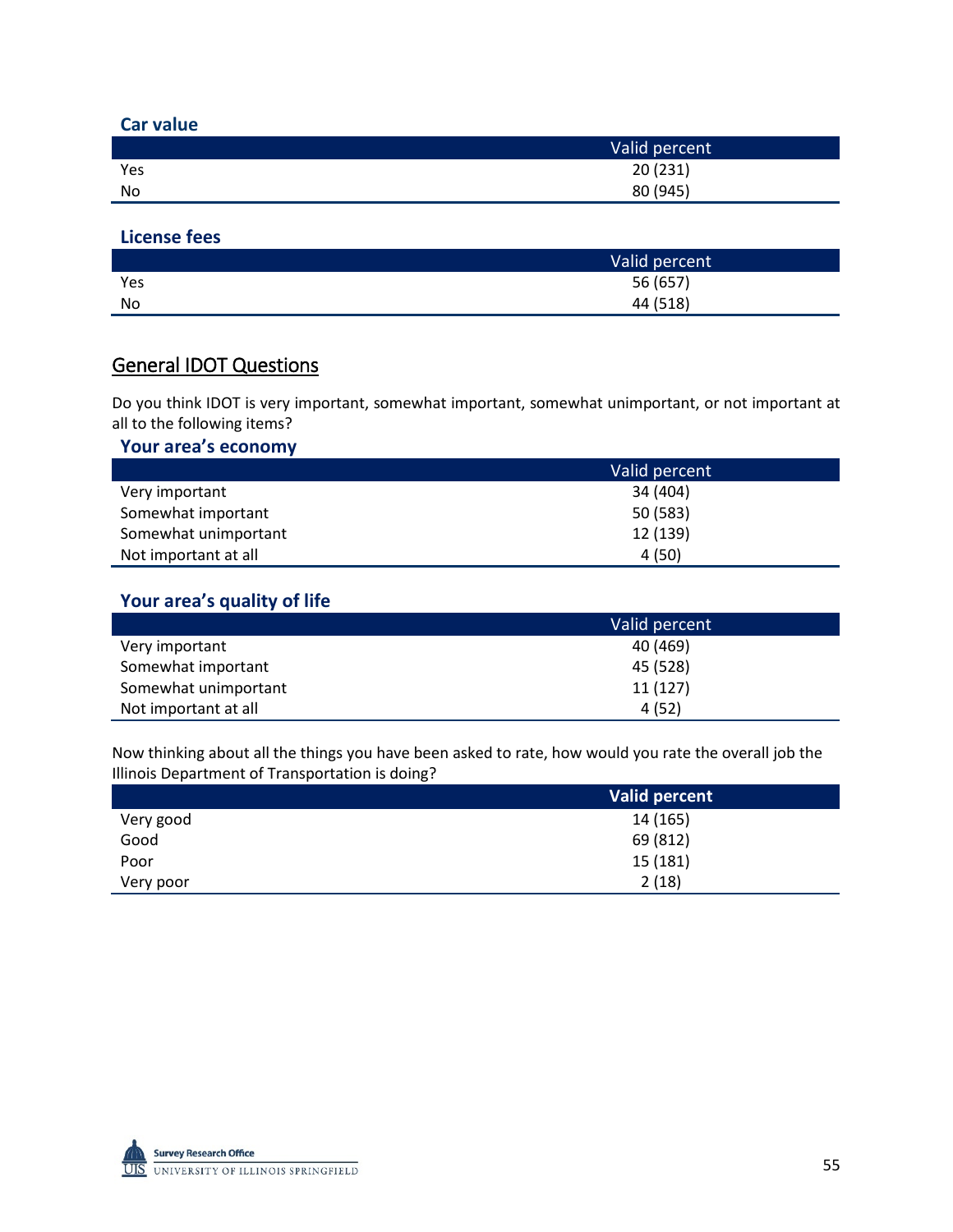| <b>Car value</b> |               |
|------------------|---------------|
|                  | Valid percent |
| Yes              | 20(231)       |
| No               | 80 (945)      |

#### **License fees**

|     | Valid percent |
|-----|---------------|
| Yes | 56 (657)      |
| No  | 44 (518)      |

## General IDOT Questions

Do you think IDOT is very important, somewhat important, somewhat unimportant, or not important at all to the following items?

## **Your area's economy**

|                      | Valid percent |
|----------------------|---------------|
| Very important       | 34 (404)      |
| Somewhat important   | 50 (583)      |
| Somewhat unimportant | 12 (139)      |
| Not important at all | 4(50)         |

## **Your area's quality of life**

|                      | Valid percent |
|----------------------|---------------|
| Very important       | 40 (469)      |
| Somewhat important   | 45 (528)      |
| Somewhat unimportant | 11(127)       |
| Not important at all | 4(52)         |

Now thinking about all the things you have been asked to rate, how would you rate the overall job the Illinois Department of Transportation is doing?

|           | Valid percent |
|-----------|---------------|
| Very good | 14 (165)      |
| Good      | 69 (812)      |
| Poor      | 15 (181)      |
| Very poor | 2(18)         |

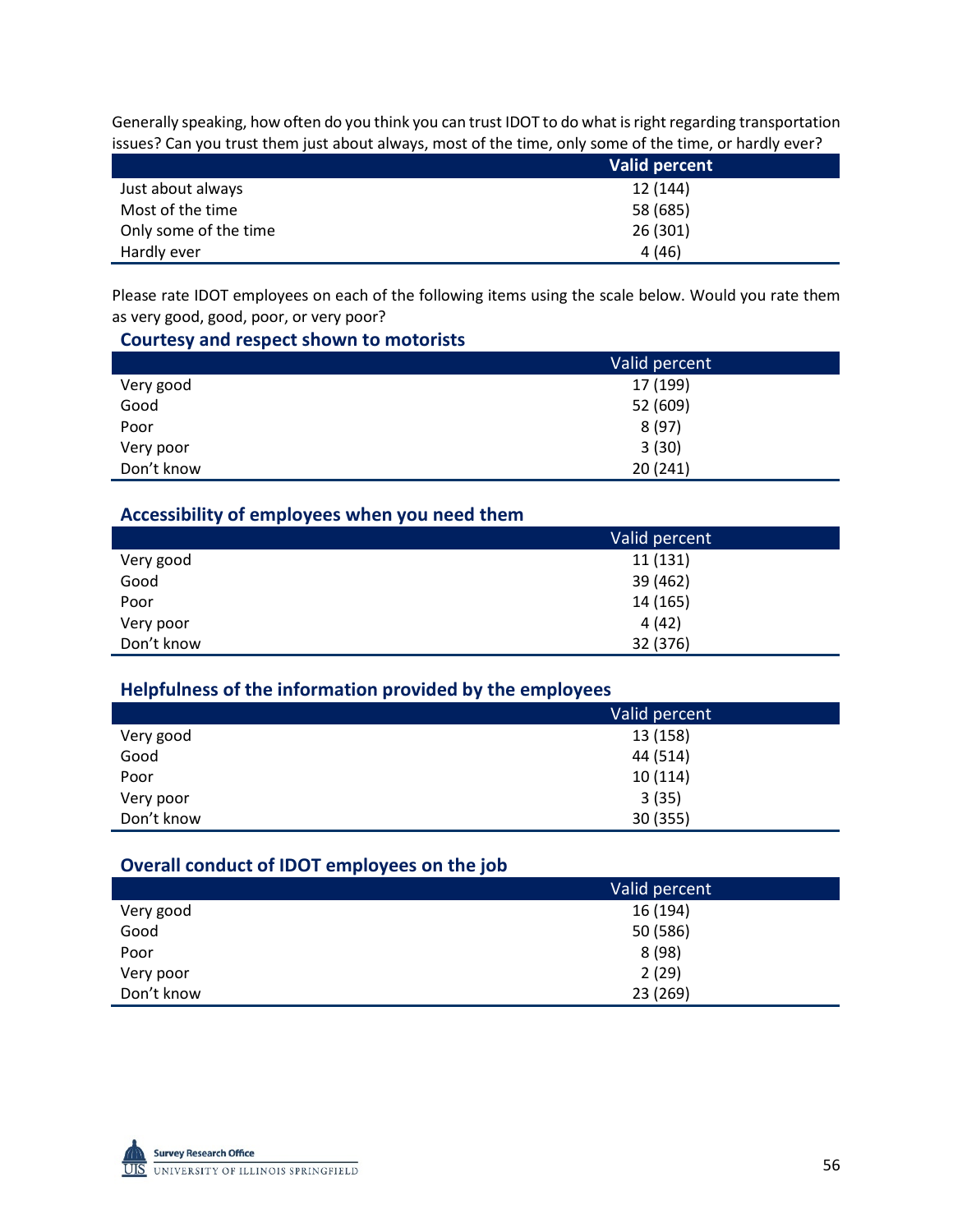Generally speaking, how often do you think you can trust IDOT to do what is right regarding transportation issues? Can you trust them just about always, most of the time, only some of the time, or hardly ever?

|                       | Valid percent |
|-----------------------|---------------|
| Just about always     | 12 (144)      |
| Most of the time      | 58 (685)      |
| Only some of the time | 26(301)       |
| Hardly ever           | 4(46)         |

Please rate IDOT employees on each of the following items using the scale below. Would you rate them as very good, good, poor, or very poor?

#### **Courtesy and respect shown to motorists**

|            | Valid percent |
|------------|---------------|
| Very good  | 17 (199)      |
| Good       | 52 (609)      |
| Poor       | 8(97)         |
| Very poor  | 3(30)         |
| Don't know | 20(241)       |

## **Accessibility of employees when you need them**

|            | Valid percent |
|------------|---------------|
| Very good  | 11 (131)      |
| Good       | 39 (462)      |
| Poor       | 14 (165)      |
| Very poor  | 4(42)         |
| Don't know | 32 (376)      |

## **Helpfulness of the information provided by the employees**

|            | Valid percent |
|------------|---------------|
| Very good  | 13 (158)      |
| Good       | 44 (514)      |
| Poor       | 10(114)       |
| Very poor  | 3(35)         |
| Don't know | 30 (355)      |

## **Overall conduct of IDOT employees on the job**

|            | Valid percent |
|------------|---------------|
| Very good  | 16 (194)      |
| Good       | 50 (586)      |
| Poor       | 8(98)         |
| Very poor  | 2(29)         |
| Don't know | 23 (269)      |

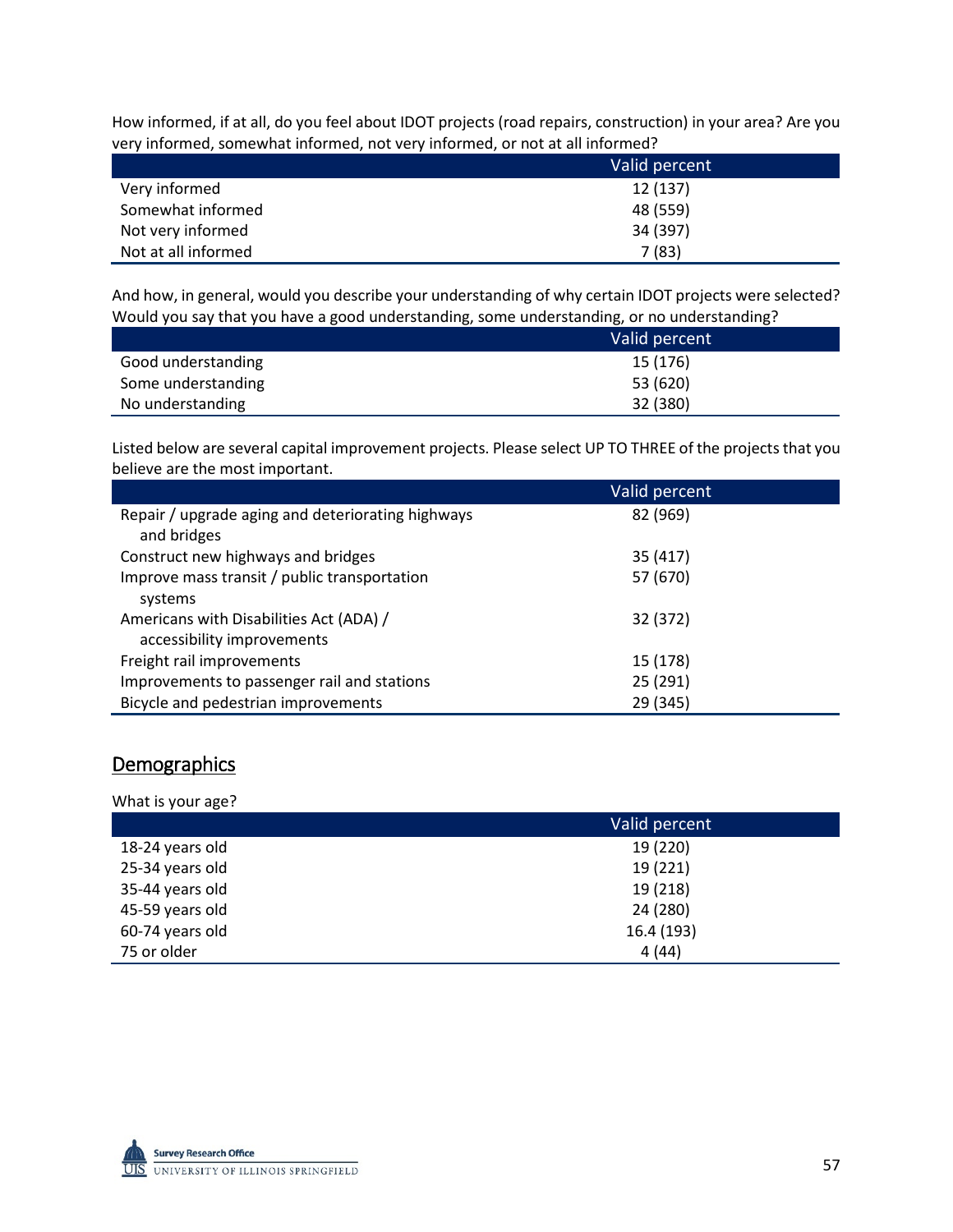How informed, if at all, do you feel about IDOT projects (road repairs, construction) in your area? Are you very informed, somewhat informed, not very informed, or not at all informed?

|                     | Valid percent |
|---------------------|---------------|
| Very informed       | 12 (137)      |
| Somewhat informed   | 48 (559)      |
| Not very informed   | 34 (397)      |
| Not at all informed | 7(83)         |

And how, in general, would you describe your understanding of why certain IDOT projects were selected? Would you say that you have a good understanding, some understanding, or no understanding?

|                    | Valid percent |
|--------------------|---------------|
| Good understanding | 15 (176)      |
| Some understanding | 53 (620)      |
| No understanding   | 32 (380)      |

Listed below are several capital improvement projects. Please select UP TO THREE of the projects that you believe are the most important.

|                                                                       | Valid percent |
|-----------------------------------------------------------------------|---------------|
| Repair / upgrade aging and deteriorating highways<br>and bridges      | 82 (969)      |
| Construct new highways and bridges                                    | 35 (417)      |
| Improve mass transit / public transportation<br>systems               | 57 (670)      |
| Americans with Disabilities Act (ADA) /<br>accessibility improvements | 32 (372)      |
| Freight rail improvements                                             | 15 (178)      |
| Improvements to passenger rail and stations                           | 25 (291)      |
| Bicycle and pedestrian improvements                                   | 29 (345)      |

## Demographics

What is your age?

|                 | Valid percent |
|-----------------|---------------|
| 18-24 years old | 19 (220)      |
| 25-34 years old | 19 (221)      |
| 35-44 years old | 19 (218)      |
| 45-59 years old | 24 (280)      |
| 60-74 years old | 16.4 (193)    |
| 75 or older     | 4(44)         |

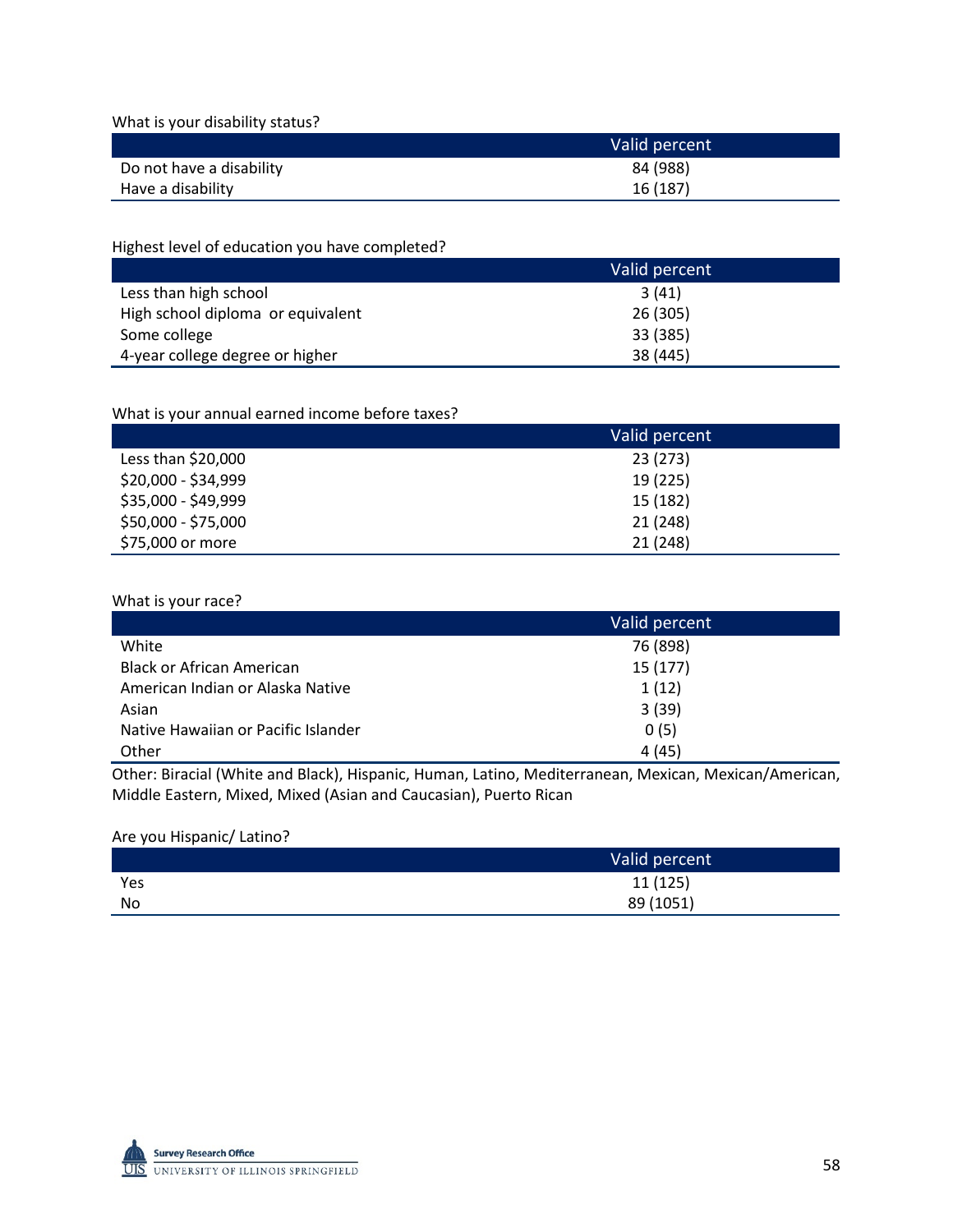What is your disability status?

|                          | Valid percent |
|--------------------------|---------------|
| Do not have a disability | 84 (988)      |
| Have a disability        | 16 (187)      |

Highest level of education you have completed?

|                                   | Valid percent |
|-----------------------------------|---------------|
| Less than high school             | 3(41)         |
| High school diploma or equivalent | 26 (305)      |
| Some college                      | 33 (385)      |
| 4-year college degree or higher   | 38 (445)      |

#### What is your annual earned income before taxes?

|                     | Valid percent |
|---------------------|---------------|
| Less than $$20,000$ | 23 (273)      |
| \$20,000 - \$34,999 | 19 (225)      |
| \$35,000 - \$49,999 | 15 (182)      |
| \$50,000 - \$75,000 | 21 (248)      |
| \$75,000 or more    | 21 (248)      |

#### What is your race?

|                                     | Valid percent |
|-------------------------------------|---------------|
| White                               | 76 (898)      |
| <b>Black or African American</b>    | 15(177)       |
| American Indian or Alaska Native    | 1(12)         |
| Asian                               | 3(39)         |
| Native Hawaiian or Pacific Islander | 0(5)          |
| Other                               | 4(45)         |

Other: Biracial (White and Black), Hispanic, Human, Latino, Mediterranean, Mexican, Mexican/American, Middle Eastern, Mixed, Mixed (Asian and Caucasian), Puerto Rican

#### Are you Hispanic/ Latino?

|     | Valid percent |
|-----|---------------|
| Yes | 11 (125)      |
| No  | 89 (1051)     |

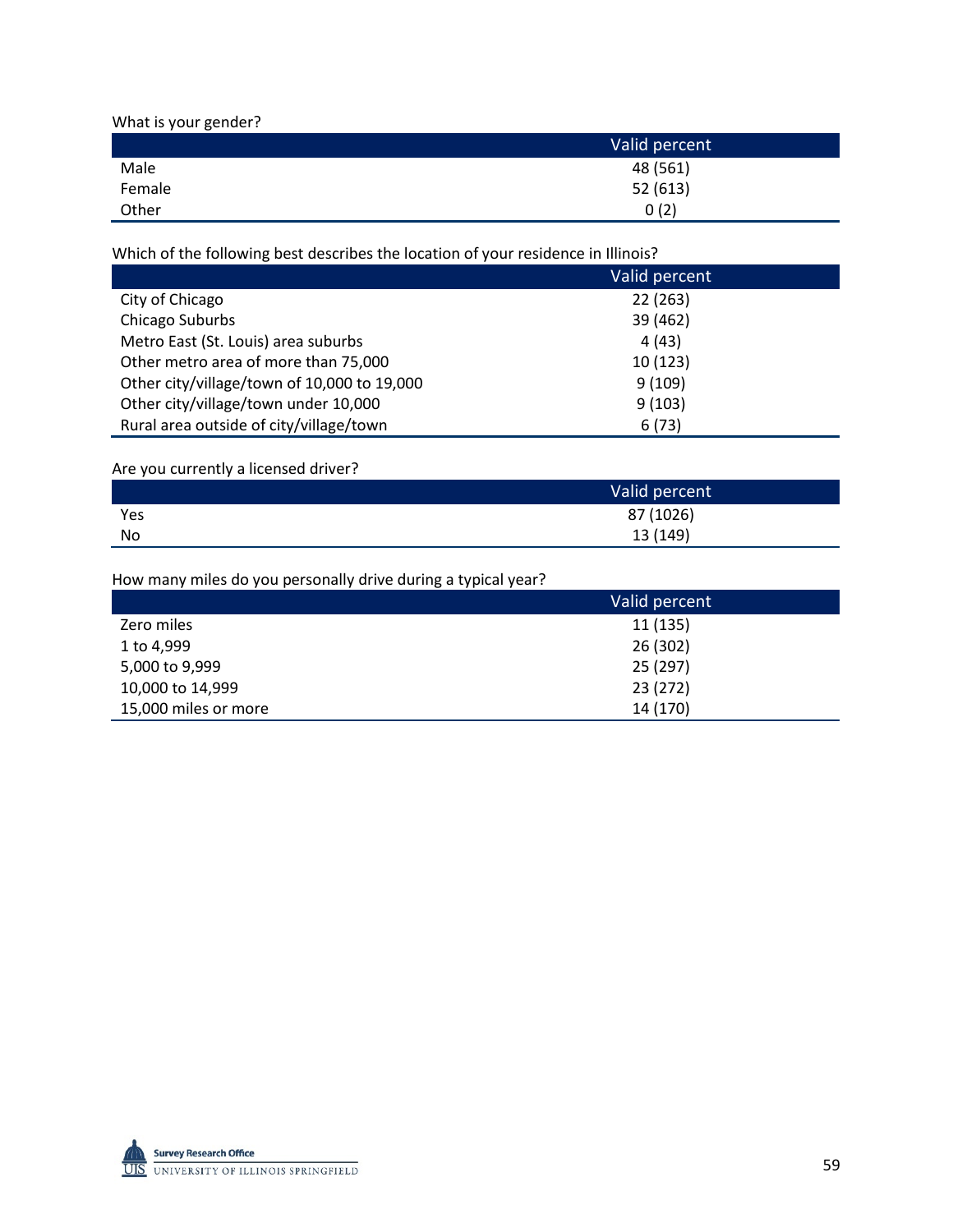What is your gender?

|        | Valid percent |
|--------|---------------|
| Male   | 48 (561)      |
| Female | 52(613)       |
| Other  | 0(2)          |

Which of the following best describes the location of your residence in Illinois?

|                                             | Valid percent |
|---------------------------------------------|---------------|
| City of Chicago                             | 22(263)       |
| Chicago Suburbs                             | 39 (462)      |
| Metro East (St. Louis) area suburbs         | 4(43)         |
| Other metro area of more than 75,000        | 10 (123)      |
| Other city/village/town of 10,000 to 19,000 | 9(109)        |
| Other city/village/town under 10,000        | 9(103)        |
| Rural area outside of city/village/town     | 6(73)         |

#### Are you currently a licensed driver?

|     | Valid percent |
|-----|---------------|
| Yes | 87 (1026)     |
| No  | 13 (149)      |

How many miles do you personally drive during a typical year?

|                      | Valid percent |
|----------------------|---------------|
| Zero miles           | 11 (135)      |
| 1 to 4,999           | 26 (302)      |
| 5,000 to 9,999       | 25 (297)      |
| 10,000 to 14,999     | 23 (272)      |
| 15,000 miles or more | 14 (170)      |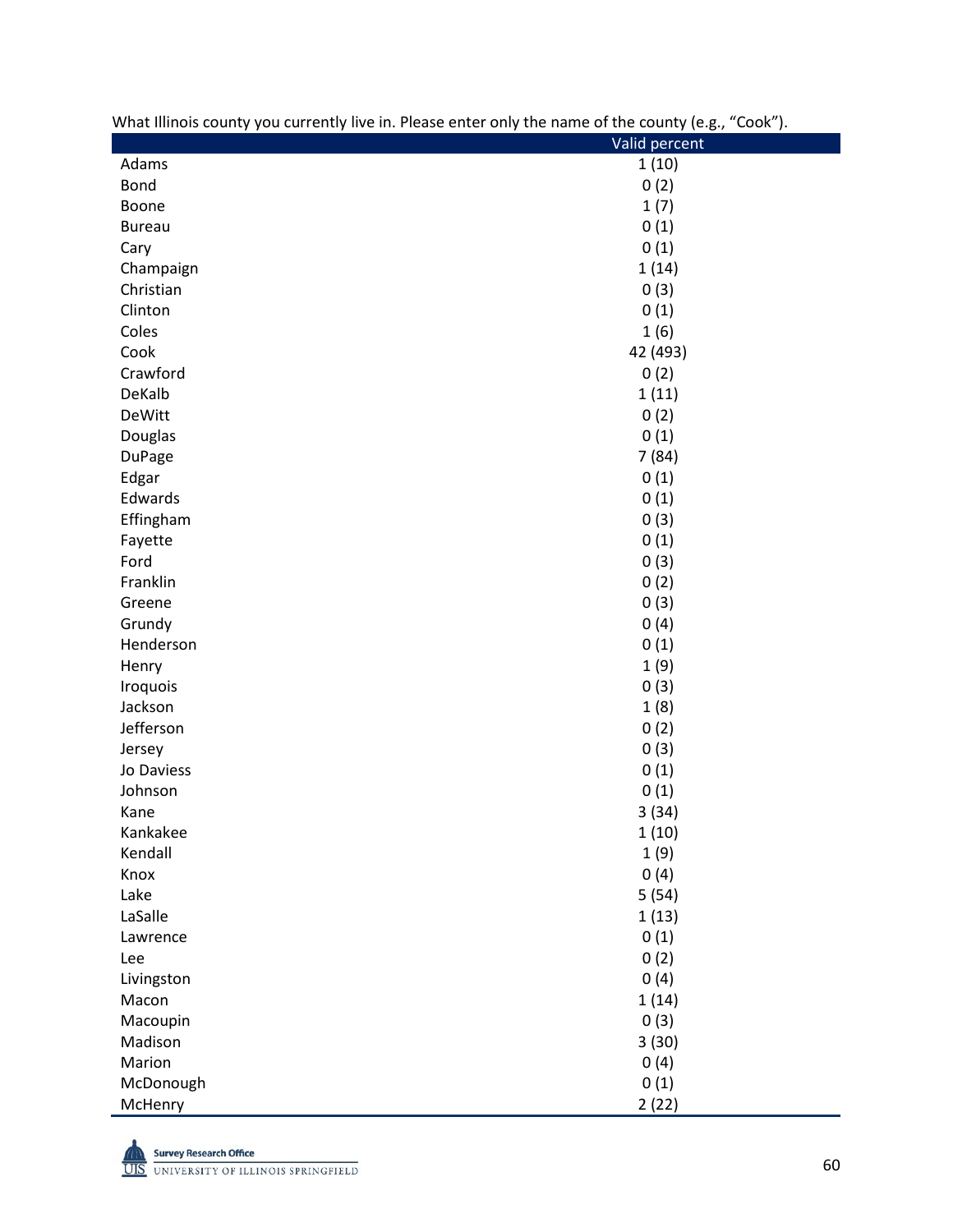| what influits county you currently live in. Please enter only the name of the county (e.g., $\sim$ COOK $\mu$ . |               |
|-----------------------------------------------------------------------------------------------------------------|---------------|
|                                                                                                                 | Valid percent |
| Adams                                                                                                           | 1(10)         |
| <b>Bond</b>                                                                                                     | 0(2)          |
| Boone                                                                                                           | 1(7)          |
| <b>Bureau</b>                                                                                                   | 0(1)          |
| Cary                                                                                                            | 0(1)          |
| Champaign                                                                                                       | 1(14)         |
| Christian                                                                                                       | 0(3)          |
| Clinton                                                                                                         | 0(1)          |
| Coles                                                                                                           | 1(6)          |
| Cook                                                                                                            | 42 (493)      |
| Crawford                                                                                                        | 0(2)          |
| DeKalb                                                                                                          | 1(11)         |
| <b>DeWitt</b>                                                                                                   | 0(2)          |
| Douglas                                                                                                         | 0(1)          |
| <b>DuPage</b>                                                                                                   | 7(84)         |
| Edgar                                                                                                           | 0(1)          |
| Edwards                                                                                                         | 0(1)          |
| Effingham                                                                                                       | 0(3)          |
| Fayette                                                                                                         | 0(1)          |
| Ford                                                                                                            | 0(3)          |
| Franklin                                                                                                        | 0(2)          |
| Greene                                                                                                          | 0(3)          |
| Grundy                                                                                                          | 0(4)          |
| Henderson                                                                                                       | 0(1)          |
| Henry                                                                                                           | 1(9)          |
| Iroquois                                                                                                        | 0(3)          |
| Jackson                                                                                                         | 1(8)          |
| Jefferson                                                                                                       | 0(2)          |
| Jersey                                                                                                          | 0(3)          |
| Jo Daviess                                                                                                      | 0(1)          |
| Johnson                                                                                                         | 0(1)          |
| Kane                                                                                                            | 3(34)         |
| Kankakee                                                                                                        | 1(10)         |
| Kendall                                                                                                         | 1(9)          |
| Knox                                                                                                            | 0(4)          |
| Lake                                                                                                            | 5(54)         |
| LaSalle                                                                                                         |               |
|                                                                                                                 | 1(13)         |
| Lawrence                                                                                                        | 0(1)          |
| Lee                                                                                                             | 0(2)          |
| Livingston                                                                                                      | 0(4)          |
| Macon                                                                                                           | 1(14)         |
| Macoupin                                                                                                        | 0(3)          |
| Madison                                                                                                         | 3(30)         |
| Marion                                                                                                          | 0(4)          |
| McDonough                                                                                                       | 0(1)          |
| McHenry                                                                                                         | 2(22)         |



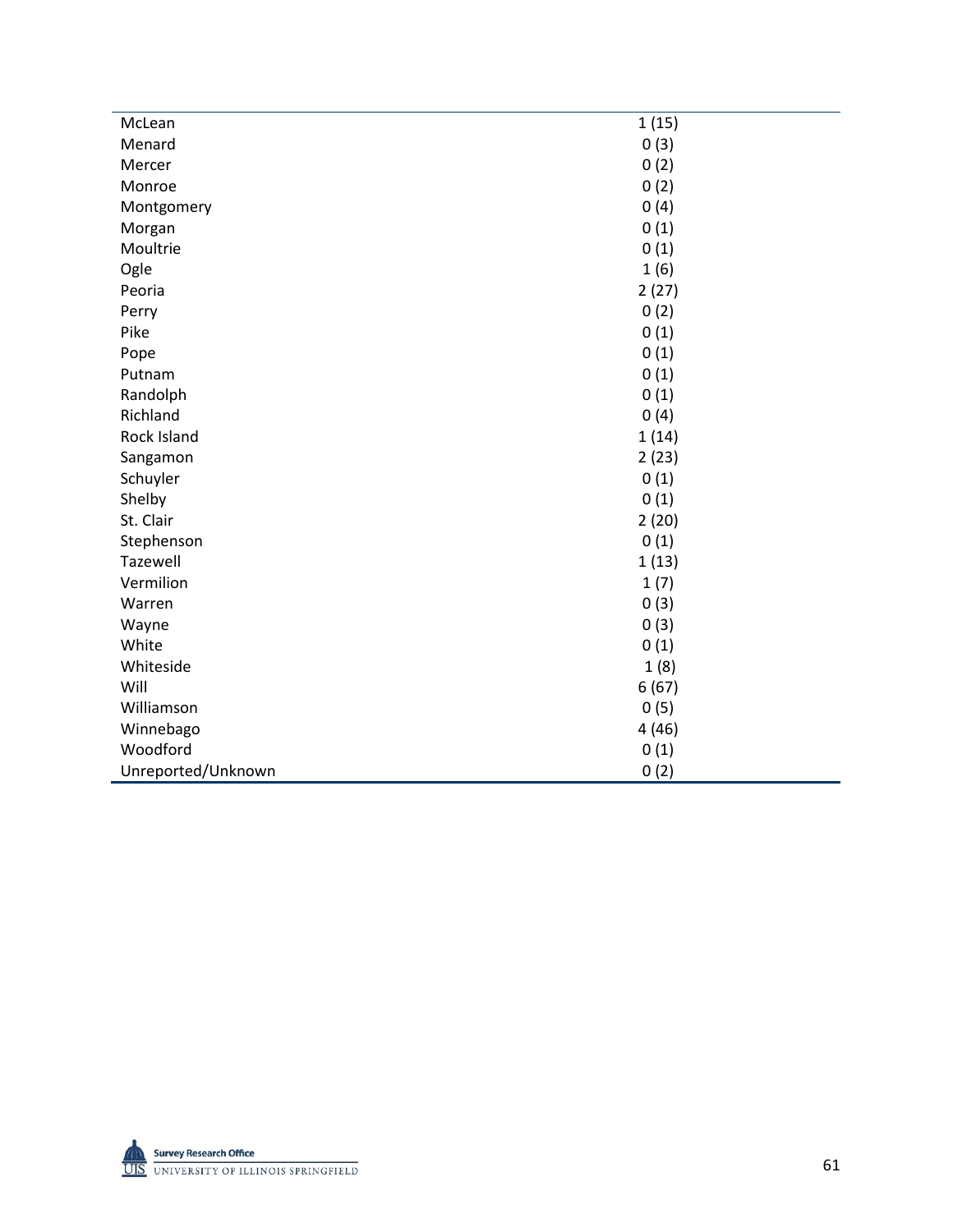| McLean             | 1(15) |
|--------------------|-------|
| Menard             | 0(3)  |
| Mercer             | 0(2)  |
| Monroe             | 0(2)  |
| Montgomery         | 0(4)  |
| Morgan             | 0(1)  |
| Moultrie           | 0(1)  |
| Ogle               | 1(6)  |
| Peoria             | 2(27) |
| Perry              | 0(2)  |
| Pike               | 0(1)  |
| Pope               | 0(1)  |
| Putnam             | 0(1)  |
| Randolph           | 0(1)  |
| Richland           | 0(4)  |
| Rock Island        | 1(14) |
| Sangamon           | 2(23) |
| Schuyler           | 0(1)  |
| Shelby             | 0(1)  |
| St. Clair          | 2(20) |
| Stephenson         | 0(1)  |
| Tazewell           | 1(13) |
| Vermilion          | 1(7)  |
| Warren             | 0(3)  |
| Wayne              | 0(3)  |
| White              | 0(1)  |
| Whiteside          | 1(8)  |
| Will               | 6(67) |
| Williamson         | 0(5)  |
| Winnebago          | 4(46) |
| Woodford           | 0(1)  |
| Unreported/Unknown | 0(2)  |

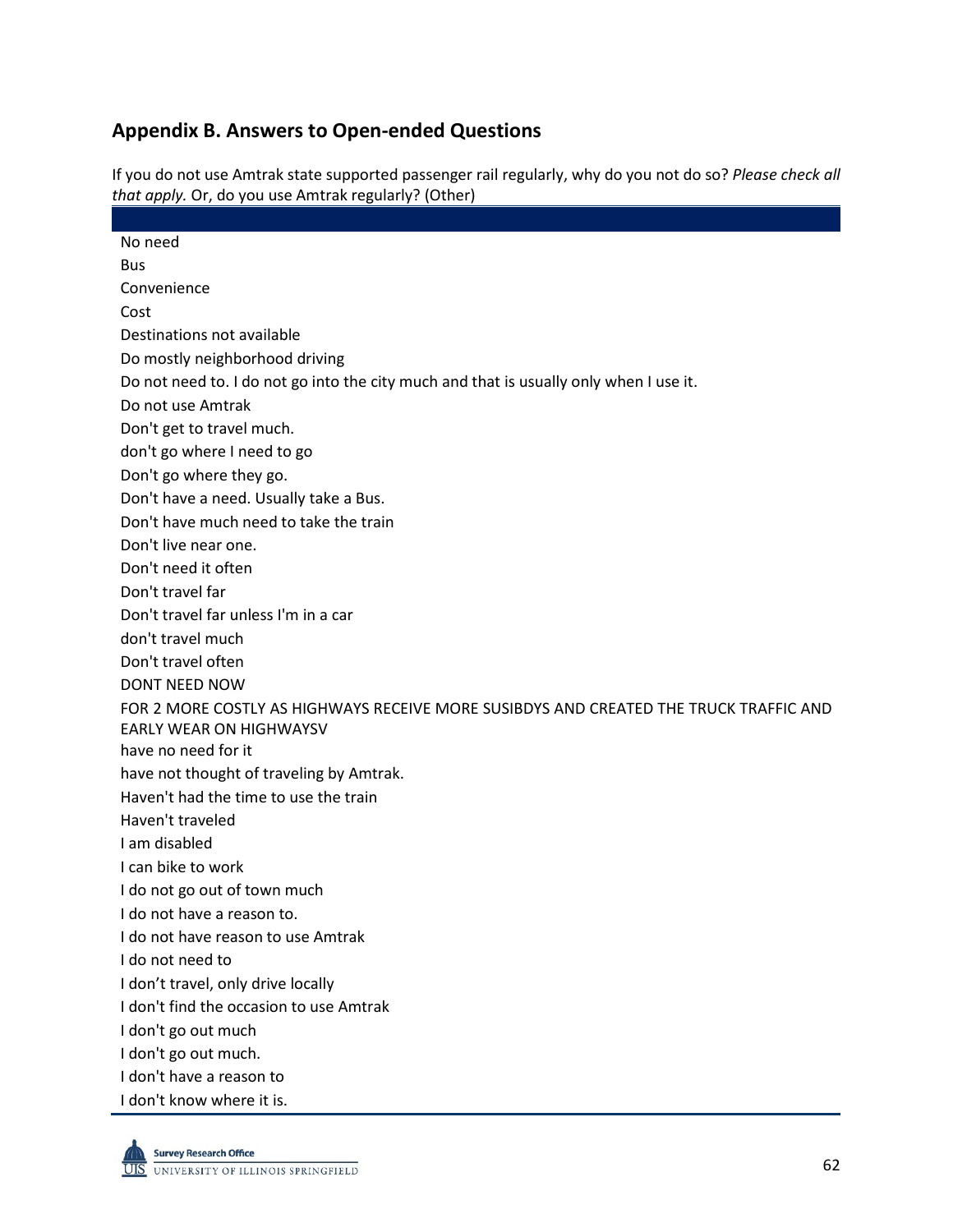## **Appendix B. Answers to Open-ended Questions**

If you do not use Amtrak state supported passenger rail regularly, why do you not do so? *Please check all that apply.* Or, do you use Amtrak regularly? (Other)

| No need                                                                                |
|----------------------------------------------------------------------------------------|
| <b>Bus</b>                                                                             |
| Convenience                                                                            |
| Cost                                                                                   |
| Destinations not available                                                             |
| Do mostly neighborhood driving                                                         |
| Do not need to. I do not go into the city much and that is usually only when I use it. |
| Do not use Amtrak                                                                      |
| Don't get to travel much.                                                              |
| don't go where I need to go                                                            |
| Don't go where they go.                                                                |
| Don't have a need. Usually take a Bus.                                                 |
| Don't have much need to take the train                                                 |
| Don't live near one.                                                                   |
| Don't need it often                                                                    |
| Don't travel far                                                                       |
| Don't travel far unless I'm in a car                                                   |
| don't travel much                                                                      |
| Don't travel often                                                                     |
| DONT NEED NOW                                                                          |
| FOR 2 MORE COSTLY AS HIGHWAYS RECEIVE MORE SUSIBDYS AND CREATED THE TRUCK TRAFFIC AND  |
| <b>EARLY WEAR ON HIGHWAYSV</b>                                                         |
| have no need for it                                                                    |
| have not thought of traveling by Amtrak.                                               |
| Haven't had the time to use the train                                                  |
| Haven't traveled                                                                       |
| I am disabled                                                                          |
| I can bike to work                                                                     |
| I do not go out of town much                                                           |
| I do not have a reason to.                                                             |
| I do not have reason to use Amtrak                                                     |
| I do not need to                                                                       |
| I don't travel, only drive locally                                                     |
| I don't find the occasion to use Amtrak                                                |
| I don't go out much                                                                    |
| I don't go out much.                                                                   |
| I don't have a reason to                                                               |
| I don't know where it is.                                                              |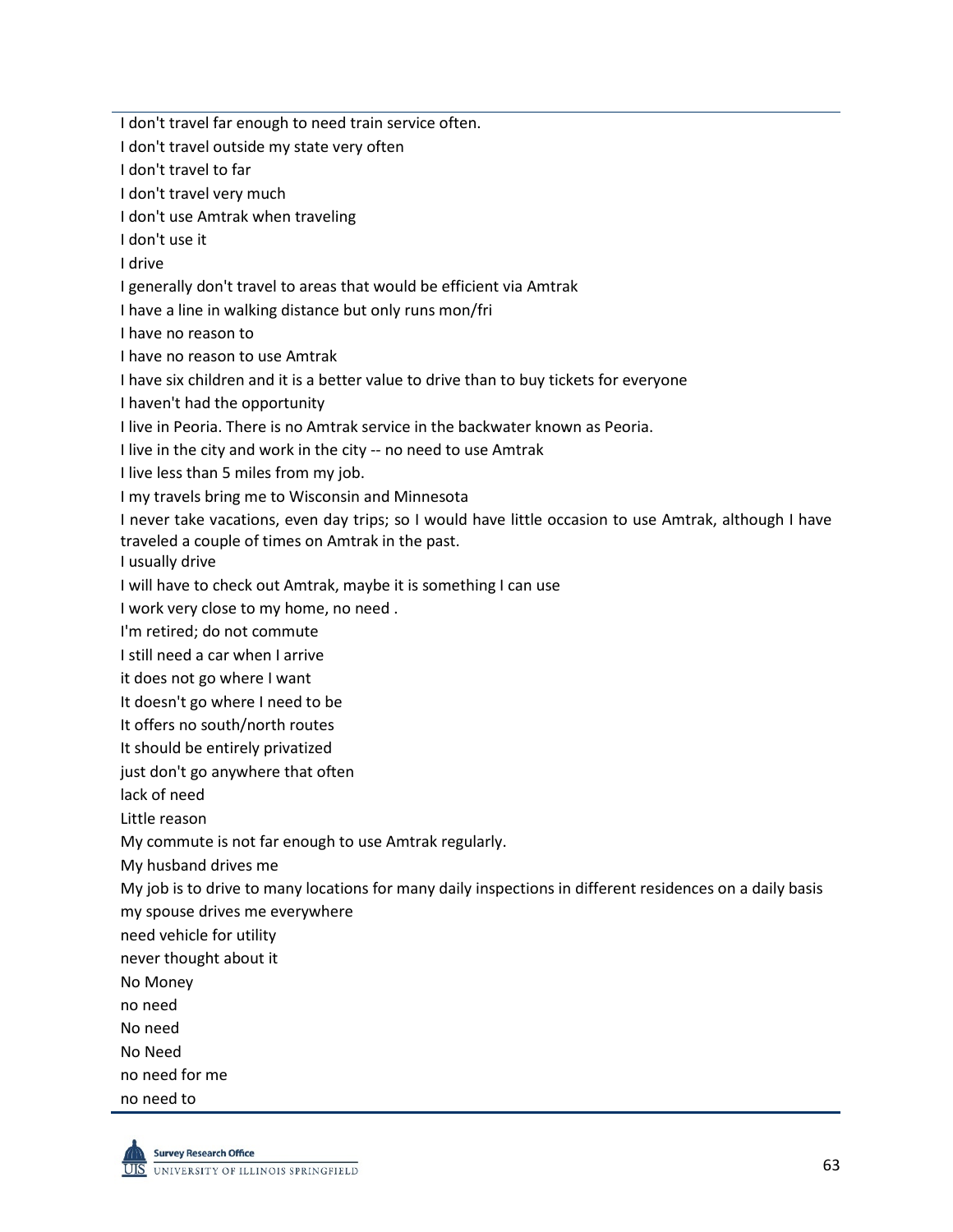I don't travel far enough to need train service often. I don't travel outside my state very often I don't travel to far I don't travel very much I don't use Amtrak when traveling I don't use it I drive I generally don't travel to areas that would be efficient via Amtrak I have a line in walking distance but only runs mon/fri I have no reason to I have no reason to use Amtrak I have six children and it is a better value to drive than to buy tickets for everyone I haven't had the opportunity I live in Peoria. There is no Amtrak service in the backwater known as Peoria. I live in the city and work in the city -- no need to use Amtrak I live less than 5 miles from my job. I my travels bring me to Wisconsin and Minnesota I never take vacations, even day trips; so I would have little occasion to use Amtrak, although I have traveled a couple of times on Amtrak in the past. I usually drive I will have to check out Amtrak, maybe it is something I can use I work very close to my home, no need . I'm retired; do not commute I still need a car when I arrive it does not go where I want It doesn't go where I need to be It offers no south/north routes It should be entirely privatized just don't go anywhere that often lack of need Little reason My commute is not far enough to use Amtrak regularly. My husband drives me My job is to drive to many locations for many daily inspections in different residences on a daily basis my spouse drives me everywhere need vehicle for utility never thought about it No Money no need No need No Need no need for me no need to

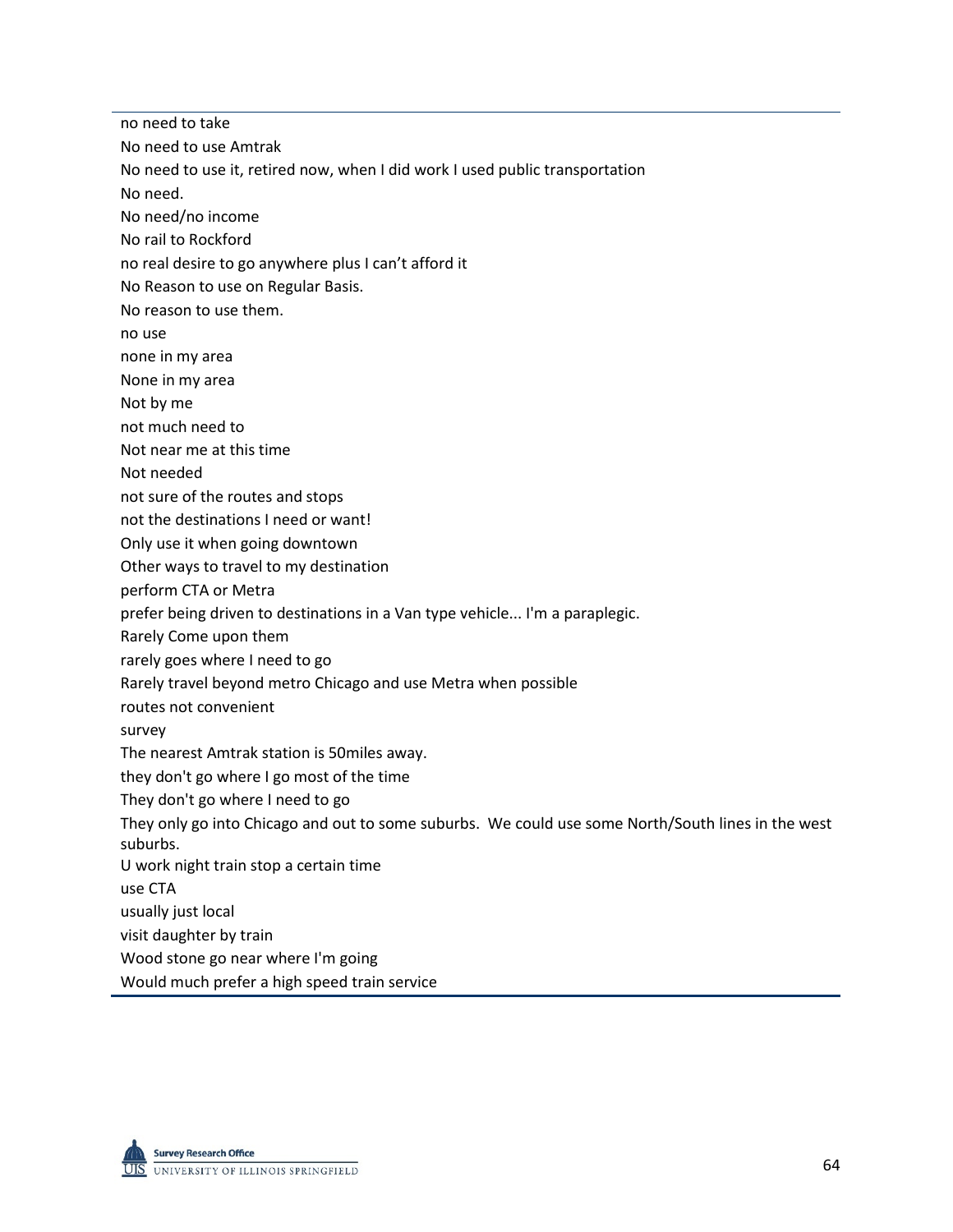no need to take No need to use Amtrak No need to use it, retired now, when I did work I used public transportation No need. No need/no income No rail to Rockford no real desire to go anywhere plus I can't afford it No Reason to use on Regular Basis. No reason to use them. no use none in my area None in my area Not by me not much need to Not near me at this time Not needed not sure of the routes and stops not the destinations I need or want! Only use it when going downtown Other ways to travel to my destination perform CTA or Metra prefer being driven to destinations in a Van type vehicle... I'm a paraplegic. Rarely Come upon them rarely goes where I need to go Rarely travel beyond metro Chicago and use Metra when possible routes not convenient survey The nearest Amtrak station is 50miles away. they don't go where I go most of the time They don't go where I need to go They only go into Chicago and out to some suburbs. We could use some North/South lines in the west suburbs. U work night train stop a certain time use CTA usually just local visit daughter by train Wood stone go near where I'm going Would much prefer a high speed train service

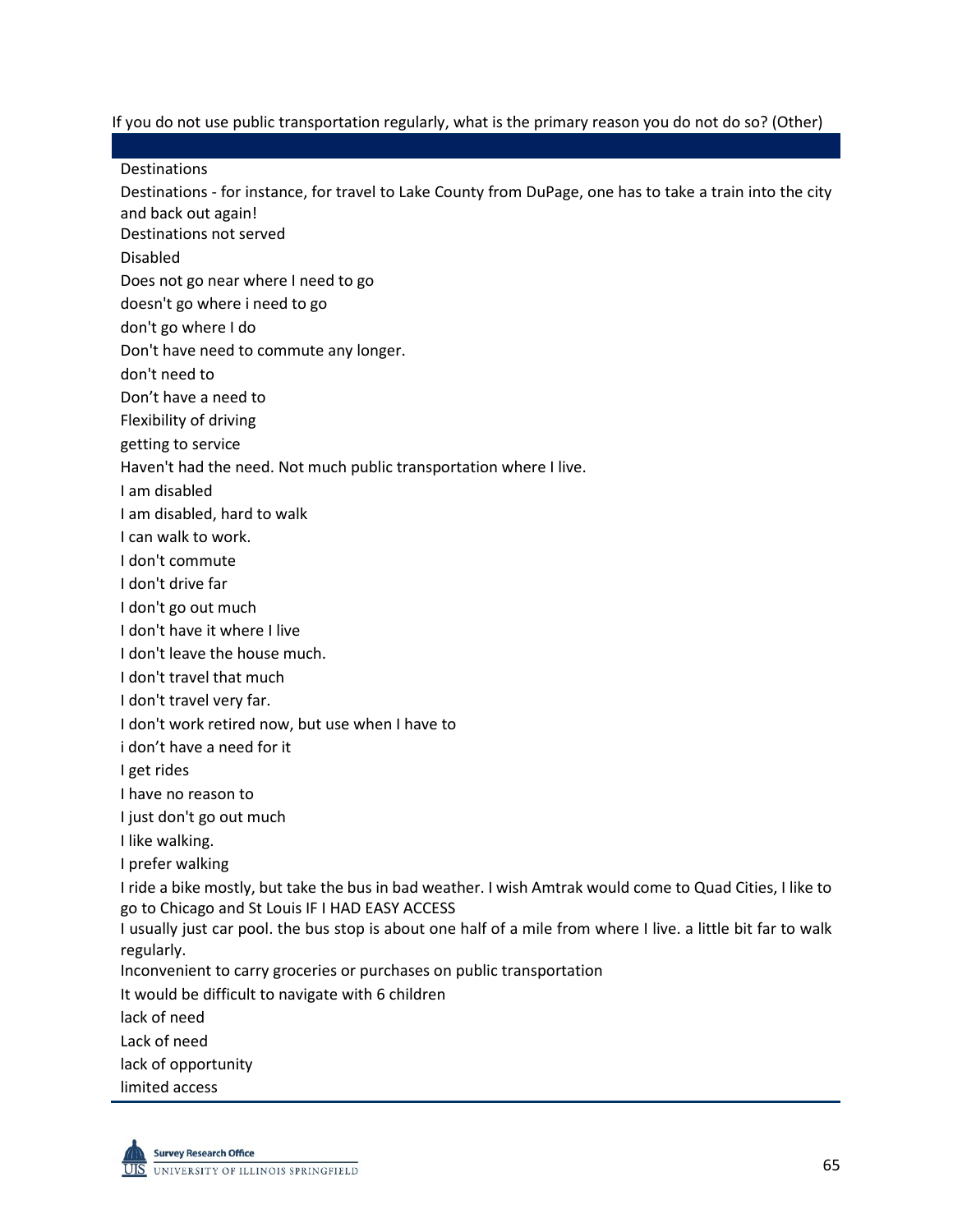If you do not use public transportation regularly, what is the primary reason you do not do so? (Other)

**Destinations** 

Destinations - for instance, for travel to Lake County from DuPage, one has to take a train into the city and back out again!

Destinations not served

Disabled

Does not go near where I need to go

doesn't go where i need to go

don't go where I do

Don't have need to commute any longer.

don't need to

Don't have a need to

Flexibility of driving

getting to service

Haven't had the need. Not much public transportation where I live.

I am disabled

I am disabled, hard to walk

I can walk to work.

I don't commute

I don't drive far

I don't go out much

I don't have it where I live

I don't leave the house much.

I don't travel that much

I don't travel very far.

I don't work retired now, but use when I have to

i don't have a need for it

I get rides

I have no reason to

I just don't go out much

I like walking.

I prefer walking

I ride a bike mostly, but take the bus in bad weather. I wish Amtrak would come to Quad Cities, I like to go to Chicago and St Louis IF I HAD EASY ACCESS

I usually just car pool. the bus stop is about one half of a mile from where I live. a little bit far to walk regularly.

Inconvenient to carry groceries or purchases on public transportation

It would be difficult to navigate with 6 children

lack of need

Lack of need

lack of opportunity

limited access